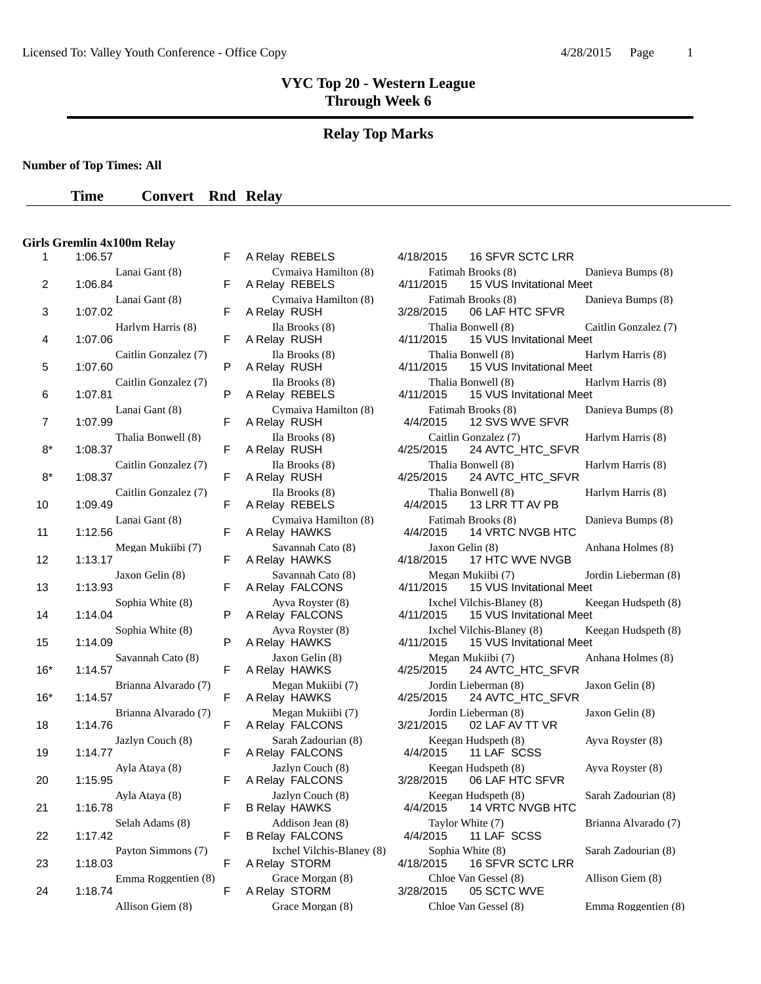### **Relay Top Marks**

**Number of Top Times: All**

### **Time Convert Rnd Relay**

#### **Girls Gremlin 4x100m Relay**

|       | 1.00.57                         |   | A REIGY REDELS                             | 4/10/2013<br>10 SEVR SUIU LRR                                    |
|-------|---------------------------------|---|--------------------------------------------|------------------------------------------------------------------|
| 2     | Lanai Gant (8)<br>1:06.84       | F | Cymaiya Hamilton (8)<br>A Relay REBELS     | Fatimah Brooks (8)<br>15 VUS Invitational Me<br>4/11/2015        |
| 3     | Lanai Gant (8)<br>1:07.02       | F | Cymaiya Hamilton (8)<br>A Relay RUSH       | Fatimah Brooks (8)<br>06 LAF HTC SFVR<br>3/28/2015               |
| 4     | Harlym Harris (8)<br>1:07.06    | F | Ila Brooks (8)<br>A Relay RUSH             | Thalia Bonwell (8)<br>4/11/2015<br>15 VUS Invitational Me        |
| 5     | Caitlin Gonzalez (7)<br>1:07.60 | P | Ila Brooks (8)<br>A Relay RUSH             | Thalia Bonwell (8)<br>4/11/2015<br>15 VUS Invitational Me        |
| 6     | Caitlin Gonzalez (7)<br>1:07.81 | P | Ila Brooks (8)<br>A Relay REBELS           | Thalia Bonwell (8)<br>15 VUS Invitational Me<br>4/11/2015        |
| 7     | Lanai Gant (8)<br>1:07.99       | F | Cymaiya Hamilton (8)<br>A Relay RUSH       | Fatimah Brooks (8)<br>4/4/2015<br>12 SVS WVE SFVR                |
| $8*$  | Thalia Bonwell (8)<br>1:08.37   | F | Ila Brooks (8)<br>A Relay RUSH             | Caitlin Gonzalez (7)<br>24 AVTC_HTC_SFVR<br>4/25/2015            |
| $8*$  | Caitlin Gonzalez (7)<br>1:08.37 | F | Ila Brooks (8)<br>A Relay RUSH             | Thalia Bonwell (8)<br>4/25/2015<br>24 AVTC_HTC_SFVR              |
| 10    | Caitlin Gonzalez (7)<br>1:09.49 | F | Ila Brooks (8)<br>A Relay REBELS           | Thalia Bonwell (8)<br>4/4/2015<br>13 LRR TT AV PB                |
| 11    | Lanai Gant (8)<br>1:12.56       | F | Cymaiya Hamilton (8)<br>A Relay HAWKS      | Fatimah Brooks (8)<br><b>14 VRTC NVGB HTC</b><br>4/4/2015        |
| 12    | Megan Mukiibi (7)<br>1:13.17    | F | Savannah Cato (8)<br>A Relay HAWKS         | Jaxon Gelin (8)<br>17 HTC WVE NVGB<br>4/18/2015                  |
| 13    | Jaxon Gelin (8)<br>1:13.93      | F | Savannah Cato (8)<br>A Relay FALCONS       | Megan Mukiibi (7)<br>15 VUS Invitational Me<br>4/11/2015         |
| 14    | Sophia White (8)<br>1:14.04     | P | Ayva Royster (8)<br>A Relay FALCONS        | Ixchel Vilchis-Blaney (8)<br>4/11/2015<br>15 VUS Invitational Me |
| 15    | Sophia White (8)<br>1:14.09     | P | Ayva Royster (8)<br>A Relay HAWKS          | Ixchel Vilchis-Blaney (8)<br>4/11/2015<br>15 VUS Invitational Me |
| $16*$ | Savannah Cato (8)<br>1:14.57    | F | Jaxon Gelin (8)<br>A Relay HAWKS           | Megan Mukiibi (7)<br>24 AVTC_HTC_SFVR<br>4/25/2015               |
| $16*$ | Brianna Alvarado (7)<br>1:14.57 | F | Megan Mukiibi (7)<br>A Relay HAWKS         | Jordin Lieberman (8)<br>4/25/2015<br>24 AVTC_HTC_SFVR            |
| 18    | Brianna Alvarado (7)<br>1:14.76 | F | Megan Mukiibi (7)<br>A Relay FALCONS       | Jordin Lieberman (8)<br>3/21/2015<br>02 LAF AV TT VR             |
| 19    | Jazlyn Couch (8)<br>1:14.77     | F | Sarah Zadourian (8)<br>A Relay FALCONS     | Keegan Hudspeth (8)<br>4/4/2015<br>11 LAF SCSS                   |
| 20    | Ayla Ataya (8)<br>1:15.95       | F | Jazlyn Couch (8)<br>A Relay FALCONS        | Keegan Hudspeth (8)<br>3/28/2015<br>06 LAF HTC SFVR              |
| 21    | Ayla Ataya (8)<br>1:16.78       | F | Jazlyn Couch (8)<br><b>B Relay HAWKS</b>   | Keegan Hudspeth (8)<br>14 VRTC NVGB HTC<br>4/4/2015              |
| 22    | Selah Adams (8)<br>1:17.42      | F | Addison Jean (8)<br><b>B Relay FALCONS</b> | Taylor White (7)<br>4/4/2015<br>11 LAF SCSS                      |
| 23    | Payton Simmons (7)<br>1:18.03   | F | Ixchel Vilchis-Blaney (8)<br>A Relay STORM | Sophia White (8)<br>4/18/2015<br>16 SFVR SCTC LRR                |
| 24    | Emma Roggentien (8)<br>1:18.74  | F | Grace Morgan (8)<br>A Relay STORM          | Chloe Van Gessel (8)<br>3/28/2015<br>05 SCTC WVE                 |
|       | $4.11'$ $C'$ $(0)$              |   | $\sim$<br>$\mathbf{r}$                     | $C[1, 1, 1]$ $C[1, 1]$                                           |

| A Relay REBELS                             |
|--------------------------------------------|
| Cymaiya Hamilton (8)<br>A Relay REBELS     |
| Cymaiya Hamilton (8)<br>A Relay RUSH       |
| Ila Brooks (8)<br>A Relay RUSH             |
| Ila Brooks (8)<br>A Relay RUSH             |
| Ila Brooks (8)<br>A Relay REBELS           |
| Cymaiya Hamilton (8)<br>A Relay RUSH       |
| Ila Brooks (8)<br>A Relay RUSH             |
| Ila Brooks (8)                             |
| A Relay RUSH<br>Ila Brooks (8)             |
| A Relay REBELS<br>Cymaiya Hamilton (8)     |
| A Relay HAWKS<br>Savannah Cato (8)         |
| A Relay HAWKS<br>Savannah Cato (8)         |
| A Relay FALCONS<br>Ayva Royster (8)        |
| A Relay FALCONS<br>Ayva Royster (8)        |
| A Relay HAWKS<br>Jaxon Gelin (8)           |
| A Relay HAWKS<br>Megan Mukiibi (7)         |
| A Relay HAWKS                              |
| Megan Mukiibi (7)<br>A Relay FALCONS       |
| Sarah Zadourian (8)<br>A Relay FALCONS     |
| Jazlyn Couch (8)<br>A Relay FALCONS        |
| Jazlyn Couch (8)<br>B Relay HAWKS          |
| Addison Jean (8)<br><b>B Relay FALCONS</b> |
| Ixchel Vilchis-Blaney (<br>A Relay STORM   |
| Grace Morgan (8)<br>A Relay STORM          |
| $\alpha$ $\alpha$<br>$-10$                 |

| 1     | 1:06.57                         | F | A Relay REBELS                                      | 4/18/2015<br>16 SFVR SCTC LRR                                      |                      |
|-------|---------------------------------|---|-----------------------------------------------------|--------------------------------------------------------------------|----------------------|
| 2     | Lanai Gant (8)<br>1:06.84       | F | Cymaiya Hamilton (8)<br>A Relay REBELS              | Fatimah Brooks (8)<br>15 VUS Invitational Meet<br>4/11/2015        | Danieya Bumps (8)    |
| 3     | Lanai Gant (8)<br>1:07.02       | F | Cymaiya Hamilton (8)<br>A Relay RUSH                | Fatimah Brooks (8)<br>06 LAF HTC SFVR<br>3/28/2015                 | Danieya Bumps (8)    |
| 4     | Harlym Harris (8)<br>1:07.06    | F | Ila Brooks (8)<br>A Relay RUSH                      | Thalia Bonwell (8)<br>4/11/2015<br>15 VUS Invitational Meet        | Caitlin Gonzalez (7) |
| 5     | Caitlin Gonzalez (7)<br>1:07.60 | P | Ila Brooks (8)<br>A Relay RUSH                      | Thalia Bonwell (8)<br>4/11/2015<br>15 VUS Invitational Meet        | Harlym Harris (8)    |
| 6     | Caitlin Gonzalez (7)<br>1:07.81 | P | Ila Brooks (8)<br>A Relay REBELS                    | Thalia Bonwell (8)<br>4/11/2015<br>15 VUS Invitational Meet        | Harlym Harris (8)    |
| 7     | Lanai Gant (8)<br>1:07.99       | F | Cymaiya Hamilton (8)<br>A Relay RUSH                | Fatimah Brooks (8)<br>4/4/2015<br>12 SVS WVE SFVR                  | Danieva Bumps (8)    |
| $8*$  | Thalia Bonwell (8)<br>1:08.37   | F | Ila Brooks (8)<br>A Relay RUSH                      | Caitlin Gonzalez (7)<br>24 AVTC_HTC_SFVR<br>4/25/2015              | Harlym Harris (8)    |
| $8*$  | Caitlin Gonzalez (7)<br>1:08.37 | F | Ila Brooks (8)<br>A Relay RUSH                      | Thalia Bonwell (8)<br>4/25/2015<br>24 AVTC_HTC_SFVR                | Harlym Harris (8)    |
| 10    | Caitlin Gonzalez (7)<br>1:09.49 | F | Ila Brooks (8)<br>A Relay REBELS                    | Thalia Bonwell (8)<br>13 LRR TT AV PB<br>4/4/2015                  | Harlym Harris (8)    |
| 11    | Lanai Gant (8)<br>1:12.56       | F | Cymaiya Hamilton (8)<br>A Relay HAWKS               | Fatimah Brooks (8)<br>4/4/2015<br>14 VRTC NVGB HTC                 | Danieya Bumps (8)    |
| 12    | Megan Mukiibi (7)<br>1:13.17    | F | Savannah Cato (8)<br>A Relay HAWKS                  | Jaxon Gelin (8)<br>4/18/2015<br>17 HTC WVE NVGB                    | Anhana Holmes (8)    |
| 13    | Jaxon Gelin (8)<br>1:13.93      | F | Savannah Cato (8)<br>A Relay FALCONS                | Megan Mukiibi (7)<br>4/11/2015<br>15 VUS Invitational Meet         | Jordin Lieberman (8) |
|       | Sophia White (8)<br>1:14.04     | P | Ayva Royster (8)                                    | Ixchel Vilchis-Blaney (8)                                          | Keegan Hudspeth (8)  |
| 14    | Sophia White (8)                |   | A Relay FALCONS<br>Ayva Royster (8)                 | 4/11/2015<br>15 VUS Invitational Meet<br>Ixchel Vilchis-Blaney (8) | Keegan Hudspeth (8)  |
| 15    | 1:14.09<br>Savannah Cato (8)    | P | A Relay HAWKS<br>Jaxon Gelin (8)                    | 15 VUS Invitational Meet<br>4/11/2015<br>Megan Mukiibi (7)         | Anhana Holmes (8)    |
| $16*$ | 1:14.57<br>Brianna Alvarado (7) | F | A Relay HAWKS<br>Megan Mukiibi (7)                  | 4/25/2015<br>24 AVTC_HTC_SFVR<br>Jordin Lieberman (8)              | Jaxon Gelin (8)      |
| $16*$ | 1:14.57<br>Brianna Alvarado (7) | F | A Relay HAWKS<br>Megan Mukiibi (7)                  | 24 AVTC_HTC_SFVR<br>4/25/2015<br>Jordin Lieberman (8)              | Jaxon Gelin (8)      |
| 18    | 1:14.76<br>Jazlyn Couch (8)     | F | A Relay FALCONS<br>Sarah Zadourian (8)              | 3/21/2015<br>02 LAF AV TT VR<br>Keegan Hudspeth (8)                | Ayva Royster (8)     |
| 19    | 1:14.77<br>Ayla Ataya (8)       | F | A Relay FALCONS<br>Jazlyn Couch (8)                 | 4/4/2015<br>11 LAF SCSS<br>Keegan Hudspeth (8)                     | Ayva Royster (8)     |
| 20    | 1:15.95<br>Ayla Ataya (8)       | F | A Relay FALCONS<br>Jazlyn Couch (8)                 | 3/28/2015<br>06 LAF HTC SFVR<br>Keegan Hudspeth (8)                | Sarah Zadourian (8)  |
| 21    | 1:16.78<br>Selah Adams (8)      | F | <b>B Relay HAWKS</b><br>Addison Jean (8)            | 14 VRTC NVGB HTC<br>4/4/2015<br>Taylor White (7)                   | Brianna Alvarado (7) |
| 22    | 1:17.42<br>Payton Simmons (7)   | F | <b>B Relay FALCONS</b><br>Ixchel Vilchis-Blaney (8) | 4/4/2015<br>11 LAF SCSS<br>Sophia White (8)                        | Sarah Zadourian (8)  |
| 23    | 1:18.03<br>Emma Roggentien (8)  | F | A Relay STORM<br>Grace Morgan (8)                   | 4/18/2015<br><b>16 SFVR SCTC LRR</b><br>Chloe Van Gessel (8)       | Allison Giem (8)     |
| 24    | 1:18.74<br>Allison Giem (8)     | F | A Relay STORM                                       | 3/28/2015<br>05 SCTC WVE                                           |                      |
|       |                                 |   | Grace Morgan (8)                                    | Chloe Van Gessel (8)                                               | Emma Roggentien (8)  |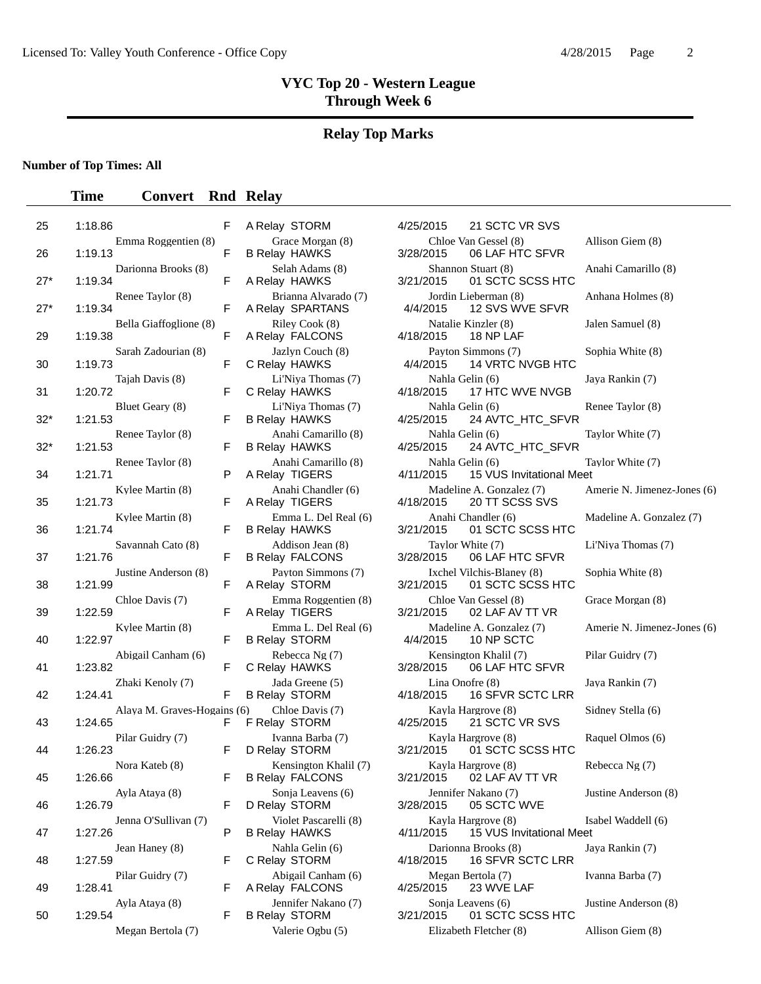# **Relay Top Marks**

**Number of Top Times: All**

| 25    | 1:18.86                                | F  | A Relay STORM                                   | 4/25/2015 | 21 SCTC VR SVS                                    |                |
|-------|----------------------------------------|----|-------------------------------------------------|-----------|---------------------------------------------------|----------------|
| 26    | Emma Roggentien (8)<br>1:19.13         | F  | Grace Morgan (8)<br><b>B Relay HAWKS</b>        | 3/28/2015 | Chloe Van Gessel (8)<br>06 LAF HTC SFVR           | A              |
| $27*$ | Darionna Brooks (8)<br>1:19.34         | F  | Selah Adams (8)<br>A Relay HAWKS                | 3/21/2015 | Shannon Stuart (8)<br>01 SCTC SCSS HTC            | Α              |
| $27*$ | Renee Taylor (8)<br>1:19.34            | F  | Brianna Alvarado (7)<br>A Relay SPARTANS        | 4/4/2015  | Jordin Lieberman (8)<br>12 SVS WVE SFVR           | $\overline{A}$ |
| 29    | Bella Giaffoglione (8)<br>1:19.38      | F  | Riley Cook (8)<br>A Relay FALCONS               | 4/18/2015 | Natalie Kinzler (8)<br>18 NP LAF                  | $J_i$          |
| 30    | Sarah Zadourian (8)<br>1:19.73         | F  | Jazlyn Couch (8)<br>C Relay HAWKS               | 4/4/2015  | Payton Simmons (7)<br>14 VRTC NVGB HTC            | S              |
| 31    | Tajah Davis (8)<br>1:20.72             | F  | Li'Niya Thomas (7)<br>C Relay HAWKS             | 4/18/2015 | Nahla Gelin (6)<br>17 HTC WVE NVGB                | J              |
| $32*$ | Bluet Geary (8)<br>1:21.53             | F  | Li'Niya Thomas (7)<br><b>B Relay HAWKS</b>      | 4/25/2015 | Nahla Gelin (6)<br>24 AVTC_HTC_SFVR               | $\mathbf R$    |
| $32*$ | Renee Taylor (8)<br>1:21.53            | F  | Anahi Camarillo (8)<br><b>B Relay HAWKS</b>     | 4/25/2015 | Nahla Gelin (6)<br>24 AVTC_HTC_SFVR               | T              |
| 34    | Renee Taylor (8)<br>1:21.71            | P  | Anahi Camarillo (8)<br>A Relay TIGERS           | 4/11/2015 | Nahla Gelin (6)<br>15 VUS Invitational Meet       | Т              |
| 35    | Kylee Martin (8)<br>1:21.73            | F  | Anahi Chandler (6)<br>A Relay TIGERS            | 4/18/2015 | Madeline A. Gonzalez (7)<br>20 TT SCSS SVS        | А              |
| 36    | Kylee Martin (8)<br>1:21.74            | F  | Emma L. Del Real (6)<br><b>B Relay HAWKS</b>    | 3/21/2015 | Anahi Chandler (6)<br>01 SCTC SCSS HTC            | N              |
| 37    | Savannah Cato (8)<br>1:21.76           | F  | Addison Jean (8)<br><b>B Relay FALCONS</b>      | 3/28/2015 | Taylor White (7)<br>06 LAF HTC SFVR               | L              |
| 38    | Justine Anderson (8)<br>1:21.99        | F  | Payton Simmons (7)<br>A Relay STORM             | 3/21/2015 | Ixchel Vilchis-Blaney (8)<br>01 SCTC SCSS HTC     | S              |
| 39    | Chloe Davis (7)<br>1:22.59             | F  | Emma Roggentien (8)<br>A Relay TIGERS           | 3/21/2015 | Chloe Van Gessel (8)<br>02 LAF AV TT VR           | G              |
| 40    | Kylee Martin (8)<br>1:22.97            | F  | Emma L. Del Real (6)<br><b>B Relay STORM</b>    | 4/4/2015  | Madeline A. Gonzalez (7)<br>10 NP SCTC            | A              |
| 41    | Abigail Canham (6)<br>1:23.82          | F  | Rebecca Ng (7)<br>C Relay HAWKS                 | 3/28/2015 | Kensington Khalil (7)<br>06 LAF HTC SFVR          | $\mathbf{P}$   |
| 42    | Zhaki Kenoly (7)<br>1:24.41            | F  | Jada Greene (5)<br><b>B Relay STORM</b>         | 4/18/2015 | Lina Onofre (8)<br>16 SFVR SCTC LRR               | J <sub>i</sub> |
| 43    | Alaya M. Graves-Hogains (6)<br>1:24.65 | F  | Chloe Davis (7)<br>F Relay STORM                | 4/25/2015 | Kayla Hargrove (8)<br>21 SCTC VR SVS              | S              |
| 44    | Pilar Guidry (7)<br>1:26.23            | F  | Ivanna Barba (7)<br>D Relay STORM               | 3/21/2015 | Kayla Hargrove (8)<br>01 SCTC SCSS HTC            | $\mathbb R$    |
| 45    | Nora Kateb (8)<br>1:26.66              | F. | Kensington Khalil (7)<br><b>B Relay FALCONS</b> |           | Kayla Hargrove (8)<br>3/21/2015   02 LAF AV TT VR | $\mathbb R$    |
| 46    | Ayla Ataya (8)<br>1:26.79              | F  | Sonja Leavens (6)<br>D Relay STORM              | 3/28/2015 | Jennifer Nakano (7)<br>05 SCTC WVE                | Jı             |
| 47    | Jenna O'Sullivan (7)<br>1:27.26        | P  | Violet Pascarelli (8)<br><b>B Relay HAWKS</b>   | 4/11/2015 | Kayla Hargrove (8)<br>15 VUS Invitational Meet    | Is             |
| 48    | Jean Haney (8)<br>1:27.59              | F  | Nahla Gelin (6)<br>C Relay STORM                | 4/18/2015 | Darionna Brooks (8)<br>16 SFVR SCTC LRR           | J              |
| 49    | Pilar Guidry (7)<br>1:28.41            | F  | Abigail Canham (6)<br>A Relay FALCONS           | 4/25/2015 | Megan Bertola (7)<br>23 WVE LAF                   | I۱             |
| 50    | Ayla Ataya (8)<br>1:29.54              | F  | Jennifer Nakano (7)<br><b>B Relay STORM</b>     | 3/21/2015 | Sonja Leavens (6)<br>01 SCTC SCSS HTC             | Jı             |
|       | Megan Bertola (7)                      |    | Valerie Ogbu (5)                                |           | Elizabeth Fletcher (8)                            | A              |

| A Relay STORM                                               |
|-------------------------------------------------------------|
| Grace Morgan (8)<br><b>B Relay HAWKS</b>                    |
| Selah Adams (8)<br>A Relay HAWKS                            |
| Brianna Alvarado (7)<br>A Relay SPARTANS                    |
| Riley Cook (8)<br>A Relay FALCONS                           |
| Jazlyn Couch (8)<br>C Relay HAWKS                           |
| Li'Niya Thomas (7)<br>C Relay HAWKS                         |
| Li'Niya Thomas (7)<br><b>B Relay HAWKS</b>                  |
| Anahi Camarillo (8)<br><b>B Relay HAWKS</b>                 |
| Anahi Camarillo (8)<br>A Relay TIGERS                       |
| Anahi Chandler (6)<br>A Relay TIGERS                        |
| Emma L. Del Real (6)<br><b>B Relay HAWKS</b>                |
| Addison Jean (8)<br><b>B Relay FALCONS</b>                  |
| Payton Simmons (7)<br>A Relay STORM                         |
| Emma Roggentien (8)<br>A Relay TIGERS                       |
| Emma L. Del Real (6)<br><b>B Relay STORM</b>                |
| Rebecca Ng (7)<br>C Relay HAWKS                             |
| Jada Greene (5)<br><b>B Relay STORM</b>                     |
| Chloe Davis (7)<br>6)<br>F Relay STORM                      |
| Ivanna Barba (7)<br>D Relay STORM                           |
| Kensington Khalil (7)<br><b>B Relay FALCONS</b>             |
| Sonja Leavens (6)<br>D Relay STORM<br>Violet Pascarelli (8) |
| <b>B Relay HAWKS</b><br>Nahla Gelin (6)                     |
| C Relay STORM<br>Abigail Canham (6)                         |
| A Relay FALCONS<br>Jennifer Nakano (7)                      |
| <b>B Relay STORM</b>                                        |

|                             | F | A Relay STORM                                   | 4/25/2015 | 21 SCTC VR SVS                                 |                             |
|-----------------------------|---|-------------------------------------------------|-----------|------------------------------------------------|-----------------------------|
| Emma Roggentien (8)         | F | Grace Morgan (8)<br><b>B Relay HAWKS</b>        | 3/28/2015 | Chloe Van Gessel (8)<br>06 LAF HTC SFVR        | Allison Giem (8)            |
| Darionna Brooks (8)         | F | Selah Adams (8)<br>A Relay HAWKS                | 3/21/2015 | Shannon Stuart (8)<br>01 SCTC SCSS HTC         | Anahi Camarillo (8)         |
| Renee Taylor (8)            | F | Brianna Alvarado (7)<br>A Relay SPARTANS        | 4/4/2015  | Jordin Lieberman (8)<br>12 SVS WVE SFVR        | Anhana Holmes (8)           |
| Bella Giaffoglione (8)      | F | Riley Cook (8)<br>A Relay FALCONS               | 4/18/2015 | Natalie Kinzler (8)<br>18 NP LAF               | Jalen Samuel (8)            |
| Sarah Zadourian (8)         | F | Jazlyn Couch (8)<br>C Relay HAWKS               | 4/4/2015  | Payton Simmons (7)<br>14 VRTC NVGB HTC         | Sophia White (8)            |
| Tajah Davis (8)             | F | Li'Niya Thomas (7)<br>C Relay HAWKS             | 4/18/2015 | Nahla Gelin (6)<br>17 HTC WVE NVGB             | Jaya Rankin (7)             |
| Bluet Geary (8)             | F | Li'Niya Thomas (7)<br><b>B Relay HAWKS</b>      | 4/25/2015 | Nahla Gelin (6)<br>24 AVTC_HTC_SFVR            | Renee Taylor (8)            |
| Renee Taylor (8)            | F | Anahi Camarillo (8)<br><b>B Relay HAWKS</b>     | 4/25/2015 | Nahla Gelin (6)<br>24 AVTC_HTC_SFVR            | Taylor White (7)            |
| Renee Taylor (8)            | P | Anahi Camarillo (8)<br>A Relay TIGERS           | 4/11/2015 | Nahla Gelin (6)<br>15 VUS Invitational Meet    | Taylor White (7)            |
| Kylee Martin (8)            | F | Anahi Chandler (6)<br>A Relay TIGERS            | 4/18/2015 | Madeline A. Gonzalez (7)<br>20 TT SCSS SVS     | Amerie N. Jimenez-Jones (6) |
| Kylee Martin (8)            | F | Emma L. Del Real (6)<br><b>B Relay HAWKS</b>    | 3/21/2015 | Anahi Chandler (6)<br>01 SCTC SCSS HTC         | Madeline A. Gonzalez (7)    |
| Savannah Cato (8)           | F | Addison Jean (8)<br><b>B Relay FALCONS</b>      | 3/28/2015 | Taylor White (7)<br>06 LAF HTC SFVR            | Li'Niya Thomas (7)          |
| Justine Anderson (8)        | F | Payton Simmons (7)<br>A Relay STORM             | 3/21/2015 | Ixchel Vilchis-Blaney (8)<br>01 SCTC SCSS HTC  | Sophia White (8)            |
| Chloe Davis (7)             | F | Emma Roggentien (8)<br>A Relay TIGERS           | 3/21/2015 | Chloe Van Gessel (8)<br>02 LAF AV TT VR        | Grace Morgan (8)            |
| Kylee Martin (8)            | F | Emma L. Del Real (6)<br><b>B Relay STORM</b>    | 4/4/2015  | Madeline A. Gonzalez (7)<br>10 NP SCTC         | Amerie N. Jimenez-Jones (6) |
| Abigail Canham (6)          | F | Rebecca Ng (7)<br>C Relay HAWKS                 | 3/28/2015 | Kensington Khalil (7)<br>06 LAF HTC SFVR       | Pilar Guidry (7)            |
| Zhaki Kenoly (7)            | F | Jada Greene (5)<br><b>B Relay STORM</b>         | 4/18/2015 | Lina Onofre (8)<br>16 SFVR SCTC LRR            | Jaya Rankin (7)             |
| Alaya M. Graves-Hogains (6) | F | Chloe Davis (7)<br>F Relay STORM                | 4/25/2015 | Kayla Hargrove (8)<br>21 SCTC VR SVS           | Sidney Stella (6)           |
| Pilar Guidry (7)            | F | Ivanna Barba (7)<br>D Relay STORM               | 3/21/2015 | Kayla Hargrove (8)<br>01 SCTC SCSS HTC         | Raquel Olmos (6)            |
| Nora Kateb (8)              | F | Kensington Khalil (7)<br><b>B Relay FALCONS</b> | 3/21/2015 | Kayla Hargrove (8)<br>02 LAF AV TT VR          | Rebecca Ng (7)              |
| Ayla Ataya (8)              | F | Sonja Leavens (6)<br>D Relay STORM              | 3/28/2015 | Jennifer Nakano (7)<br>05 SCTC WVE             | Justine Anderson (8)        |
| Jenna O'Sullivan (7)        | P | Violet Pascarelli (8)<br><b>B Relay HAWKS</b>   | 4/11/2015 | Kayla Hargrove (8)<br>15 VUS Invitational Meet | Isabel Waddell (6)          |
| Jean Haney (8)              | F | Nahla Gelin (6)<br>C Relay STORM                | 4/18/2015 | Darionna Brooks (8)<br>16 SFVR SCTC LRR        | Jaya Rankin (7)             |
| Pilar Guidry (7)            | F | Abigail Canham (6)<br>A Relay FALCONS           | 4/25/2015 | Megan Bertola (7)<br>23 WVE LAF                | Ivanna Barba (7)            |
| Ayla Ataya (8)              | F | Jennifer Nakano (7)<br><b>B Relay STORM</b>     | 3/21/2015 | Sonja Leavens (6)<br>01 SCTC SCSS HTC          | Justine Anderson (8)        |
| Megan Bertola (7)           |   | Valerie Ogbu (5)                                |           | Elizabeth Fletcher (8)                         | Allison Giem (8)            |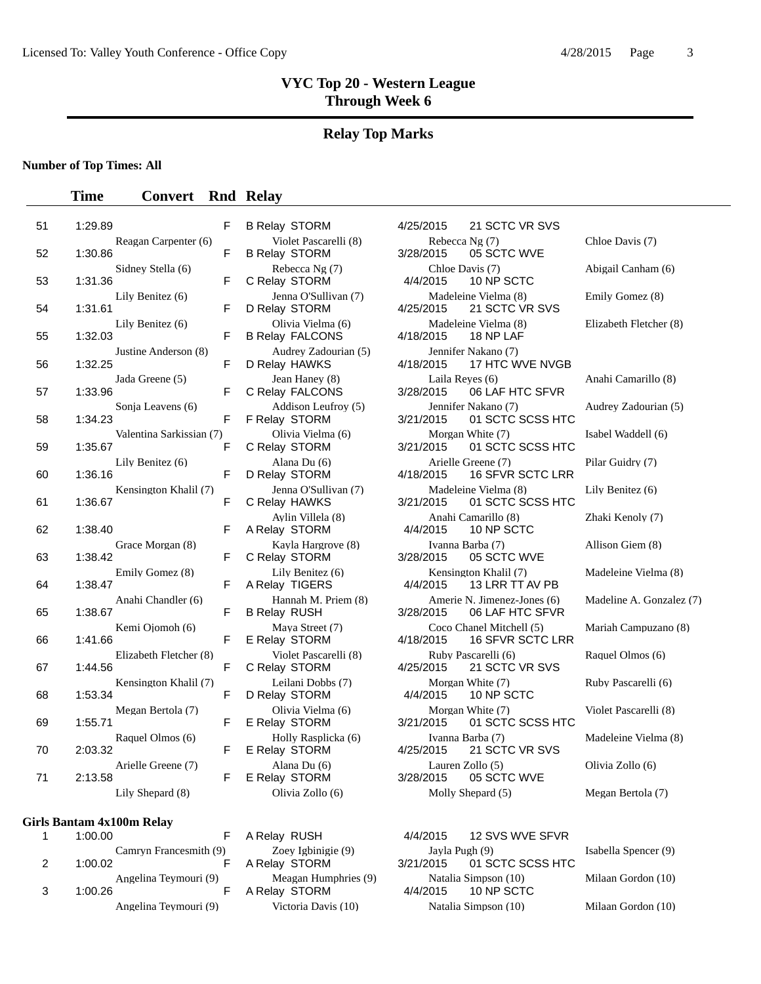#### **Relay Top Marks**

#### **Number of Top Times: All**

#### **Time Convert Rnd Relay**

| 51       | 1:29.89                                  | F      |
|----------|------------------------------------------|--------|
| 52       | Reagan Carpenter (6)<br>1:30.86          | F      |
| 53       | Sidney Stella (6)<br>1:31.36             | F      |
| 54       | Lily Benitez (6)<br>1:31.61              | F      |
| 55       | Lily Benitez (6)<br>1:32.03              | F      |
| 56       | Justine Anderson (8)<br>1:32.25          | F      |
| 57       | Jada Greene (5)<br>1:33.96               | F      |
| 58       | Sonja Leavens (6)<br>1:34.23             | F      |
|          | Valentina Sarkissian (7)                 |        |
| 59       | 1:35.67<br>Lily Benitez (6)              | F      |
| 60       | 1:36.16<br>Kensington Khalil (7)         | F      |
| 61       | 1:36.67                                  | F      |
|          |                                          |        |
| 62       | 1:38.40                                  | F      |
| 63       | Grace Morgan (8)<br>1:38.42              | F      |
| 64       | Emily Gomez (8)<br>1:38.47               | F      |
| 65       | Anahi Chandler (6)<br>1:38.67            | F      |
| 66       | Kemi Ojomoh (6)<br>1:41.66               | F      |
| 67       | Elizabeth Fletcher (8)<br>1:44.56        | F      |
| 68       | Kensington Khalil (7)<br>1:53.34         | F      |
| 69       | Megan Bertola (7)<br>1:55.71             | F      |
|          | Raquel Olmos (6)                         |        |
| 70<br>71 | 2:03.32<br>Arielle Greene (7)<br>2:13.58 | F<br>F |

#### **Girls Bantam 4x100m Relay**

|   | 1:00.00                           |
|---|-----------------------------------|
| 2 | Camryn Francesmith (9)<br>1:00.02 |
| 3 | Angelina Teymouri (9)<br>1:00.26  |
|   | Angelina Teymouri (9)             |

B Relay STORM 3/28/2015 E Relay STORM

A Relay STORM 4/4/2015

5 B Relay STORM 4/25/2015 21 SCTC VR SVS Violet Pascarelli (8) Rebecca Ng (7) Chloe Davis (7)<br>
lay STORM 3/28/2015 05 SCTC WVE Rebecca Ng (7) Chloe Davis (7) Chloe Davis (7) Abigail Canham (6) C Relay STORM 4/4/2015 10 NP SCTC Lily Benitez (6) Jenna O'Sullivan (7) Madeleine Vielma (8) Emily Gomez (8) D Relay STORM 4/25/2015 21 SCTC VR SVS Olivia Vielma (6) Madeleine Vielma (8) Elizabeth Fletcher (8)<br>lav FALCONS 4/18/2015 18 NP LAF B Relay FALCONS 4/18/2015 18 NP LAF Audrey Zadourian (5) Jennifer Nakano (7) F D Relay HAWKS 4/18/2015 17 HTC WVE NVGB Jean Haney (8) Laila Reyes (6) Anahi Camarillo (8)<br>F C Relay FALCONS 3/28/2015 06 LAE HTC SEVR C Relay FALCONS 3/28/2015 06 LAF HTC SFVR Addison Leufroy (5) Jennifer Nakano (7) Audrey Zadourian (5)<br>E Bolov, STORM 2/21/2015 01 SCTC SCSS HTC F Relay STORM 3/21/2015 01 SCTC SCSS HTC Olivia Vielma (6) Morgan White (7) Isabel Waddell (6) C Relay STORM 3/21/2015 01 SCTC SCSS HTC Alana Du (6) <br>
Lav STORM 4/18/2015 16 SFVR SCTC LRR D Relay STORM 4/18/2015 16 SFVR SCTC LRR Jenna O'Sullivan (7) Madeleine Vielma (8) Lily Benitez (6) F C Relay HAWKS 3/21/2015 01 SCTC SCSS HTC Aylin Villela (8) <br>
Anahi Camarillo (8) Zhaki Kenoly (7)<br>
4/4/2015 10 NP SCTC - A Relay STORM 4/4/2015 10 NP SCTC Kayla Hargrove (8)  $\frac{V}{2}$  Ivanna Barba (7) Allison Giem (8) C Relay STORM 3/28/2015 05 SCTC WVE Lily Benitez (6) Kensington Khalil (7) Madeleine Vielma (8) A Relay TIGERS 4/4/2015 13 LRR TT AV PB Hannah M. Priem (8) Amerie N. Jimenez-Jones (6) Madeline A. Gonzalez (7) B Relay RUSH 3/28/2015 06 LAF HTC SFVR Maya Street (7) Coco Chanel Mitchell (5) Mariah Campuzano (8) F E Relay STORM 4/18/2015 16 SFVR SCTC LRR Violet Pascarelli (8) Ruby Pascarelli (6) Raquel Olmos (6)<br>E C Relay STORM  $4/25/2015$  21 SCTC VR SVS C Relay STORM 4/25/2015 21 SCTC VR SVS Leilani Dobbs (7) Morgan White (7) Ruby Pascarelli (6) D Relay STORM 4/4/2015 10 NP SCTC Olivia Vielma (6) Morgan White (7) Violet Pascarelli (8) E Relay STORM 3/21/2015 01 SCTC SCSS HTC Holly Rasplicka (6) Ivanna Barba (7) Madeleine Vielma (8)<br>lay STORM 4/25/2015 21 SCTC VR SVS Alana Du (6) Lauren Zollo (5) Clivia Zollo (6) E Relay STORM 3/28/2015 05 SCTC WVE

A Relay RUSH 4/4/2015 12 SVS WVE SFVR Zoey Igbinigie (9)  $Jayla Pugh (9)$  Isabella Spencer (9) Isabella Spencer (9) Isabella Spencer (9) A Relay STORM 3/21/2015 01 SCTC SCSS HTC Meagan Humphries (9) Matalia Simpson (10) Milaan Gordon (10)<br>lay STORM 4/4/2015 10 NP SCTC Victoria Davis (10)  $Natalia Simpson (10)$  Milaan Gordon (10)

Lily Shepard (8) Olivia Zollo (6) Molly Shepard (5) Megan Bertola (7)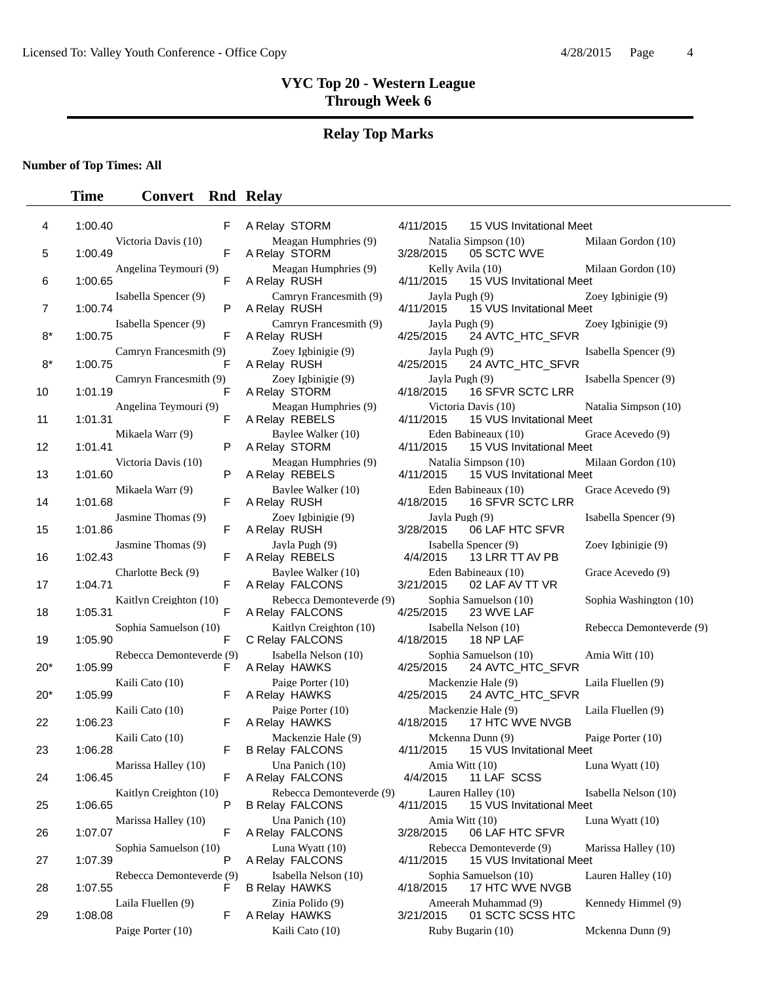#### **Relay Top Marks**

**Number of Top Times: All**

#### **Time Convert Rnd Relay**

| 4   | 1:00.40 |                          | F |
|-----|---------|--------------------------|---|
| 5   | 1:00.49 | Victoria Davis (10)      | F |
| 6   | 1:00.65 | Angelina Teymouri (9)    | F |
| 7   | 1:00.74 | Isabella Spencer (9)     | Ρ |
| 8*  | 1:00.75 | Isabella Spencer (9)     | F |
| 8*  |         | Camryn Francesmith (9)   | F |
|     | 1:00.75 | Camryn Francesmith (9)   |   |
| 10  | 1:01.19 | Angelina Teymouri (9)    | F |
| 11  | 1:01.31 |                          | F |
| 12  | 1:01.41 | Mikaela Warr (9)         | P |
| 13  | 1:01.60 | Victoria Davis (10)      | Ρ |
| 14  | 1:01.68 | Mikaela Warr (9)         | F |
| 15  | 1:01.86 | Jasmine Thomas (9)       | F |
| 16  | 1:02.43 | Jasmine Thomas (9)       | F |
|     |         | Charlotte Beck (9)       |   |
| 17  | 1:04.71 | Kaitlyn Creighton (10)   | F |
| 18  | 1:05.31 |                          | F |
| 19  | 1:05.90 | Sophia Samuelson (10)    | F |
| 20* | 1:05.99 | Rebecca Demonteverde (9) | F |
| 20* | 1:05.99 | Kaili Cato (10)          | F |
| 22  | 1:06.23 | Kaili Cato (10)          | F |
|     |         | Kaili Cato (10)          |   |
| 23  | 1:06.28 | Marissa Halley (10)      | F |
| 24  | 1:06.45 |                          |   |
| 25  | 1:06.65 | Kaitlyn Creighton (10)   | P |
| 26  | 1:07.07 | Marissa Halley (10)      | F |
| 27  | 1:07.39 | Sophia Samuelson (10)    | P |
| 28  | 1:07.55 | Rebecca Demonteverde (9) | F |
| 29  | 1:08.08 | Laila Fluellen (9)       | F |
|     |         | Paige Porter (10)        |   |

Meagan Humphries (9) A Relay STORM Meagan Humphries (9) A Relay RUSH Camryn Francesmith (9) A Relay RUSH Camryn Francesmith (9) A Relay RUSH Zoey Igbinigie (9) A Relay RUSH Zoey Igbinigie (9) A Relay STORM Meagan Humphries (9) A Relay REBELS Baylee Walker (10) A Relay STORM Meagan Humphries (9) A Relay REBELS Baylee Walker (10) A Relay RUSH Zoey Igbinigie (9) A Relay RUSH Jayla Pugh (9) A Relay REBELS Baylee Walker (10) A Relay FALCONS Rebecca Demonteverde (9) A Relay FALCONS C Relay FALCONS Isabella Nelson (10) A Relay HAWKS Paige Porter (10) A Relay HAWKS Paige Porter (10) A Relay HAWKS Mackenzie Hale (9) **B Relay FALCONS** Una Panich (10) A Relay FALCONS Rebecca Demonteverde (9) **B Relay FALCONS** Una Panich (10) A Relay FALCONS Luna Wyatt (10) A Relay FALCONS Isabella Nelson (10) **B Relay HAWKS** Zinia Polido (9) A Relay HAWKS 3:09.09 Kaili Cato (10)

A Relay STORM

| lay STORM                               | 4/11/2015                   | 15 VUS Invitational Meet                             |                          |
|-----------------------------------------|-----------------------------|------------------------------------------------------|--------------------------|
| Meagan Humphries (9)<br>lay STORM       | 3/28/2015                   | Natalia Simpson (10)<br>05 SCTC WVE                  | Milaan Gordon (10)       |
| Meagan Humphries (9)<br>lay RUSH        | 4/11/2015                   | Kelly Avila (10)<br>15 VUS Invitational Meet         | Milaan Gordon (10)       |
| Camryn Francesmith (9)<br>lay RUSH      | Jayla Pugh (9)<br>4/11/2015 | 15 VUS Invitational Meet                             | Zoey Igbinigie (9)       |
| Camryn Francesmith (9)<br>lav RUSH      | Jayla Pugh (9)<br>4/25/2015 | 24 AVTC_HTC_SFVR                                     | Zoey Igbinigie (9)       |
| Zoey Igbinigie (9)<br>lay RUSH          | Jayla Pugh (9)<br>4/25/2015 | 24 AVTC_HTC_SFVR                                     | Isabella Spencer (9)     |
| Zoey Igbinigie (9)<br>lay STORM         | Jayla Pugh (9)<br>4/18/2015 | <b>16 SFVR SCTC LRR</b>                              | Isabella Spencer (9)     |
| Meagan Humphries (9)<br>lay REBELS      | 4/11/2015                   | Victoria Davis (10)<br>15 VUS Invitational Meet      | Natalia Simpson (10)     |
| Baylee Walker (10)<br>lay STORM         | 4/11/2015                   | Eden Babineaux (10)<br>15 VUS Invitational Meet      | Grace Acevedo (9)        |
| Meagan Humphries (9)<br>lay REBELS      | 4/11/2015                   | Natalia Simpson (10)<br>15 VUS Invitational Meet     | Milaan Gordon (10)       |
| Baylee Walker (10)<br>lay RUSH          | 4/18/2015                   | Eden Babineaux (10)<br>16 SFVR SCTC LRR              | Grace Acevedo (9)        |
| Zoey Igbinigie (9)<br>lay RUSH          | Jayla Pugh (9)<br>3/28/2015 | 06 LAF HTC SFVR                                      | Isabella Spencer (9)     |
| Jayla Pugh (9)<br>lay REBELS            | 4/4/2015                    | Isabella Spencer (9)<br>13 LRR TT AV PB              | Zoey Igbinigie (9)       |
| Baylee Walker (10)<br>lay FALCONS       | 3/21/2015                   | Eden Babineaux (10)<br>02 LAF AV TT VR               | Grace Acevedo (9)        |
| Rebecca Demonteverde (9)<br>lay FALCONS | 4/25/2015                   | Sophia Samuelson (10)<br>23 WVE LAF                  | Sophia Washington (10)   |
| Kaitlyn Creighton (10)<br>lay FALCONS   | 4/18/2015                   | Isabella Nelson (10)<br>18 NP LAF                    | Rebecca Demonteverde (9) |
| Isabella Nelson (10)<br>lay HAWKS       | 4/25/2015                   | Sophia Samuelson (10)<br>24 AVTC_HTC_SFVR            | Amia Witt (10)           |
| Paige Porter (10)<br>lay HAWKS          | 4/25/2015                   | Mackenzie Hale (9)<br>24 AVTC_HTC_SFVR               | Laila Fluellen (9)       |
| Paige Porter (10)<br>lay HAWKS          | 4/18/2015                   | Mackenzie Hale (9)<br>17 HTC WVE NVGB                | Laila Fluellen (9)       |
| Mackenzie Hale (9)<br>lay FALCONS       | 4/11/2015                   | Mckenna Dunn (9)<br>15 VUS Invitational Meet         | Paige Porter (10)        |
| Una Panich (10)<br>lay FALCONS          |                             | Amia Witt (10)<br>4/4/2015 11 LAF SCSS               | Luna Wyatt (10)          |
| Rebecca Demonteverde (9)<br>lay FALCONS | 4/11/2015                   | Lauren Halley (10)<br>15 VUS Invitational Meet       | Isabella Nelson (10)     |
| Una Panich (10)<br>lay FALCONS          | 3/28/2015                   | Amia Witt (10)<br>06 LAF HTC SFVR                    | Luna Wyatt (10)          |
| Luna Wyatt (10)<br>lay FALCONS          | 4/11/2015                   | Rebecca Demonteverde (9)<br>15 VUS Invitational Meet | Marissa Halley (10)      |
| Isabella Nelson (10)<br>lay HAWKS       | 4/18/2015                   | Sophia Samuelson (10)<br>17 HTC WVE NVGB             | Lauren Halley (10)       |
| Zinia Polido (9)<br>lay HAWKS           | 3/21/2015                   | Ameerah Muhammad (9)<br>01 SCTC SCSS HTC             | Kennedy Himmel (9)       |
| Kaili Cato (10)                         |                             | Ruby Bugarin (10)                                    | Mckenna Dunn (9)         |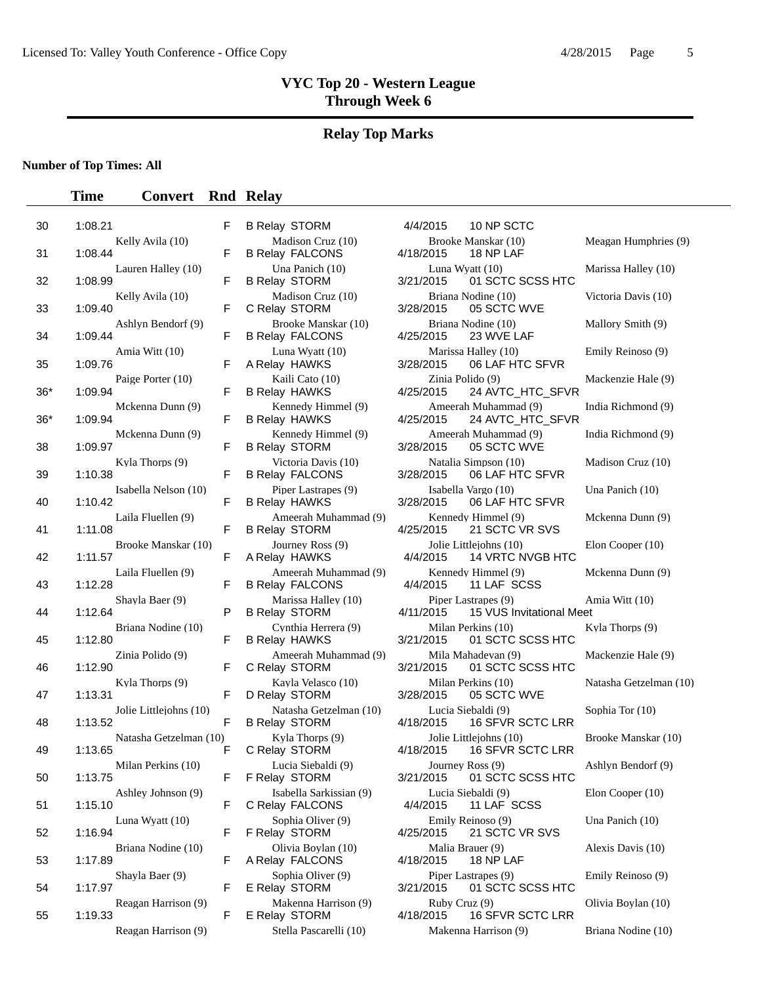#### **Relay Top Marks**

#### **Number of Top Times: All**

#### **Time Convert Rnd Relay**

| 30  | 1:08.21 | F                           |
|-----|---------|-----------------------------|
| 31  | 1:08.44 | Kelly Avila (10)<br>F       |
| 32  | 1:08.99 | Lauren Halley (10)<br>F     |
| 33  | 1:09.40 | Kelly Avila (10)<br>F       |
| 34  | 1:09.44 | Ashlyn Bendorf (9)<br>F     |
| 35  | 1:09.76 | Amia Witt (10)<br>F         |
| 36* | 1:09.94 | Paige Porter (10)<br>F      |
|     |         | Mckenna Dunn (9)            |
| 36* | 1:09.94 | F<br>Mckenna Dunn (9)       |
| 38  | 1:09.97 | F<br>Kyla Thorps (9)        |
| 39  | 1:10.38 | F<br>Isabella Nelson (10)   |
| 40  | 1:10.42 | F<br>Laila Fluellen (9)     |
| 41  | 1:11.08 | F<br>Brooke Manskar (10)    |
| 42  | 1:11.57 | F<br>Laila Fluellen (9)     |
| 43  | 1:12.28 | F                           |
| 44  | 1:12.64 | Shayla Baer (9)<br>F        |
| 45  | 1:12.80 | Briana Nodine (10)<br>F     |
| 46  | 1:12.90 | Zinia Polido (9)<br>F       |
| 47  | 1:13.31 | Kyla Thorps (9)<br>F        |
| 48  | 1:13.52 | Jolie Littlejohns (10)<br>F |
| 49  | 1:13.65 | Natasha Getzelman (10)<br>F |
| 50  | 1:13.75 | Milan Perkins (10)<br>F     |
| 51  | 1:15.10 | Ashley Johnson (9)<br>F     |
|     | 1:16.94 | Luna Wyatt (10)<br>F        |
| 52  |         | Briana Nodine (10)          |
| 53  | 1:17.89 | F<br>Shayla Baer (9)        |
| 54  | 1:17.97 | F<br>Reagan Harrison (9)    |
| 55  | 1:19.33 | F                           |

| $\overline{a}$           | <b>B Relay STORM</b>                           | 10 NP SCTC<br>4/4/2015                            |
|--------------------------|------------------------------------------------|---------------------------------------------------|
| $\overline{a}$           | Madison Cruz (10)<br><b>B Relay FALCONS</b>    | Brooke Manskar (10)<br>4/18/2015<br>18 NP LAF     |
| Ξ                        | Una Panich (10)<br><b>B Relay STORM</b>        | Luna Wyatt (10)<br>01 SCTC SC<br>3/21/2015        |
| Ξ                        | Madison Cruz (10)<br>C Relay STORM             | Briana Nodine (10)<br>05 SCTC WV<br>3/28/2015     |
| Ξ                        | Brooke Manskar (10)<br><b>B Relay FALCONS</b>  | Briana Nodine (10)<br>4/25/2015<br>23 WVE LAF     |
|                          | Luna Wyatt (10)<br>A Relay HAWKS               | Marissa Halley (10)<br>06 LAF HTC<br>3/28/2015    |
| $\overline{a}$           | Kaili Cato (10)<br><b>B Relay HAWKS</b>        | Zinia Polido (9)<br>4/25/2015<br>24 AVTC_HT       |
| Ξ                        | Kennedy Himmel (9)<br><b>B Relay HAWKS</b>     | Ameerah Muhammad (9<br>24 AVTC_HT<br>4/25/2015    |
| Ξ                        | Kennedy Himmel (9)<br><b>B Relay STORM</b>     | Ameerah Muhammad (9<br>05 SCTC WV<br>3/28/2015    |
| Ξ                        | Victoria Davis (10)<br><b>B Relay FALCONS</b>  | Natalia Simpson (10)<br>06 LAF HTC<br>3/28/2015   |
| Ξ                        | Piper Lastrapes (9)<br><b>B Relay HAWKS</b>    | Isabella Vargo (10)<br>3/28/2015<br>06 LAF HTC    |
| Ξ                        | Ameerah Muhammad (9)<br><b>B Relay STORM</b>   | Kennedy Himmel (9)<br>4/25/2015<br>21 SCTC VR     |
| Ξ                        | Journey Ross (9)<br>A Relay HAWKS              | Jolie Littlejohns (10)<br>14 VRTC NV<br>4/4/2015  |
| $\overline{a}$           | Ameerah Muhammad (9)<br><b>B Relay FALCONS</b> | Kennedy Himmel (9)<br>4/4/2015<br>11 LAF SCS      |
| כ                        | Marissa Halley (10)<br><b>B Relay STORM</b>    | Piper Lastrapes (9)<br>4/11/2015<br>15 VUS Invita |
|                          | Cynthia Herrera (9)<br><b>B Relay HAWKS</b>    | Milan Perkins (10)<br>01 SCTC SC<br>3/21/2015     |
| Ξ                        | Ameerah Muhammad (9)<br>C Relay STORM          | Mila Mahadevan (9)<br>01 SCTC SC<br>3/21/2015     |
| Ξ                        | Kayla Velasco (10)<br>D Relay STORM            | Milan Perkins (10)<br>05 SCTC WV<br>3/28/2015     |
| Ξ                        | Natasha Getzelman (10)<br><b>B Relay STORM</b> | Lucia Siebaldi (9)<br>4/18/2015  16 SFVR SC       |
| $\overline{\phantom{a}}$ | Kyla Thorps (9)<br>C Relay STORM               | Jolie Littlejohns (10)<br>16 SFVR SC<br>4/18/2015 |
|                          | Lucia Siebaldi (9)<br>F Relay STORM            | Journey Ross (9)<br>3/21/2015  01 SCTC SC         |
| Ξ                        | Isabella Sarkissian (9)<br>C Relay FALCONS     | Lucia Siebaldi (9)<br>11 LAF SCS<br>4/4/2015      |
| Ξ                        | Sophia Oliver (9)<br>F Relay STORM             | Emily Reinoso (9)<br>4/25/2015<br>21 SCTC VR      |
| Ξ                        | Olivia Boylan (10)<br>A Relay FALCONS          | Malia Brauer (9)<br>4/18/2015<br>18 NP LAF        |
| Ξ                        | Sophia Oliver (9)<br>E Relay STORM             | Piper Lastrapes (9)<br>3/21/2015<br>01 SCTC SC    |
| Ξ                        | Makenna Harrison (9)<br>E Relay STORM          | Ruby Cruz (9)<br>16 SFVR SC<br>4/18/2015          |
|                          |                                                |                                                   |

Brooke Manskar (10) Meagan Humphries (9) 4/18/2015 18 NP LAF Luna Wyatt (10) Marissa Halley (10) 3/21/2015 01 SCTC SCSS HTC Briana Nodine (10) Victoria Davis (10) 3/28/2015 05 SCTC WVE Briana Nodine (10) Mallory Smith (9)<br>4/25/2015 23 WVE LAF 23 WVE LAF Marissa Halley (10) Emily Reinoso (9) 3/28/2015 06 LAF HTC SFVR Zinia Polido (9) Mackenzie Hale (9) 4/25/2015 24 AVTC\_HTC\_SFVR Ameerah Muhammad (9) India Richmond (9) 4/25/2015 24 AVTC\_HTC\_SFVR Ameerah Muhammad (9) India Richmond (9) 3/28/2015 05 SCTC WVE Kyla Thorps (10) Madison Cruz (10) Victoria Davis (10) Madison Cruz (10) Madison Cruz (10) 06 LAF HTC SFVR Isabella Vargo (10) Una Panich (10) 3/28/2015 06 LAF HTC SFVR Kennedy Himmel (9) Mckenna Dunn (9) 4/25/2015 21 SCTC VR SVS Jolie Littlejohns (10) Elon Cooper (10) 4/4/2015 14 VRTC NVGB HTC Kennedy Himmel (9) Mckenna Dunn (9) 4/4/2015 11 LAF SCSS Piper Lastrapes (9) Amia Witt (10) 4/11/2015 15 VUS Invitational Meet Milan Perkins (10) Kyla Thorps (9) 3/21/2015 01 SCTC SCSS HTC Mila Mahadevan (9) Mackenzie Hale (9) 3/21/2015 01 SCTC SCSS HTC Milan Perkins (10) Natasha Getzelman (10) 3/28/2015 05 SCTC WVE Lucia Siebaldi (9) Sophia Tor (10) 4/18/2015 16 SFVR SCTC LRR Jolie Littlejohns (10) Brooke Manskar (10) 4/18/2015 16 SFVR SCTC LRR 16 SFVR SCTC LRR Journey Ross (9) Ashlyn Bendorf (9) 3/21/2015 01 SCTC SCSS HTC Lucia Siebaldi (9) Isabella Elon Cooper (10) 4/4/2015 11 LAF SCSS Emily Reinoso (9) Una Panich (10) 4/25/2015 21 SCTC VR SVS Malia Brauer (9) Alexis Davis (10) 4/18/2015 18 NP LAF Piper Lastrapes (9) Emily Reinoso (9) 3/21/2015 01 SCTC SCSS HTC Makenna Harrison (9) Ruby Cruz (9) Olivia Boylan (10) 4/18/2015 16 SFVR SCTC LRR Reagan Harrison (9) Stella Pascarelli (10) Makenna Harrison (9) Briana Nodine (10)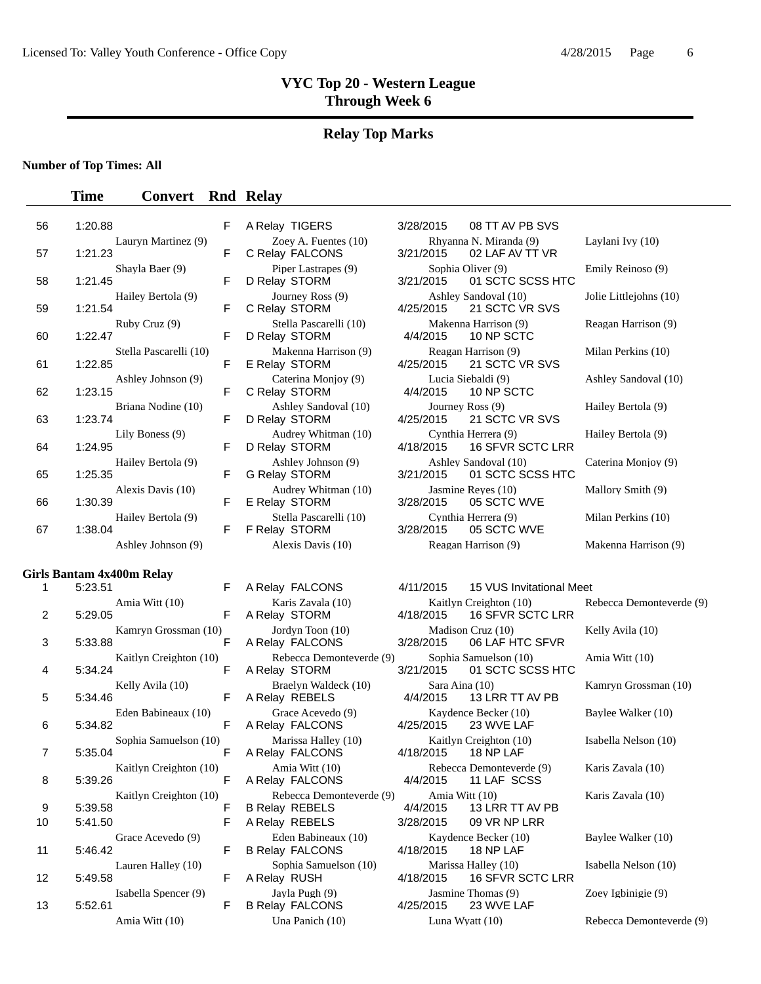#### **Relay Top Marks**

#### **Number of Top Times: All**

#### **Time Convert Rnd Relay**

| 56             | 1:20.88                           | F | A Relay TIGERS                            | 3/28/2015                  | 08 TT AV PB SVS                           |
|----------------|-----------------------------------|---|-------------------------------------------|----------------------------|-------------------------------------------|
| 57             | Lauryn Martinez (9)<br>1:21.23    | F | Zoey A. Fuentes $(10)$<br>C Relay FALCONS | 3/21/2015                  | Rhyanna N. Miranda (9)<br>02 LAF AV TT VR |
| 58             | Shayla Baer (9)<br>1:21.45        | F | Piper Lastrapes (9)<br>D Relay STORM      | 3/21/2015                  | Sophia Oliver (9)<br>01 SCTC SCSS H       |
| 59             | Hailey Bertola (9)<br>1:21.54     | F | Journey Ross (9)<br>C Relay STORM         | 4/25/2015                  | Ashley Sandoval (10)<br>21 SCTC VR SVS    |
| 60             | Ruby Cruz (9)<br>1:22.47          | F | Stella Pascarelli (10)<br>D Relay STORM   | 4/4/2015                   | Makenna Harrison (9)<br>10 NP SCTC        |
| 61             | Stella Pascarelli (10)<br>1:22.85 | F | Makenna Harrison (9)<br>E Relay STORM     | 4/25/2015                  | Reagan Harrison (9)<br>21 SCTC VR SVS     |
| 62             | Ashley Johnson (9)<br>1:23.15     | F | Caterina Monjoy (9)<br>C Relay STORM      | 4/4/2015                   | Lucia Siebaldi (9)<br>10 NP SCTC          |
| 63             | Briana Nodine (10)<br>1:23.74     | F | Ashley Sandoval (10)<br>D Relay STORM     | 4/25/2015                  | Journey Ross (9)<br>21 SCTC VR SVS        |
| 64             | Lily Boness (9)<br>1:24.95        | F | Audrey Whitman (10)<br>D Relay STORM      | 4/18/2015                  | Cynthia Herrera (9)<br>16 SFVR SCTC LI    |
| 65             | Hailey Bertola (9)<br>1:25.35     | F | Ashley Johnson (9)<br>G Relay STORM       | 3/21/2015                  | Ashley Sandoval (10)<br>01 SCTC SCSS H    |
| 66             | Alexis Davis (10)<br>1:30.39      | F | Audrey Whitman (10)<br>E Relay STORM      | 3/28/2015                  | Jasmine Reyes (10)<br>05 SCTC WVE         |
| 67             | Hailey Bertola (9)<br>1:38.04     | F | Stella Pascarelli (10)<br>F Relay STORM   | 3/28/2015                  | Cynthia Herrera (9)<br>05 SCTC WVE        |
|                | Ashley Johnson (9)                |   | Alexis Davis (10)                         |                            | Reagan Harrison (9)                       |
|                | Girls Bantam 4x400m Relay         |   |                                           |                            |                                           |
| 1              | 5:23.51                           | F | A Relay FALCONS                           | 4/11/2015                  | 15 VUS Invitationa                        |
| $\overline{2}$ | Amia Witt (10)<br>5:29.05         | F | Karis Zavala (10)<br>A Relay STORM        | 4/18/2015                  | Kaitlyn Creighton (10)<br>16 SFVR SCTC LI |
| 3              | Kamryn Grossman (10)<br>5:33.88   | F | Jordyn Toon (10)<br>A Relay FALCONS       | 3/28/2015                  | Madison Cruz (10)<br>06 LAF HTC SFV       |
| 4              | Kaitlyn Creighton (10)<br>5:34.24 | F | Rebecca Demonteverde (9)<br>A Relay STORM | 3/21/2015                  | Sophia Samuelson (10)<br>01 SCTC SCSS H   |
| 5              | Kelly Avila (10)<br>5:34.46       | F | Braelyn Waldeck (10)<br>A Relay REBELS    | Sara Aina (10)<br>4/4/2015 | 13 LRR TT AV PB                           |
|                |                                   |   |                                           |                            |                                           |

| 5  | 5:34.46                               |    | F A Relay REBELS                                                                                                                                                                                                                                                                                                    |                                                                                                                                                                                                                                                                                                                     | 4/4/2015 13 LRR TT AV PB                          |
|----|---------------------------------------|----|---------------------------------------------------------------------------------------------------------------------------------------------------------------------------------------------------------------------------------------------------------------------------------------------------------------------|---------------------------------------------------------------------------------------------------------------------------------------------------------------------------------------------------------------------------------------------------------------------------------------------------------------------|---------------------------------------------------|
| 6  | Eden Babineaux (10)<br>5:34.82        | F. | Grace Acevedo (9)<br>A Relay FALCONS                                                                                                                                                                                                                                                                                | 4/25/2015 23 WVE LAF                                                                                                                                                                                                                                                                                                | Kaydence Becker (10)                              |
| 7  | Sophia Samuelson (10)<br>5:35.04      | F. | Marissa Halley (10)<br>A Relay FALCONS                                                                                                                                                                                                                                                                              | 4/18/2015 18 NP LAF                                                                                                                                                                                                                                                                                                 | Kaitlyn Creighton (10)                            |
| 8  | Kaitlyn Creighton (10)<br>5:39.26     | F. | Amia Witt (10)<br>A Relay FALCONS                                                                                                                                                                                                                                                                                   |                                                                                                                                                                                                                                                                                                                     | Rebecca Demonteverde (9)<br>4/4/2015 11 LAF SCSS  |
| 9  | Kaitlyn Creighton (10)<br>5:39.58     | F. | Rebecca Demonteverde (9)<br>B Relay REBELS                                                                                                                                                                                                                                                                          | Amia Witt (10)                                                                                                                                                                                                                                                                                                      | 4/4/2015 13 LRR TT AV PB                          |
| 10 | 5:41.50                               | F. | A Relay REBELS                                                                                                                                                                                                                                                                                                      |                                                                                                                                                                                                                                                                                                                     | 3/28/2015 09 VR NP LRR                            |
| 11 | Grace Acevedo (9)<br>5:46.42          | F. | Eden Babineaux (10)<br>B Relay FALCONS                                                                                                                                                                                                                                                                              | 4/18/2015                                                                                                                                                                                                                                                                                                           | Kaydence Becker (10)<br>18 NP LAF                 |
| 12 | Lauren Halley (10)<br>5:49.58         | F. | Sophia Samuelson (10)<br>A Relay RUSH                                                                                                                                                                                                                                                                               |                                                                                                                                                                                                                                                                                                                     | Marissa Halley (10)<br>4/18/2015 16 SFVR SCTC LRR |
| 13 | Isabella Spencer (9)<br>5:52.61       | F. | Javla Pugh (9)<br>B Relay FALCONS                                                                                                                                                                                                                                                                                   | 4/25/2015 23 WVE LAF                                                                                                                                                                                                                                                                                                | Jasmine Thomas (9)                                |
|    | $\Lambda$ min W <sub>itt</sub> $(10)$ |    | $\frac{1}{2}$ $\frac{1}{2}$ $\frac{1}{2}$ $\frac{1}{2}$ $\frac{1}{2}$ $\frac{1}{2}$ $\frac{1}{2}$ $\frac{1}{2}$ $\frac{1}{2}$ $\frac{1}{2}$ $\frac{1}{2}$ $\frac{1}{2}$ $\frac{1}{2}$ $\frac{1}{2}$ $\frac{1}{2}$ $\frac{1}{2}$ $\frac{1}{2}$ $\frac{1}{2}$ $\frac{1}{2}$ $\frac{1}{2}$ $\frac{1}{2}$ $\frac{1}{2}$ | $\frac{1}{2}$ $\frac{1}{2}$ $\frac{1}{2}$ $\frac{1}{2}$ $\frac{1}{2}$ $\frac{1}{2}$ $\frac{1}{2}$ $\frac{1}{2}$ $\frac{1}{2}$ $\frac{1}{2}$ $\frac{1}{2}$ $\frac{1}{2}$ $\frac{1}{2}$ $\frac{1}{2}$ $\frac{1}{2}$ $\frac{1}{2}$ $\frac{1}{2}$ $\frac{1}{2}$ $\frac{1}{2}$ $\frac{1}{2}$ $\frac{1}{2}$ $\frac{1}{2}$ |                                                   |

| F  | Zoey A. Fuentes (10)<br>C Relay FALCONS                                     | 3/21/2015                  | Rhyanna N. Miranda (9)<br>02 LAF AV TT VR         | Laylani Ivy (10)         |
|----|-----------------------------------------------------------------------------|----------------------------|---------------------------------------------------|--------------------------|
| F  | Piper Lastrapes (9)<br>D Relay STORM                                        | 3/21/2015                  | Sophia Oliver (9)<br>01 SCTC SCSS HTC             | Emily Reinoso (9)        |
| F  | Journey Ross (9)<br>C Relay STORM                                           | 4/25/2015                  | Ashley Sandoval (10)<br>21 SCTC VR SVS            | Jolie Littlejohns (10)   |
| F  | Stella Pascarelli (10)<br>D Relay STORM                                     | 4/4/2015                   | Makenna Harrison (9)<br>10 NP SCTC                | Reagan Harrison (9)      |
| F  | Makenna Harrison (9)<br>E Relay STORM                                       | 4/25/2015                  | Reagan Harrison (9)<br>21 SCTC VR SVS             | Milan Perkins (10)       |
| F  | Caterina Monjoy (9)<br>C Relay STORM                                        | 4/4/2015                   | Lucia Siebaldi (9)<br>10 NP SCTC                  | Ashley Sandoval (10)     |
| F  | Ashley Sandoval (10)<br>D Relay STORM                                       | 4/25/2015                  | Journey Ross (9)<br>21 SCTC VR SVS                | Hailey Bertola (9)       |
| Ė. | Audrey Whitman (10)<br>D Relay STORM                                        | 4/18/2015                  | Cynthia Herrera (9)<br><b>16 SFVR SCTC LRR</b>    | Hailey Bertola (9)       |
| F  | Ashley Johnson (9)<br><b>G Relay STORM</b>                                  | 3/21/2015                  | Ashley Sandoval (10)<br>01 SCTC SCSS HTC          | Caterina Monjoy (9)      |
| F  | Audrey Whitman (10)<br>E Relay STORM                                        | 3/28/2015                  | Jasmine Reyes (10)<br>05 SCTC WVE                 | Mallory Smith (9)        |
| F  | Stella Pascarelli (10)<br>F Relay STORM                                     | 3/28/2015                  | Cynthia Herrera (9)<br>05 SCTC WVE                | Milan Perkins (10)       |
|    | Alexis Davis (10)                                                           |                            | Reagan Harrison (9)                               | Makenna Harrison (9)     |
| F  | A Relay FALCONS                                                             | 4/11/2015                  | 15 VUS Invitational Meet                          |                          |
| E. | Karis Zavala (10)<br>A Relay STORM                                          | 4/18/2015                  | Kaitlyn Creighton (10)<br><b>16 SFVR SCTC LRR</b> | Rebecca Demonteverde (9) |
| E. | Jordyn Toon (10)<br>A Relay FALCONS                                         | 3/28/2015                  | Madison Cruz (10)<br>06 LAF HTC SFVR              | Kelly Avila (10)         |
| F  | Rebecca Demonteverde (9)<br>A Relay STORM                                   | 3/21/2015                  | Sophia Samuelson (10)<br>01 SCTC SCSS HTC         | Amia Witt (10)           |
| E. | Braelyn Waldeck (10)<br>A Relay REBELS                                      | Sara Aina (10)<br>4/4/2015 | 13 LRR TT AV PB                                   | Kamryn Grossman (10)     |
| E. | Grace Acevedo (9)<br>A Relay FALCONS                                        | 4/25/2015                  | Kaydence Becker (10)<br>23 WVE LAF                | Baylee Walker (10)       |
| E. | Marissa Halley (10)<br>A Relay FALCONS                                      | 4/18/2015                  | Kaitlyn Creighton (10)<br>18 NP LAF               | Isabella Nelson (10)     |
| E. | Amia Witt (10)<br>A Relay FALCONS                                           | 4/4/2015                   | Rebecca Demonteverde (9)<br>11 LAF SCSS           | Karis Zavala (10)        |
| E  | Rebecca Demonteverde (9)<br><b>B Relay REBELS</b><br>$AD = L$ , $D = D = L$ | Amia Witt (10)<br>4/4/2015 | 13 LRR TT AV PB                                   | Karis Zavala (10)        |
|    |                                                                             | 0.0000000                  | 0.101010100                                       |                          |

4/4/2015 13 LRR TT AV PB Eden Babineaux (10) Kaydence Becker (10) Baylee Walker (10) Sophia Samuelson (10) Marissa Halley (10) Isabella Nelson (10)<br>lav RUSH 4/18/2015 16 SFVR SCTC LRR Iayla Pugh (9) Jasmine Thomas (9) Zoey Igbinigie (9)

| IXII yanna IV. IVIII anua (99 | Layiani IVV (IV)       |
|-------------------------------|------------------------|
| 3/21/2015 02 LAF AV TT VR     |                        |
| Sophia Oliver (9)             | Emily Reinoso (9)      |
| 3/21/2015 01 SCTC SCSS HTC    |                        |
| Ashley Sandoval (10)          | Jolie Littlejohns (10) |
| 4/25/2015 21 SCTC VR SVS      |                        |
| Makenna Harrison (9)          | Reagan Harrison (9)    |
| 4/4/2015 10 NP SCTC           |                        |
| Reagan Harrison (9)           | Milan Perkins (10)     |
| 4/25/2015 21 SCTC VR SVS      |                        |
| Lucia Siebaldi (9)            | Ashley Sandoval (10)   |
| 4/4/2015 10 NP SCTC           |                        |
| Journey Ross (9)              | Hailey Bertola (9)     |
| 4/25/2015 21 SCTC VR SVS      |                        |
| Cynthia Herrera (9)           | Hailey Bertola (9)     |
| 4/18/2015 16 SFVR SCTC LRR    |                        |
| Ashley Sandoval (10)          | Caterina Moniov (9)    |
| 3/21/2015 01 SCTC SCSS HTC    |                        |
| Jasmine Reyes (10)            | Mallory Smith (9)      |
| 3/28/2015 05 SCTC WVE         |                        |
| Cynthia Herrera (9)           | Milan Perkins (10)     |
| 3/28/2015 05 SCTC WVE         |                        |

Sara Aina (10) **Branch** (10) **Branch** (10) **Branch** (10) Kaydence Becker (10) Baylee Walker (10) Kaitlyn Creighton (10) Isabella Nelson (10) <br>015 18 NP LAF Rebecca Demonteverde (9) Karis Zavala (10) Amia Witt (10) Una Panich (10) Luna Wyatt (10) Rebecca Demonteverde (9)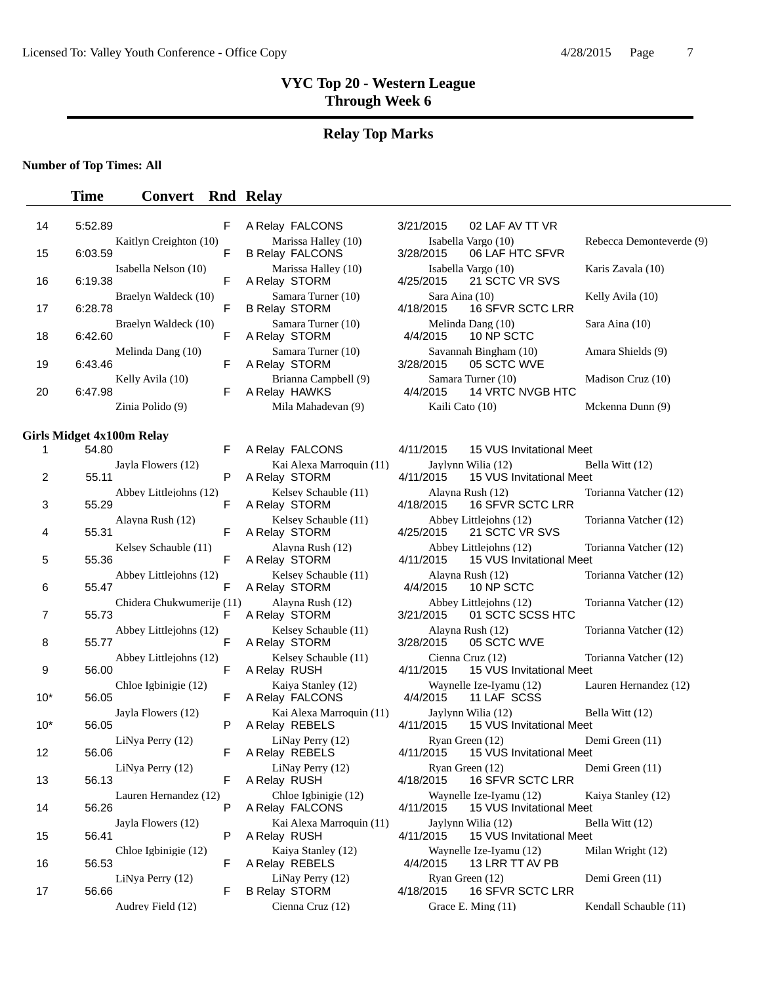## **Relay Top Marks**

**Number of Top Times: All**

| 14             | 5:52.89 |                           | F  | A Relay FALCONS                               | 3/21/2015                   | 02 LAF AV TT VR                                     |                          |
|----------------|---------|---------------------------|----|-----------------------------------------------|-----------------------------|-----------------------------------------------------|--------------------------|
| 15             | 6:03.59 | Kaitlyn Creighton (10)    | F  | Marissa Halley (10)<br><b>B Relay FALCONS</b> | 3/28/2015                   | Isabella Vargo (10)<br>06 LAF HTC SFVR              | Rebecca Demonteverde (9) |
| 16             | 6:19.38 | Isabella Nelson (10)      | F  | Marissa Halley (10)<br>A Relay STORM          | 4/25/2015                   | Isabella Vargo (10)<br>21 SCTC VR SVS               | Karis Zavala (10)        |
| 17             | 6:28.78 | Braelyn Waldeck (10)      | F  | Samara Turner (10)<br><b>B Relay STORM</b>    | Sara Aina (10)<br>4/18/2015 | 16 SFVR SCTC LRR                                    | Kelly Avila (10)         |
| 18             | 6:42.60 | Braelyn Waldeck (10)      | F  | Samara Turner (10)<br>A Relay STORM           | 4/4/2015                    | Melinda Dang (10)<br>10 NP SCTC                     | Sara Aina (10)           |
| 19             | 6:43.46 | Melinda Dang (10)         | F  | Samara Turner (10)<br>A Relay STORM           | 3/28/2015                   | Savannah Bingham (10)<br>05 SCTC WVE                | Amara Shields (9)        |
| 20             | 6:47.98 | Kelly Avila (10)          | F. | Brianna Campbell (9)<br>A Relay HAWKS         | 4/4/2015                    | Samara Turner (10)<br>14 VRTC NVGB HTC              | Madison Cruz (10)        |
|                |         | Zinia Polido (9)          |    | Mila Mahadevan (9)                            | Kaili Cato (10)             |                                                     | Mckenna Dunn (9)         |
|                |         | Girls Midget 4x100m Relay |    |                                               |                             |                                                     |                          |
| 1              | 54.80   |                           | F  | A Relay FALCONS                               | 4/11/2015                   | 15 VUS Invitational Meet                            |                          |
| $\overline{2}$ | 55.11   | Jayla Flowers (12)        | P  | Kai Alexa Marroquin (11)<br>A Relay STORM     | 4/11/2015                   | Jaylynn Wilia (12)<br>15 VUS Invitational Meet      | Bella Witt (12)          |
| 3              | 55.29   | Abbey Littlejohns (12)    | F  | Kelsey Schauble (11)<br>A Relay STORM         | 4/18/2015                   | Alayna Rush (12)<br>16 SFVR SCTC LRR                | Torianna Vatcher (12)    |
| 4              | 55.31   | Alayna Rush (12)          | F  | Kelsey Schauble (11)<br>A Relay STORM         | 4/25/2015                   | Abbey Littlejohns (12)<br>21 SCTC VR SVS            | Torianna Vatcher (12)    |
| 5              | 55.36   | Kelsey Schauble (11)      | F  | Alayna Rush (12)<br>A Relay STORM             | 4/11/2015                   | Abbey Littlejohns (12)<br>15 VUS Invitational Meet  | Torianna Vatcher (12)    |
| 6              | 55.47   | Abbey Littlejohns (12)    | F  | Kelsev Schauble (11)<br>A Relay STORM         | 4/4/2015                    | Alayna Rush (12)<br>10 NP SCTC                      | Torianna Vatcher (12)    |
| 7              | 55.73   | Chidera Chukwumerije (11) | F  | Alayna Rush (12)<br>A Relay STORM             | 3/21/2015                   | Abbey Littlejohns (12)<br>01 SCTC SCSS HTC          | Torianna Vatcher (12)    |
| 8              | 55.77   | Abbey Littlejohns (12)    | F  | Kelsey Schauble (11)<br>A Relay STORM         | 3/28/2015                   | Alayna Rush (12)<br>05 SCTC WVE                     | Torianna Vatcher (12)    |
| 9              | 56.00   | Abbey Littlejohns (12)    | F  | Kelsey Schauble (11)<br>A Relay RUSH          | 4/11/2015                   | Cienna Cruz (12)<br>15 VUS Invitational Meet        | Torianna Vatcher (12)    |
| $10*$          | 56.05   | Chloe Igbinigie (12)      | F  | Kaiya Stanley (12)<br>A Relay FALCONS         | 4/4/2015                    | Waynelle Ize-Iyamu (12)<br>11 LAF SCSS              | Lauren Hernandez (12)    |
| $10*$          | 56.05   | Jayla Flowers (12)        | P  | Kai Alexa Marroquin (11)<br>A Relay REBELS    | 4/11/2015                   | Jaylynn Wilia (12)<br>15 VUS Invitational Meet      | Bella Witt (12)          |
| 12             | 56.06   | LiNya Perry (12)          | F  | LiNay Perry (12)<br>A Relay REBELS            | 4/11/2015                   | Ryan Green (12)<br>15 VUS Invitational Meet         | Demi Green (11)          |
| 13             | 56.13   | LiNya Perry (12)          |    | LiNay Perry (12)<br>F A Relay RUSH            | 4/18/2015                   | Ryan Green (12)<br><b>16 SFVR SCTC LRR</b>          | Demi Green (11)          |
| 14             | 56.26   | Lauren Hernandez (12)     | P  | Chloe Igbinigie (12)<br>A Relay FALCONS       | 4/11/2015                   | Waynelle Ize-Iyamu (12)<br>15 VUS Invitational Meet | Kaiya Stanley (12)       |
| 15             | 56.41   | Jayla Flowers (12)        | P  | Kai Alexa Marroquin (11)<br>A Relay RUSH      | 4/11/2015                   | Jaylynn Wilia (12)<br>15 VUS Invitational Meet      | Bella Witt (12)          |
| 16             | 56.53   | Chloe Igbinigie (12)      | F  | Kaiya Stanley (12)<br>A Relay REBELS          | 4/4/2015                    | Waynelle Ize-Iyamu (12)<br>13 LRR TT AV PB          | Milan Wright (12)        |
| 17             | 56.66   | LiNya Perry (12)          | F  | LiNay Perry (12)<br><b>B Relay STORM</b>      | 4/18/2015                   | Ryan Green (12)<br>16 SFVR SCTC LRR                 | Demi Green (11)          |
|                |         | Audrey Field (12)         |    | Cienna Cruz (12)                              |                             | Grace E. Ming (11)                                  | Kendall Schauble (11)    |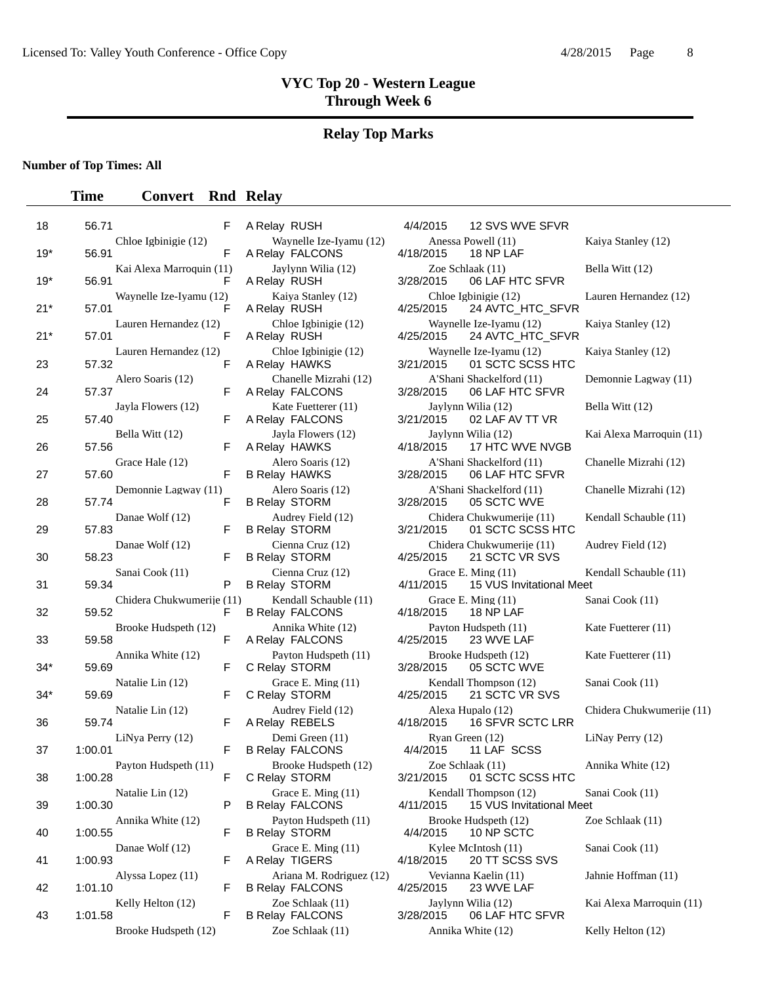# **Relay Top Marks**

### **Number of Top Times: All**

| 18    | 56.71   |                           | F  | A Relay RUSH                                       | 4/4/2015  | 12 SVS WVE SFVR                                   |                           |
|-------|---------|---------------------------|----|----------------------------------------------------|-----------|---------------------------------------------------|---------------------------|
| $19*$ | 56.91   | Chloe Igbinigie (12)      | F  | Waynelle Ize-Ivamu (12)<br>A Relay FALCONS         | 4/18/2015 | Anessa Powell (11)<br>18 NP LAF                   | Kaiya Stanley (12)        |
| $19*$ | 56.91   | Kai Alexa Marroquin (11)  | F  | Jaylynn Wilia (12)<br>A Relay RUSH                 | 3/28/2015 | Zoe Schlaak (11)<br>06 LAF HTC SFVR               | Bella Witt (12)           |
| $21*$ | 57.01   | Waynelle Ize-Iyamu (12)   | F  | Kaiya Stanley (12)<br>A Relay RUSH                 | 4/25/2015 | Chloe Igbinigie (12)<br>24 AVTC_HTC_SFVR          | Lauren Hernandez (12)     |
| $21*$ | 57.01   | Lauren Hernandez (12)     | F  | Chloe Igbinigie (12)<br>A Relay RUSH               | 4/25/2015 | Waynelle Ize-Iyamu (12)<br>24 AVTC_HTC_SFVR       | Kaiya Stanley (12)        |
| 23    | 57.32   | Lauren Hernandez (12)     | F  | Chloe Igbinigie (12)<br>A Relay HAWKS              | 3/21/2015 | Waynelle Ize-Iyamu (12)<br>01 SCTC SCSS HTC       | Kaiya Stanley (12)        |
| 24    | 57.37   | Alero Soaris (12)         | F. | Chanelle Mizrahi (12)<br>A Relay FALCONS           | 3/28/2015 | A'Shani Shackelford (11)<br>06 LAF HTC SFVR       | Demonnie Lagway (11)      |
| 25    | 57.40   | Jayla Flowers (12)        | F  | Kate Fuetterer (11)<br>A Relay FALCONS             | 3/21/2015 | Jaylynn Wilia (12)<br>02 LAF AV TT VR             | Bella Witt (12)           |
| 26    | 57.56   | Bella Witt (12)           | F  | Jayla Flowers (12)<br>A Relay HAWKS                | 4/18/2015 | Jaylynn Wilia (12)<br>17 HTC WVE NVGB             | Kai Alexa Marroquin (11)  |
| 27    | 57.60   | Grace Hale (12)           | F  | Alero Soaris (12)<br><b>B Relay HAWKS</b>          | 3/28/2015 | A'Shani Shackelford (11)<br>06 LAF HTC SFVR       | Chanelle Mizrahi (12)     |
| 28    | 57.74   | Demonnie Lagway (11)      | F  | Alero Soaris (12)<br><b>B Relay STORM</b>          | 3/28/2015 | A'Shani Shackelford (11)<br>05 SCTC WVE           | Chanelle Mizrahi (12)     |
| 29    | 57.83   | Danae Wolf (12)           | F. | Audrey Field (12)<br><b>B Relay STORM</b>          | 3/21/2015 | Chidera Chukwumerije (11)<br>01 SCTC SCSS HTC     | Kendall Schauble (11)     |
| 30    | 58.23   | Danae Wolf (12)           | F  | Cienna Cruz (12)<br><b>B Relay STORM</b>           | 4/25/2015 | Chidera Chukwumerije (11)<br>21 SCTC VR SVS       | Audrey Field (12)         |
| 31    | 59.34   | Sanai Cook (11)           | P  | Cienna Cruz (12)<br><b>B Relay STORM</b>           | 4/11/2015 | Grace E. Ming (11)<br>15 VUS Invitational Meet    | Kendall Schauble (11)     |
| 32    | 59.52   | Chidera Chukwumerije (11) | F  | Kendall Schauble (11)<br><b>B Relay FALCONS</b>    | 4/18/2015 | Grace E. Ming (11)<br>18 NP LAF                   | Sanai Cook (11)           |
| 33    | 59.58   | Brooke Hudspeth (12)      | F  | Annika White (12)<br>A Relay FALCONS               | 4/25/2015 | Payton Hudspeth (11)<br>23 WVE LAF                | Kate Fuetterer (11)       |
| $34*$ | 59.69   | Annika White (12)         | F  | Payton Hudspeth (11)<br>C Relay STORM              | 3/28/2015 | Brooke Hudspeth (12)<br>05 SCTC WVE               | Kate Fuetterer (11)       |
| $34*$ | 59.69   | Natalie Lin (12)          | F  | Grace E. Ming (11)<br>C Relay STORM                | 4/25/2015 | Kendall Thompson (12)<br>21 SCTC VR SVS           | Sanai Cook (11)           |
| 36    | 59.74   | Natalie Lin (12)          | F. | Audrey Field (12)<br>A Relay REBELS                | 4/18/2015 | Alexa Hupalo (12)<br>16 SFVR SCTC LRR             | Chidera Chukwumerije (11) |
| 37    | 1:00.01 | LiNya Perry (12)          | F  | Demi Green (11)<br><b>B Relay FALCONS</b>          | 4/4/2015  | Ryan Green (12)<br>11 LAF SCSS                    | LiNay Perry (12)          |
| 38    | 1:00.28 | Payton Hudspeth (11)      | F  | Brooke Hudspeth (12)<br>C Relay STORM              | 3/21/2015 | Zoe Schlaak (11)<br>01 SCTC SCSS HTC              | Annika White (12)         |
| 39    | 1:00.30 | Natalie Lin (12)          | P  | Grace E. Ming (11)<br><b>B Relay FALCONS</b>       | 4/11/2015 | Kendall Thompson (12)<br>15 VUS Invitational Meet | Sanai Cook (11)           |
| 40    | 1:00.55 | Annika White (12)         | F. | Payton Hudspeth (11)<br><b>B Relay STORM</b>       | 4/4/2015  | Brooke Hudspeth (12)<br>10 NP SCTC                | Zoe Schlaak (11)          |
| 41    | 1:00.93 | Danae Wolf (12)           | F  | Grace E. Ming (11)<br>A Relay TIGERS               | 4/18/2015 | Kylee McIntosh (11)<br>20 TT SCSS SVS             | Sanai Cook (11)           |
| 42    | 1:01.10 | Alyssa Lopez (11)         | F  | Ariana M. Rodriguez (12)<br><b>B Relay FALCONS</b> | 4/25/2015 | Vevianna Kaelin (11)<br>23 WVE LAF                | Jahnie Hoffman (11)       |
| 43    | 1:01.58 | Kelly Helton (12)         | F. | Zoe Schlaak (11)<br><b>B Relay FALCONS</b>         | 3/28/2015 | Jaylynn Wilia (12)<br>06 LAF HTC SFVR             | Kai Alexa Marroquin (11)  |
|       |         | Brooke Hudspeth (12)      |    | Zoe Schlaak (11)                                   |           | Annika White (12)                                 | Kelly Helton (12)         |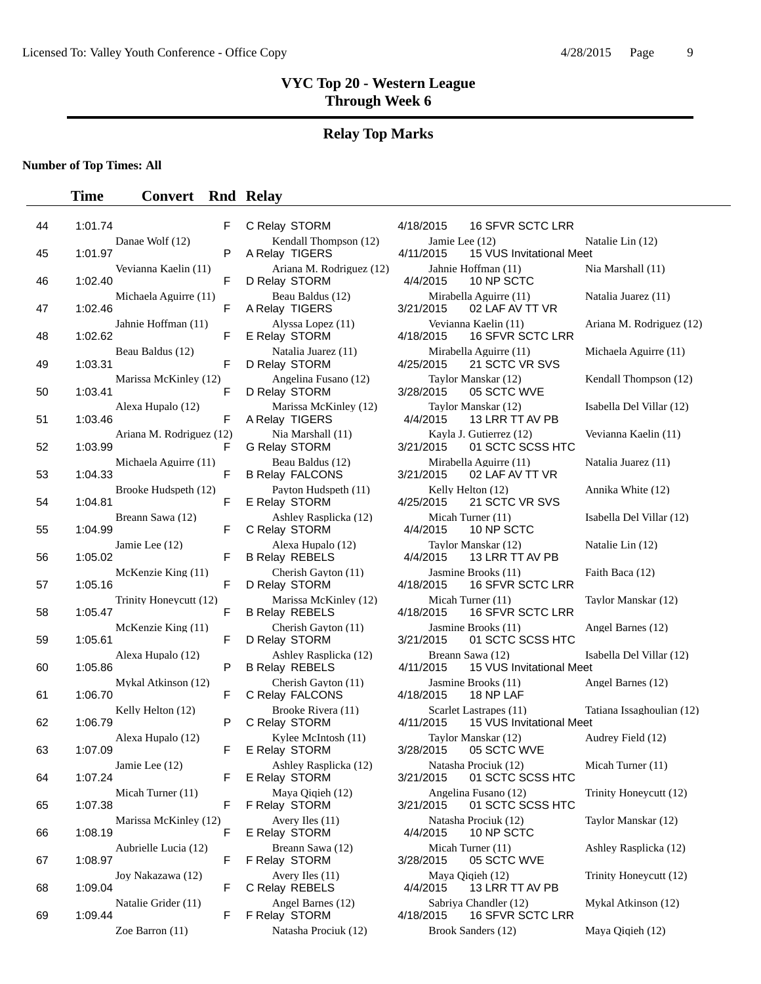#### **Relay Top Marks**

**Number of Top Times: All**

#### **Time Convert Rnd Relay**

| 44 | 1:01.74 |                          | F |
|----|---------|--------------------------|---|
| 45 | 1:01.97 | Danae Wolf (12)          | Ρ |
| 46 | 1:02.40 | Vevianna Kaelin (11)     | F |
| 47 | 1:02.46 | Michaela Aguirre (11)    | F |
| 48 | 1:02.62 | Jahnie Hoffman (11)      | F |
| 49 | 1:03.31 | Beau Baldus (12)         | F |
|    |         | Marissa McKinley (12)    |   |
| 50 | 1:03.41 | Alexa Hupalo (12)        | F |
| 51 | 1:03.46 | Ariana M. Rodriguez (12) | F |
| 52 | 1:03.99 | Michaela Aguirre (11)    | F |
| 53 | 1:04.33 | Brooke Hudspeth (12)     | F |
| 54 | 1:04.81 | Breann Sawa (12)         | F |
| 55 | 1:04.99 | Jamie Lee (12)           | F |
| 56 | 1:05.02 |                          | F |
| 57 | 1:05.16 | McKenzie King (11)       | F |
| 58 | 1:05.47 | Trinity Honeycutt (12)   | F |
| 59 | 1:05.61 | McKenzie King (11)       | F |
| 60 | 1:05.86 | Alexa Hupalo (12)        | P |
| 61 | 1:06.70 | Mykal Atkinson (12)      | F |
| 62 | 1:06.79 | Kelly Helton (12)        | Ρ |
| 63 | 1:07.09 | Alexa Hupalo (12)        | F |
| 64 | 1:07.24 | Jamie Lee (12)           |   |
| 65 | 1:07.38 | Micah Turner (11)        | F |
| 66 | 1:08.19 | Marissa McKinley (12)    | F |
|    |         | Aubrielle Lucia (12)     |   |
| 67 | 1:08.97 | Joy Nakazawa (12)        | F |
| 68 | 1:09.04 | Natalie Grider (11)      | F |
| 69 | 1:09.44 |                          | F |

D Relay STORM 4/4/2015 10 NP SCTC C Relay STORM 4/4/2015 10 NP SCTC C Relay FALCONS 4/18/2015 18 NP LAF E Relay STORM E Relay STORM 4/4/2015 10 NP SCTC

C Relay STORM 4/18/2015 16 SFVR SCTC LRR Kendall Thompson (12) Jamie Lee (12) Natalie Lin (12) A Relay TIGERS 4/11/2015 15 VUS Invitational Meet Ariana M. Rodriguez (12) Jahnie Hoffman (11) Nia Marshall (11) Beau Baldus (12) Mirabella Aguirre (11) Natalia Juarez (11) A Relay TIGERS 3/21/2015 02 LAF AV TT VR Alyssa Lopez (11) <br>
Jav STORM 4/18/2015 16 SFVR SCTC LRR E Relay STORM 4/18/2015 16 SFVR SCTC LRR Natalia Juarez (11) Mirabella Aguirre (11) Michaela Aguirre (11) D Relay STORM 4/25/2015 21 SCTC VR SVS Angelina Fusano (12) Taylor Manskar (12) Kendall Thompson (12) D Relay STORM 3/28/2015 05 SCTC WVE Marissa McKinley (12) Taylor Manskar (12) Isabella Del Villar (12) A Relay TIGERS 4/4/2015 13 LRR TT AV PB Nia Marshall (11) Kayla J. Gutierrez (12) Vevianna Kaelin (11) G Relay STORM 3/21/2015 01 SCTC SCSS HTC Beau Baldus (12) Mirabella Aguirre (11) Natalia Juarez (11)<br>lay FALCONS 3/21/2015 02 LAF AV TT VR B Relay FALCONS 3/21/2015 02 LAF AV TT VR Payton Hudspeth (11) Kelly Helton (12) Annika White (12) E Relay STORM 4/25/2015 21 SCTC VR SVS Ashley Rasplicka (12) Micah Turner (11) Isabella Del Villar (12) Alexa Hupalo (12) Taylor Manskar (12) Natalie Lin (12) B Relay REBELS 4/4/2015 13 LRR TT AV PB Cherish Gayton (11) Jasmine Brooks (11) Faith Baca (12) D Relay STORM 4/18/2015 16 SFVR SCTC LRR Marissa McKinley (12) Micah Turner (11) Taylor Manskar (12) B Relay REBELS 4/18/2015 16 SFVR SCTC LRR Cherish Gayton (11) Jasmine Brooks (11) Angel Barnes (12) D Relay STORM 3/21/2015 01 SCTC SCSS HTC Ashley Rasplicka (12) Breann Sawa (12) Isabella Del Villar (12) B Relay REBELS 4/11/2015 15 VUS Invitational Meet Cherish Gayton (11) Jasmine Brooks (11) Angel Barnes (12) Brooke Rivera (11) Scarlet Lastrapes (11) Tatiana Issaghoulian (12) C Relay STORM 4/11/2015 15 VUS Invitational Meet Kylee McIntosh (11) Taylor Manskar (12) Audrey Field (12)<br>  $\frac{12}{10}$  STORM 3/28/2015 05 SCTC WVE Ashley Rasplicka (12) Natasha Prociuk (12) Micah Turner (11) E Relay STORM 3/21/2015 01 SCTC SCSS HTC Maya Qiqieh (12) **Angelina Fusano (12)** Trinity Honeycutt (12) F Relay STORM 3/21/2015 01 SCTC SCSS HTC Avery Iles (11) **Natasha Prociuk (12)** Taylor Manskar (12) Breann Sawa (12) **Micah Turner (11)** Ashley Rasplicka (12) F Relay STORM 3/28/2015 05 SCTC WVE Avery Iles (11) Maya Qiqieh (12) Trinity Honeycutt (12) C Relay REBELS 4/4/2015 13 LRR TT AV PB Angel Barnes (12) <br>  $\begin{array}{ccc}\n & & \text{Sabriya Chandler (12)} \\
 & & \text{Mykal Atkinson (12)} \\
\hline\n & & \text{4/18/2015} \\
 & & \text{16 SFVR SCTC LRR}\n \end{array}$ F Relay STORM 4/18/2015 16 SFVR SCTC LRR Zoe Barron (11) Natasha Prociuk (12) Brook Sanders (12) Maya Qiqieh (12)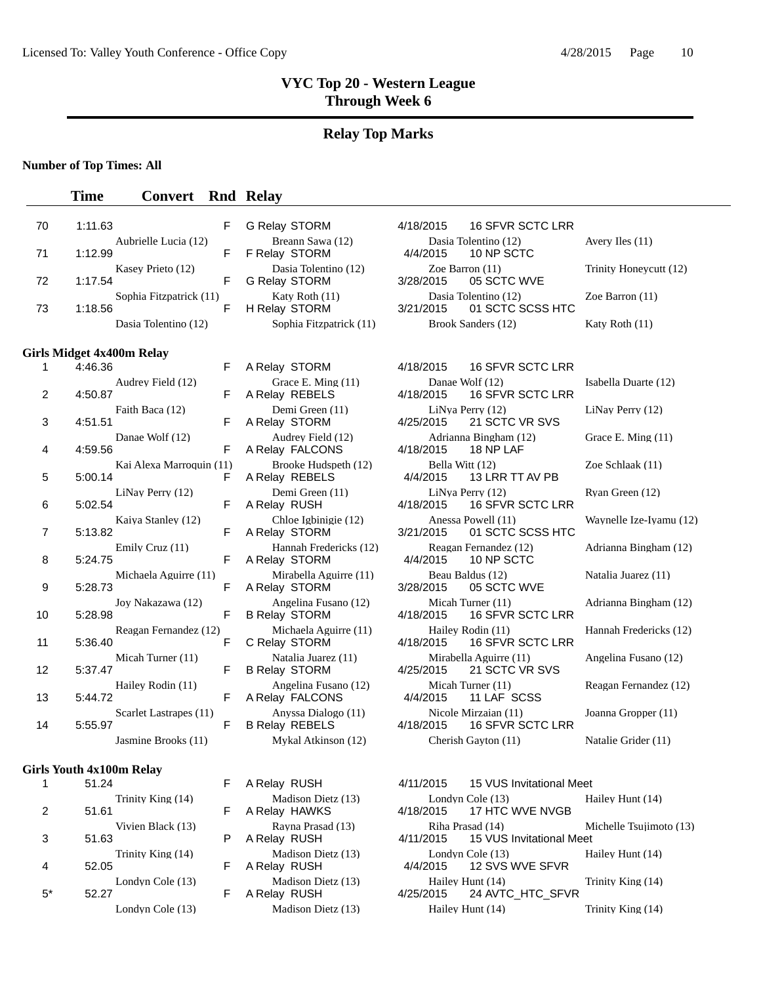#### **Relay Top Marks**

**Number of Top Times: All**

#### **Time Convert Rnd Relay**

| 70 | 1:11.63                          | F                             | <b>G Relay STORM</b>                         | <b>16 SFVR SCTC LRR</b><br>4/18/2015                      |                         |
|----|----------------------------------|-------------------------------|----------------------------------------------|-----------------------------------------------------------|-------------------------|
| 71 | 1:12.99                          | Aubrielle Lucia (12)<br>F     | Breann Sawa (12)<br>F Relay STORM            | Dasia Tolentino (12)<br>4/4/2015<br>10 NP SCTC            | Avery Iles (11)         |
| 72 | 1:17.54                          | Kasey Prieto (12)<br>F        | Dasia Tolentino (12)<br><b>G Relay STORM</b> | Zoe Barron (11)<br>3/28/2015<br>05 SCTC WVE               | Trinity Honeycutt (12)  |
| 73 | 1:18.56                          | Sophia Fitzpatrick (11)<br>F  | Katy Roth (11)<br>H Relay STORM              | Dasia Tolentino (12)<br>01 SCTC SCSS HTC<br>3/21/2015     | Zoe Barron (11)         |
|    |                                  | Dasia Tolentino (12)          | Sophia Fitzpatrick (11)                      | Brook Sanders (12)                                        | Katy Roth (11)          |
|    | <b>Girls Midget 4x400m Relay</b> |                               |                                              |                                                           |                         |
| 1  | 4:46.36                          | F                             | A Relay STORM                                | 4/18/2015<br><b>16 SFVR SCTC LRR</b>                      |                         |
| 2  | 4:50.87                          | Audrey Field (12)<br>F        | Grace E. Ming (11)<br>A Relay REBELS         | Danae Wolf (12)<br>16 SFVR SCTC LRR<br>4/18/2015          | Isabella Duarte (12)    |
| 3  | Faith Baca (12)<br>4:51.51       | F                             | Demi Green (11)<br>A Relay STORM             | LiNya Perry (12)<br>21 SCTC VR SVS<br>4/25/2015           | LiNay Perry (12)        |
| 4  | 4:59.56                          | Danae Wolf (12)<br>F          | Audrey Field (12)<br>A Relay FALCONS         | Adrianna Bingham (12)<br>4/18/2015<br>18 NP LAF           | Grace E. Ming (11)      |
| 5  | 5:00.14                          | Kai Alexa Marroquin (11)<br>F | Brooke Hudspeth (12)<br>A Relay REBELS       | Bella Witt (12)<br>4/4/2015<br>13 LRR TT AV PB            | Zoe Schlaak (11)        |
| 6  | 5:02.54                          | LiNay Perry (12)<br>F         | Demi Green (11)<br>A Relay RUSH              | LiNya Perry (12)<br>16 SFVR SCTC LRR<br>4/18/2015         | Ryan Green (12)         |
| 7  | 5:13.82                          | Kaiya Stanley (12)<br>F       | Chloe Igbinigie (12)<br>A Relay STORM        | Anessa Powell (11)<br>01 SCTC SCSS HTC<br>3/21/2015       | Waynelle Ize-Iyamu (12) |
| 8  | Emily Cruz (11)<br>5:24.75       | F                             | Hannah Fredericks (12)<br>A Relay STORM      | Reagan Fernandez (12)<br>4/4/2015<br>10 NP SCTC           | Adrianna Bingham (12)   |
| 9  | 5:28.73                          | Michaela Aguirre (11)<br>F    | Mirabella Aguirre (11)<br>A Relay STORM      | Beau Baldus (12)<br>3/28/2015<br>05 SCTC WVE              | Natalia Juarez (11)     |
| 10 | 5:28.98                          | Joy Nakazawa (12)<br>F        | Angelina Fusano (12)<br><b>B Relay STORM</b> | Micah Turner (11)<br>16 SFVR SCTC LRR<br>4/18/2015        | Adrianna Bingham (12)   |
| 11 | 5:36.40                          | Reagan Fernandez (12)<br>F    | Michaela Aguirre (11)<br>C Relay STORM       | Hailey Rodin (11)<br>4/18/2015<br><b>16 SFVR SCTC LRR</b> | Hannah Fredericks (12)  |
| 12 | 5:37.47                          | Micah Turner (11)<br>F        | Natalia Juarez (11)<br><b>B Relay STORM</b>  | Mirabella Aguirre (11)<br>4/25/2015<br>21 SCTC VR SVS     | Angelina Fusano (12)    |
| 13 | 5:44.72                          | Hailey Rodin (11)<br>F        | Angelina Fusano (12)<br>A Relay FALCONS      | Micah Turner (11)<br>4/4/2015<br>11 LAF SCSS              | Reagan Fernandez (12)   |
| 14 | 5:55.97                          | Scarlet Lastrapes (11)<br>F   | Anyssa Dialogo (11)<br><b>B Relay REBELS</b> | Nicole Mirzaian (11)<br>16 SFVR SCTC LRR<br>4/18/2015     | Joanna Gropper (11)     |
|    |                                  | Jasmine Brooks (11)           | Mykal Atkinson (12)                          | Cherish Gayton (11)                                       | Natalie Grider (11)     |
|    | <b>Girls Youth 4x100m Relay</b>  |                               |                                              |                                                           |                         |

|   | 51.24             |
|---|-------------------|
|   | Trinity King (14) |
| 2 | 51.61             |
|   | Vivien Black (13) |
| 3 | 51.63             |
|   | Trinity King (14) |
| 4 | 52.05             |
|   | Londyn Cole (13)  |
|   | 52.27             |
|   | I ondyn Cole (13) |

F A Relay RUSH 4/11/2015 15 VUS Invitational Meet Madison Dietz (13) Londyn Cole (13) Hailey Hunt (14)<br>A Relay HAWKS 4/18/2015 17 HTC WVE NVGB F A Relay HAWKS 4/18/2015 17 HTC WVE NVGB Rayna Prasad (13) Riha Prasad (14) Michelle Tsujimoto (13)<br>P A Relay RUSH 4/11/2015 15 VUS Invitational Meet A Relay RUSH 4/11/2015 15 VUS Invitational Meet Madison Dietz (13) Londyn Cole (13) Hailey Hunt (14)<br>  $\frac{4}{4}$ 2 SVS WVE SFVR F A Relay RUSH 4/4/2015 12 SVS WVE SFVR Madison Dietz (13) Hailey Hunt (14) Trinity King (14)<br>F A Relay RUSH  $4/25/2015$  24 AVTC\_HTC\_SFVR 24 AVTC\_HTC\_SFVR Cole (13) Madison Dietz (13) Hailey Hunt (14) Trinity King (14)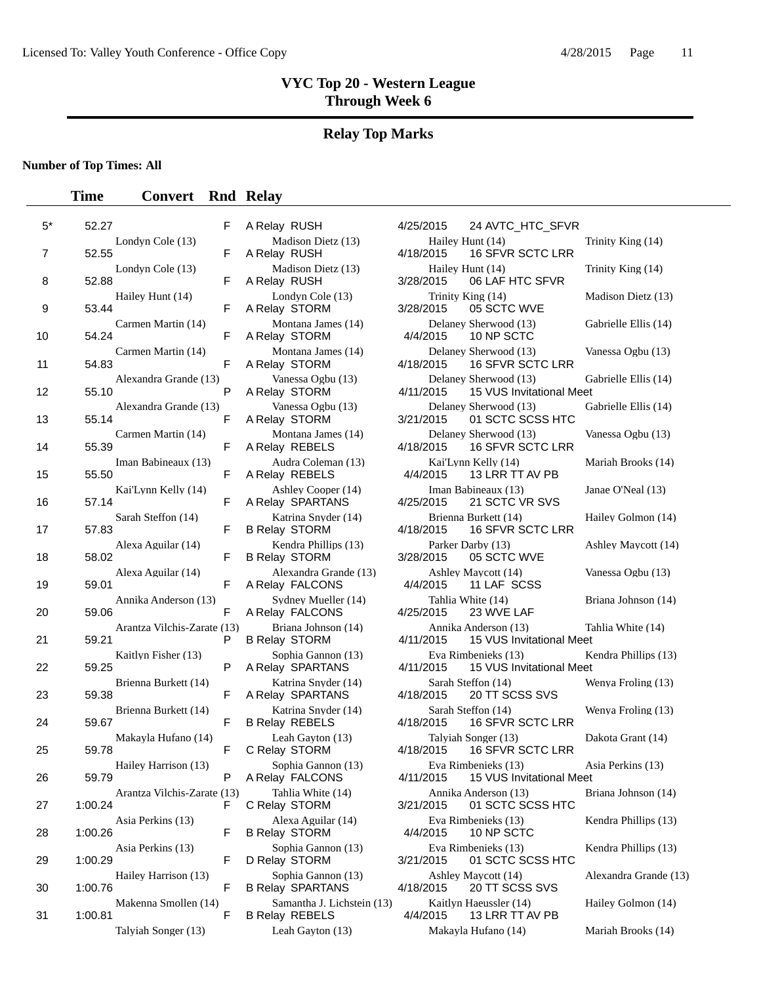# **Relay Top Marks**

### **Number of Top Times: All**

| $5^*$ | 52.27                                  | F  | A Relay RUSH                                        | 4/25/2015 | 24 AVTC_HTC_SFVR                                          |                  |
|-------|----------------------------------------|----|-----------------------------------------------------|-----------|-----------------------------------------------------------|------------------|
| 7     | Londyn Cole (13)<br>52.55              | F  | Madison Dietz (13)<br>A Relay RUSH                  | 4/18/2015 | Hailey Hunt (14)<br>16 SFVR SCTC LRR                      | T                |
| 8     | Londyn Cole (13)<br>52.88              | F  | Madison Dietz (13)<br>A Relay RUSH                  | 3/28/2015 | Hailey Hunt (14)<br>06 LAF HTC SFVR                       | T                |
| 9     | Hailey Hunt (14)<br>53.44              | F  | Londyn Cole (13)<br>A Relay STORM                   | 3/28/2015 | Trinity King (14)<br>05 SCTC WVE                          | $\mathbf{N}$     |
| 10    | Carmen Martin (14)<br>54.24            | F  | Montana James (14)<br>A Relay STORM                 | 4/4/2015  | Delaney Sherwood (13)<br>10 NP SCTC                       | G                |
| 11    | Carmen Martin (14)<br>54.83            | F  | Montana James (14)<br>A Relay STORM                 | 4/18/2015 | Delaney Sherwood (13)<br>16 SFVR SCTC LRR                 | V                |
| 12    | Alexandra Grande (13)<br>55.10         | P  | Vanessa Ogbu (13)<br>A Relay STORM                  | 4/11/2015 | Delaney Sherwood (13)<br>15 VUS Invitational Meet         | G                |
| 13    | Alexandra Grande (13)<br>55.14         | F  | Vanessa Ogbu (13)<br>A Relay STORM                  | 3/21/2015 | Delaney Sherwood (13)<br>01 SCTC SCSS HTC                 | G                |
| 14    | Carmen Martin (14)<br>55.39            | F  | Montana James (14)<br>A Relay REBELS                | 4/18/2015 | Delaney Sherwood (13)<br><b>16 SFVR SCTC LRR</b>          | V                |
| 15    | Iman Babineaux (13)<br>55.50           | F  | Audra Coleman (13)<br>A Relay REBELS                | 4/4/2015  | Kai'Lynn Kelly (14)<br>13 LRR TT AV PB                    | N                |
| 16    | Kai'Lynn Kelly (14)<br>57.14           | F  | Ashley Cooper (14)<br>A Relay SPARTANS              | 4/25/2015 | Iman Babineaux (13)<br>21 SCTC VR SVS                     | J                |
| 17    | Sarah Steffon (14)<br>57.83            | F  | Katrina Snyder (14)<br><b>B Relay STORM</b>         | 4/18/2015 | Brienna Burkett (14)<br>16 SFVR SCTC LRR                  | $\mathbf H$      |
| 18    | Alexa Aguilar (14)<br>58.02            | F  | Kendra Phillips (13)<br><b>B Relay STORM</b>        | 3/28/2015 | Parker Darby (13)<br>05 SCTC WVE                          | $\overline{A}$   |
| 19    | Alexa Aguilar (14)<br>59.01            | F  | Alexandra Grande (13)<br>A Relay FALCONS            | 4/4/2015  | Ashley Maycott (14)<br>11 LAF SCSS                        | V                |
| 20    | Annika Anderson (13)<br>59.06          | F  | Sydney Mueller (14)<br>A Relay FALCONS              | 4/25/2015 | Tahlia White (14)<br>23 WVE LAF                           | $\boldsymbol{B}$ |
| 21    | Arantza Vilchis-Zarate (13)<br>59.21   | P  | Briana Johnson (14)<br><b>B Relay STORM</b>         | 4/11/2015 | Annika Anderson (13)<br>15 VUS Invitational Meet          | T                |
| 22    | Kaitlyn Fisher (13)<br>59.25           | P  | Sophia Gannon (13)<br>A Relay SPARTANS              | 4/11/2015 | Eva Rimbenieks (13)<br>15 VUS Invitational Meet           | Κ                |
| 23    | Brienna Burkett (14)<br>59.38          | F  | Katrina Snyder (14)<br>A Relay SPARTANS             | 4/18/2015 | Sarah Steffon (14)<br>20 TT SCSS SVS                      | Ņ                |
| 24    | Brienna Burkett (14)<br>59.67          | F  | Katrina Snyder (14)<br><b>B Relay REBELS</b>        | 4/18/2015 | Sarah Steffon (14)<br>16 SFVR SCTC LRR                    | Ņ                |
| 25    | Makayla Hufano (14)<br>59.78           | F  | Leah Gavton (13)<br>C Relay STORM                   | 4/18/2015 | Talyiah Songer (13)<br><b>16 SFVR SCTC LRR</b>            | D                |
| 26    | Hailey Harrison (13)<br>59.79          | P  | Sophia Gannon (13)<br>A Relay FALCONS               |           | Eva Rimbenieks (13)<br>4/11/2015 15 VUS Invitational Meet | A                |
| 27    | Arantza Vilchis-Zarate (13)<br>1:00.24 | F. | Tahlia White (14)<br>C Relay STORM                  | 3/21/2015 | Annika Anderson (13)<br>01 SCTC SCSS HTC                  | B                |
| 28    | Asia Perkins (13)<br>1:00.26           | F  | Alexa Aguilar (14)<br><b>B Relay STORM</b>          | 4/4/2015  | Eva Rimbenieks (13)<br>10 NP SCTC                         | K                |
| 29    | Asia Perkins (13)<br>1:00.29           | F  | Sophia Gannon (13)<br>D Relay STORM                 | 3/21/2015 | Eva Rimbenieks (13)<br>01 SCTC SCSS HTC                   | K                |
| 30    | Hailey Harrison (13)<br>1:00.76        | F  | Sophia Gannon (13)<br><b>B Relay SPARTANS</b>       | 4/18/2015 | Ashley Maycott (14)<br>20 TT SCSS SVS                     | A                |
| 31    | Makenna Smollen (14)<br>1:00.81        | F  | Samantha J. Lichstein (13)<br><b>B Relay REBELS</b> | 4/4/2015  | Kaitlyn Haeussler (14)<br>13 LRR TT AV PB                 | Η                |
|       | Talyiah Songer (13)                    |    | Leah Gayton (13)                                    |           | Makayla Hufano (14)                                       | N                |

| д кеюу кизн                                                          |
|----------------------------------------------------------------------|
| Madison Dietz (13)<br>A Relay RUSH                                   |
| Madison Dietz (13)<br>A Relay RUSH                                   |
| Londyn Cole (13)<br>A Relay STORM                                    |
| Montana James (14)<br>A Relay STORM                                  |
| Montana James (14)<br>A Relay STORM                                  |
| Vanessa Ogbu (13)<br>A Relay STORM                                   |
| Vanessa Ogbu (13)<br>A Relay STORM                                   |
| Montana James (14)<br>A Relay REBELS                                 |
| Audra Coleman (13)<br>A Relay REBELS                                 |
| Ashley Cooper (14)<br>A Relay SPARTANS                               |
| Katrina Snyder (14)<br><b>B Relay STORM</b>                          |
| Kendra Phillips (13)<br><b>B Relay STORM</b>                         |
| Alexandra Grande (13)<br>A Relay FALCONS                             |
| Sydney Mueller (14)<br>A Relay FALCONS                               |
| Briana Johnson (14)<br><b>B Relay STORM</b>                          |
| Sophia Gannon (13)<br>A Relay SPARTANS                               |
| Katrina Snyder (14)<br>A Relay SPARTANS                              |
| Katrina Snyder (14)<br><b>B Relay REBELS</b>                         |
| Leah Gayton (13)<br>C Relay STORM                                    |
| Sophia Gannon (13)<br>A Relay FALCONS                                |
| Tahlia White (14)<br>C Relay STORM                                   |
| Alexa Aguilar (14)<br><b>B Relay STORM</b>                           |
| Sophia Gannon (13)<br>D Relay STORM                                  |
| Sophia Gannon (13)<br><b>B Relay SPARTANS</b>                        |
| Samantha J. Lichstein<br><b>B Relay REBELS</b><br>Leah Gayton $(13)$ |
|                                                                      |

|                             | F  | A Relay RUSH                                        | 4/25/2015 | 24 AVTC_HTC_SFVR                                  |                       |
|-----------------------------|----|-----------------------------------------------------|-----------|---------------------------------------------------|-----------------------|
| Londyn Cole (13)            | F  | Madison Dietz (13)<br>A Relay RUSH                  | 4/18/2015 | Hailey Hunt (14)<br>16 SFVR SCTC LRR              | Trinity King (14)     |
| Londyn Cole (13)            | F  | Madison Dietz (13)<br>A Relay RUSH                  | 3/28/2015 | Hailey Hunt (14)<br>06 LAF HTC SFVR               | Trinity King (14)     |
| Hailey Hunt (14)            | F  | Londyn Cole (13)<br>A Relay STORM                   | 3/28/2015 | Trinity King (14)<br>05 SCTC WVE                  | Madison Dietz (13)    |
| Carmen Martin (14)          | F  | Montana James (14)<br>A Relay STORM                 | 4/4/2015  | Delaney Sherwood (13)<br>10 NP SCTC               | Gabrielle Ellis (14)  |
| Carmen Martin (14)          | F  | Montana James (14)<br>A Relay STORM                 | 4/18/2015 | Delaney Sherwood (13)<br><b>16 SFVR SCTC LRR</b>  | Vanessa Ogbu (13)     |
| Alexandra Grande (13)       | P  | Vanessa Ogbu (13)<br>A Relay STORM                  | 4/11/2015 | Delaney Sherwood (13)<br>15 VUS Invitational Meet | Gabrielle Ellis (14)  |
| Alexandra Grande (13)       | F  | Vanessa Ogbu (13)<br>A Relay STORM                  | 3/21/2015 | Delaney Sherwood (13)<br>01 SCTC SCSS HTC         | Gabrielle Ellis (14)  |
| Carmen Martin (14)          | F  | Montana James (14)<br>A Relay REBELS                | 4/18/2015 | Delaney Sherwood (13)<br>16 SFVR SCTC LRR         | Vanessa Ogbu (13)     |
| Iman Babineaux (13)         | F  | Audra Coleman (13)<br>A Relay REBELS                | 4/4/2015  | Kai'Lynn Kelly (14)<br>13 LRR TT AV PB            | Mariah Brooks (14)    |
| Kai'Lynn Kelly (14)         | F  | Ashley Cooper (14)<br>A Relay SPARTANS              | 4/25/2015 | Iman Babineaux (13)<br>21 SCTC VR SVS             | Janae O'Neal (13)     |
| Sarah Steffon (14)          | F  | Katrina Snyder (14)<br><b>B Relay STORM</b>         | 4/18/2015 | Brienna Burkett (14)<br>16 SFVR SCTC LRR          | Hailey Golmon (14)    |
| Alexa Aguilar (14)          | F  | Kendra Phillips (13)<br><b>B Relay STORM</b>        | 3/28/2015 | Parker Darby (13)<br>05 SCTC WVE                  | Ashley Maycott (14)   |
| Alexa Aguilar (14)          | F  | Alexandra Grande (13)<br>A Relay FALCONS            | 4/4/2015  | Ashley Maycott (14)<br>11 LAF SCSS                | Vanessa Ogbu (13)     |
| Annika Anderson (13)        | F  | Sydney Mueller (14)<br>A Relay FALCONS              | 4/25/2015 | Tahlia White (14)<br>23 WVE LAF                   | Briana Johnson (14)   |
| Arantza Vilchis-Zarate (13) | P  | Briana Johnson (14)<br><b>B Relay STORM</b>         | 4/11/2015 | Annika Anderson (13)<br>15 VUS Invitational Meet  | Tahlia White (14)     |
| Kaitlyn Fisher (13)         | P  | Sophia Gannon (13)<br>A Relay SPARTANS              | 4/11/2015 | Eva Rimbenieks (13)<br>15 VUS Invitational Meet   | Kendra Phillips (13)  |
| Brienna Burkett (14)        | F  | Katrina Snyder (14)<br>A Relay SPARTANS             | 4/18/2015 | Sarah Steffon (14)<br>20 TT SCSS SVS              | Wenya Froling (13)    |
| Brienna Burkett (14)        | F  | Katrina Snyder (14)<br><b>B Relay REBELS</b>        | 4/18/2015 | Sarah Steffon (14)<br><b>16 SFVR SCTC LRR</b>     | Wenya Froling (13)    |
| Makayla Hufano (14)         | F  | Leah Gavton (13)<br>C Relay STORM                   | 4/18/2015 | Talyiah Songer (13)<br>16 SFVR SCTC LRR           | Dakota Grant (14)     |
| Hailey Harrison (13)        | P  | Sophia Gannon (13)<br>A Relay FALCONS               | 4/11/2015 | Eva Rimbenieks (13)<br>15 VUS Invitational Meet   | Asia Perkins (13)     |
| Arantza Vilchis-Zarate (13) | F. | Tahlia White (14)<br>C Relay STORM                  | 3/21/2015 | Annika Anderson (13)<br>01 SCTC SCSS HTC          | Briana Johnson (14)   |
| Asia Perkins (13)           | F  | Alexa Aguilar (14)<br><b>B Relay STORM</b>          | 4/4/2015  | Eva Rimbenieks (13)<br>10 NP SCTC                 | Kendra Phillips (13)  |
| Asia Perkins (13)           | F  | Sophia Gannon (13)<br>D Relay STORM                 | 3/21/2015 | Eva Rimbenieks (13)<br>01 SCTC SCSS HTC           | Kendra Phillips (13)  |
| Hailey Harrison (13)        | F  | Sophia Gannon (13)<br><b>B Relay SPARTANS</b>       | 4/18/2015 | Ashley Maycott (14)<br>20 TT SCSS SVS             | Alexandra Grande (13) |
| Makenna Smollen (14)        | F  | Samantha J. Lichstein (13)<br><b>B Relay REBELS</b> | 4/4/2015  | Kaitlyn Haeussler (14)<br>13 LRR TT AV PB         | Hailey Golmon (14)    |
| Talyiah Songer (13)         |    | Leah Gayton (13)                                    |           | Makayla Hufano (14)                               | Mariah Brooks (14)    |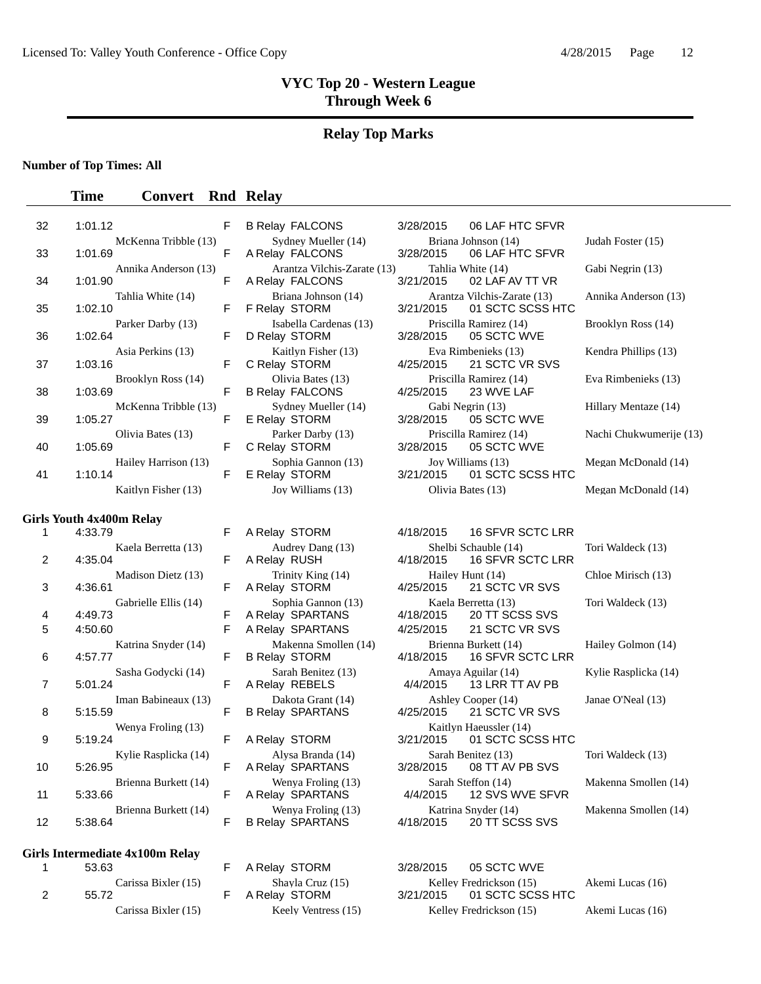#### **Relay Top Marks**

**Number of Top Times: All**

#### **Time Convert Rnd Relay**

| 32 | 1:01.12 |                      | F |
|----|---------|----------------------|---|
| 33 | 1:01.69 | McKenna Tribble (13) | F |
|    |         | Annika Anderson (13) |   |
| 34 | 1:01.90 |                      | F |
|    |         | Tahlia White (14)    |   |
| 35 | 1:02.10 | Parker Darby (13)    | F |
| 36 | 1:02.64 |                      | F |
|    |         | Asia Perkins (13)    |   |
| 37 | 1:03.16 | Brooklyn Ross (14)   | F |
| 38 | 1:03.69 |                      | F |
|    |         | McKenna Tribble (13) |   |
| 39 | 1:05.27 | Olivia Bates (13)    | F |
| 40 | 1:05.69 |                      | F |
|    |         | Hailey Harrison (13) |   |
| 41 | 1:10.14 | Kaitlyn Fisher (13)  | F |
|    |         |                      |   |

#### **Girls Youth 4x400m Relay**

| 1  | 4:33.79              |
|----|----------------------|
|    | Kaela Berretta (13)  |
| 2  | 4:35.04              |
|    | Madison Dietz (13)   |
| 3  | 4:36.61              |
|    | Gabrielle Ellis (14) |
| 4  | 4:49.73              |
| 5  | 4:50.60              |
|    | Katrina Snyder (14)  |
| 6  | 4:57.77              |
|    | Sasha Godycki (14)   |
| 7  | 5:01.24              |
|    | Iman Babineaux (13)  |
| 8  | 5:15.59              |
|    | Wenya Froling (13)   |
| 9  | 5:19.24              |
|    | Kylie Rasplicka (14) |
| 10 | 5:26.95              |
|    | Brienna Burkett (14) |
| 11 | 5:33.66              |
|    | Brienna Burkett (14) |
| 12 | 5:38.64              |

#### **Girls Intermediate 4x100m Relay**

|   | 53.63               |
|---|---------------------|
|   | Carissa Bixler (15) |
| 2 | 55.72               |
|   | Carissa Bixler (15) |

| Sydney Mueller (14)<br>A Relay FALCONS  |
|-----------------------------------------|
| Arantza Vilchis-Zarate                  |
| A Relay FALCONS                         |
| Briana Johnson (14)<br>F Relay STORM    |
| Isabella Cardenas (13)<br>D Relay STORM |
| Kaitlyn Fisher (13)                     |
| C Relay STORM                           |
| Olivia Bates (13)                       |
| <b>B Relay FALCONS</b>                  |
| Sydney Mueller (14)<br>E Relay STORM    |
|                                         |
| Parker Darby (13)<br>C Relay STORM      |
| Sophia Gannon (13)                      |
| E Relav STORM                           |

A Relay SPARTANS **B Relay STORM** Kaitlyn Haeussler (14)<br>E A Relay STORM 3/21/2015 01 SCTC SC

A Relay SPARTANS F B Relay SPARTANS 4/18/2015 20 TT SCSS SVS

F A Relay STORM 3/28/2015 05 SCTC WVE F A Relay STORM 3/21/2015 01 SCTC SCSS HTC

B Relay FALCONS 3/28/2015 06 LAF HTC SFVR Briana Johnson (14) Judah Foster (15) 3/28/2015 06 LAF HTC SFVR (13) Tahlia White (14) Gabi Negrin (13) 3/21/2015 02 LAF AV TT VR Arantza Vilchis-Zarate (13) Annika Anderson (13) 3/21/2015 01 SCTC SCSS HTC Priscilla Ramirez (14) Brooklyn Ross (14) <br>3/28/2015 05 SCTC WVE 05 SCTC WVE Eva Rimbenieks (13) Kendra Phillips (13) 4/25/2015 21 SCTC VR SVS Priscilla Ramirez (14) Eva Rimbenieks (13) 4/25/2015 23 WVE LAF Gabi Negrin (13) Hillary Mentaze (14) 3/28/2015 05 SCTC WVE Priscilla Ramirez (14) Nachi Chukwumerije (13) 3/28/2015 05 SCTC WVE Joy Williams (13) Megan McDonald (14) 3/21/2015 01 SCTC SCSS HTC

Joy Williams (13) Olivia Bates (13) Megan McDonald (14)

F A Relay STORM 4/18/2015 16 SFVR SCTC LRR Audrey Dang (13) Shelbi Schauble (14) Tori Waldeck (13)<br>F A Relay RUSH 4/18/2015 16 SFVR SCTC LRR 4/18/2015 16 SFVR SCTC LRR Trinity King (14) Hailey Hunt (14) Chloe Mirisch (13) F A Relay STORM 4/25/2015 21 SCTC VR SVS Sophia Gannon (13) Kaela Berretta (13) Tori Waldeck (13)<br>F A Relay SPARTANS 4/18/2015 20 TT SCSS SVS F A Relay SPARTANS 4/25/2015 21 SCTC VR SVS Katerina Smollen (14) Brienna Burkett (14) Hailey Golmon (14)<br>F B Relay STORM 4/18/2015 16 SFVR SCTC LRR Sarah Benitez (13) Amaya Aguilar (14) Kylie Rasplicka (14) F A Relay REBELS 4/4/2015 13 LRR TT AV PB Dakota Grant (14) Ashley Cooper (14) Janae O'Neal (13)<br>
lay SPARTANS 4/25/2015 21 SCTC VR SVS F B Relay SPARTANS 4/25/2015 21 SCTC VR SVS A Relay STORM 3/21/2015 01 SCTC SCSS HTC Kylie Rasplicka (14) Alysa Branda (14) Sarah Benitez (13) Tori Waldeck (13) F A Relay SPARTANS 3/28/2015 08 TT AV PB SVS Wenya Froling (13) Sarah Steffon (14) Makenna Smollen (14)<br>F A Relay SPARTANS 4/4/2015 12 SVS WVE SFVR Brienna Burkett (14) Wenya Froling (13) Katrina Snyder (14) Makenna Smollen (14)

Shayla Cruz (15) Kelley Fredrickson (15) Akemi Lucas (16) Keely Ventress (15) Kelley Fredrickson (15) Akemi Lucas (16)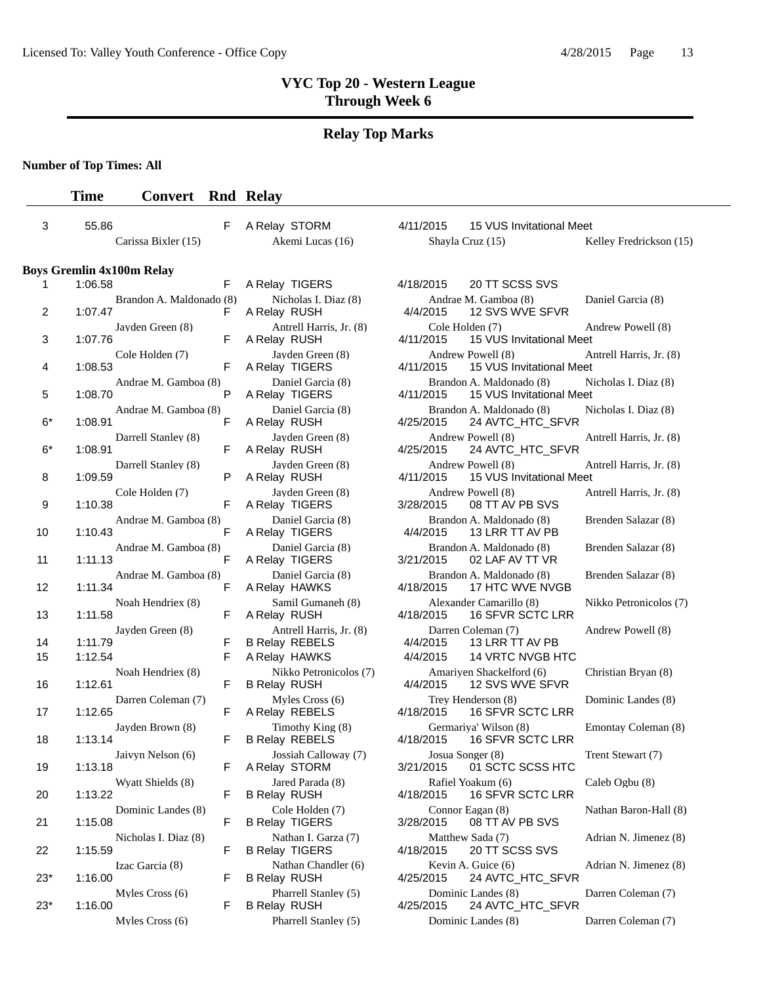#### **Relay Top Marks**

**Number of Top Times: All**

# **Time Convert Rnd Relay** 3 55.86 F A Relay STORM 4/11/2015 15 VUS Invitational Meet Carissa Bixler (15) Akemi Lucas (16) Shayla Cruz (15) Kelley Fredrickson (15) **Boys Gremlin 4x100m Relay**

| л.    | <b>1.00.00</b>                  |                               |                     | A REIGY TIGERS                                   | 4/10/2013 |                         | ZU TI SUSS SVS                                       |              |
|-------|---------------------------------|-------------------------------|---------------------|--------------------------------------------------|-----------|-------------------------|------------------------------------------------------|--------------|
| 2     | 1:07.47                         | Brandon A. Maldonado (8)<br>F | A Relay RUSH        | Nicholas I. Diaz (8)                             | 4/4/2015  | Andrae M. Gamboa (8)    | 12 SVS WVE SFVR                                      | D            |
| 3     | Jayden Green (8)<br>1:07.76     | F                             | A Relay RUSH        | Antrell Harris, Jr. (8)                          | 4/11/2015 | Cole Holden (7)         | 15 VUS Invitational Meet                             | А            |
| 4     | Cole Holden (7)<br>1:08.53      | F                             |                     | Jayden Green (8)<br>A Relay TIGERS               | 4/11/2015 | Andrew Powell (8)       | 15 VUS Invitational Meet                             |              |
| 5     | 1:08.70                         | Andrae M. Gamboa (8)<br>P     |                     | Daniel Garcia (8)<br>A Relay TIGERS              | 4/11/2015 |                         | Brandon A. Maldonado (8)<br>15 VUS Invitational Meet | N            |
| $6*$  | 1:08.91                         | Andrae M. Gamboa (8)<br>F     | A Relay RUSH        | Daniel Garcia (8)                                | 4/25/2015 |                         | Brandon A. Maldonado (8)<br>24 AVTC_HTC_SFVR         | N            |
| $6*$  | Darrell Stanley (8)<br>1:08.91  | F                             | A Relay RUSH        | Jayden Green (8)                                 | 4/25/2015 | Andrew Powell (8)       | 24 AVTC_HTC_SFVR                                     | A            |
| 8     | Darrell Stanley (8)<br>1:09.59  | P                             | A Relay RUSH        | Jayden Green (8)                                 | 4/11/2015 | Andrew Powell (8)       | 15 VUS Invitational Meet                             |              |
| 9     | Cole Holden (7)<br>1:10.38      | F                             |                     | Jayden Green (8)<br>A Relay TIGERS               | 3/28/2015 | Andrew Powell (8)       | 08 TT AV PB SVS                                      | Α            |
| 10    | 1:10.43                         | Andrae M. Gamboa (8)<br>F     |                     | Daniel Garcia (8)<br>A Relay TIGERS              | 4/4/2015  |                         | Brandon A. Maldonado (8)<br>13 LRR TT AV PB          | B            |
| 11    | 1:11.13                         | Andrae M. Gamboa (8)<br>F     |                     | Daniel Garcia (8)<br>A Relay TIGERS              | 3/21/2015 |                         | Brandon A. Maldonado (8)<br>02 LAF AV TT VR          | B            |
| 12    | 1:11.34                         | Andrae M. Gamboa (8)<br>F     |                     | Daniel Garcia (8)<br>A Relay HAWKS               | 4/18/2015 |                         | Brandon A. Maldonado (8)<br>17 HTC WVE NVGB          | B            |
| 13    | Noah Hendriex (8)<br>1:11.58    | F                             | A Relay RUSH        | Samil Gumaneh (8)                                | 4/18/2015 | Alexander Camarillo (8) | 16 SFVR SCTC LRR                                     | N            |
| 14    | Jayden Green (8)<br>1:11.79     | F                             |                     | Antrell Harris, Jr. (8)<br><b>B Relay REBELS</b> | 4/4/2015  | Darren Coleman (7)      | 13 LRR TT AV PB                                      | A            |
| 15    | 1:12.54                         | F                             |                     | A Relay HAWKS                                    | 4/4/2015  |                         | 14 VRTC NVGB HTC                                     |              |
| 16    | Noah Hendriex (8)<br>1:12.61    | F                             | <b>B Relay RUSH</b> | Nikko Petronicolos (7)                           | 4/4/2015  |                         | Amariyen Shackelford (6)<br>12 SVS WVE SFVR          | C            |
| 17    | Darren Coleman (7)<br>1:12.65   | F                             |                     | Myles Cross (6)<br>A Relay REBELS                | 4/18/2015 | Trey Henderson (8)      | 16 SFVR SCTC LRR                                     | D            |
| 18    | Jayden Brown (8)<br>1:13.14     | F                             |                     | Timothy King (8)<br><b>B Relay REBELS</b>        | 4/18/2015 | Germariya' Wilson (8)   | 16 SFVR SCTC LRR                                     | E            |
| 19    | Jaivyn Nelson (6)<br>1:13.18    | F                             |                     | Jossiah Calloway (7)<br>A Relay STORM            | 3/21/2015 | Josua Songer (8)        | 01 SCTC SCSS HTC                                     | Т            |
| 20    | Wyatt Shields (8)<br>1:13.22    | F                             | <b>B Relay RUSH</b> | Jared Parada (8)                                 | 4/18/2015 | Rafiel Yoakum (6)       | 16 SFVR SCTC LRR                                     | $\mathsf{C}$ |
| 21    | Dominic Landes (8)<br>1:15.08   | F                             |                     | Cole Holden (7)<br><b>B Relay TIGERS</b>         | 3/28/2015 | Connor Eagan (8)        | 08 TT AV PB SVS                                      | N            |
| 22    | Nicholas I. Diaz (8)<br>1:15.59 | F                             |                     | Nathan I. Garza (7)<br><b>B Relay TIGERS</b>     | 4/18/2015 | Matthew Sada (7)        | 20 TT SCSS SVS                                       | А            |
| 23*   | Izac Garcia (8)<br>1:16.00      | F                             | <b>B Relay RUSH</b> | Nathan Chandler (6)                              | 4/25/2015 | Kevin A. Guice (6)      | 24 AVTC_HTC_SFVR                                     | А            |
| $23*$ | Myles Cross (6)<br>1:16.00      | F                             | <b>B Relay RUSH</b> | Pharrell Stanley (5)                             | 4/25/2015 | Dominic Landes (8)      | 24 AVTC_HTC_SFVR                                     | D            |
|       |                                 |                               |                     |                                                  |           |                         |                                                      |              |

| A Relay TIGERS                                   |
|--------------------------------------------------|
| Nicholas I. Diaz (8)<br>A Relay RUSH             |
| Antrell Harris, Jr. (8)                          |
| A Relay RUSH                                     |
| Jayden Green (8)                                 |
| A Relay TIGERS                                   |
| Daniel Garcia (8)<br>A Relay TIGERS              |
| Daniel Garcia (8)                                |
| A Relay RUSH                                     |
| Jayden Green (8)<br>A Relay RUSH                 |
| Jayden Green (8)                                 |
| A Relay RUSH                                     |
| Jayden Green (8)                                 |
| A Relay TIGERS                                   |
| Daniel Garcia (8)<br>A Relay TIGERS              |
| Daniel Garcia (8)                                |
| A Relay TIGERS                                   |
| Daniel Garcia (8)                                |
| A Relay HAWKS                                    |
| Samil Gumaneh (8)                                |
| A Relay RUSH                                     |
| Antrell Harris, Jr. (8)<br><b>B Relay REBELS</b> |
| A Relay HAWKS                                    |
| Nikko Petronicolos (                             |
| <b>B Relay RUSH</b>                              |
| Myles Cross (6)                                  |
| A Relay REBELS                                   |
| Timothy King (8)                                 |
| <b>B Relay REBELS</b>                            |
| Jossiah Calloway (7)                             |
| A Relay STORM                                    |
| Jared Parada (8)                                 |
| <b>B Relay RUSH</b>                              |
| Cole Holden (7)                                  |
| <b>B Relay TIGERS</b>                            |
| Nathan I. Garza (7)<br><b>B Relay TIGERS</b>     |
| Nathan Chandler (6)                              |
| <b>B Relay RUSH</b>                              |
| Pharrell Stanley (5)                             |
| <b>B Relay RUSH</b>                              |

|    | s Gremlin 4x100m Relay              |   |                                                  |                                                                   |                         |
|----|-------------------------------------|---|--------------------------------------------------|-------------------------------------------------------------------|-------------------------|
| 1  | 1:06.58                             | F | A Relay TIGERS                                   | 20 TT SCSS SVS<br>4/18/2015                                       |                         |
| 2  | Brandon A. Maldonado (8)<br>1:07.47 | F | Nicholas I. Diaz (8)<br>A Relay RUSH             | Andrae M. Gamboa (8)<br>12 SVS WVE SFVR<br>4/4/2015               | Daniel Garcia (8)       |
| 3  | Jayden Green (8)<br>1:07.76         | F | Antrell Harris, Jr. (8)<br>A Relay RUSH          | Cole Holden (7)<br>4/11/2015<br>15 VUS Invitational Meet          | Andrew Powell (8)       |
| 4  | Cole Holden (7)<br>1:08.53          | F | Jayden Green (8)<br>A Relay TIGERS               | Andrew Powell (8)<br>4/11/2015<br>15 VUS Invitational Meet        | Antrell Harris, Jr. (8) |
| 5  | Andrae M. Gamboa (8)<br>1:08.70     | P | Daniel Garcia (8)<br>A Relay TIGERS              | Brandon A. Maldonado (8)<br>15 VUS Invitational Meet<br>4/11/2015 | Nicholas I. Diaz (8)    |
| 6* | Andrae M. Gamboa (8)<br>1:08.91     | F | Daniel Garcia (8)<br>A Relay RUSH                | Brandon A. Maldonado (8)<br>4/25/2015<br>24 AVTC_HTC_SFVR         | Nicholas I. Diaz (8)    |
| 6* | Darrell Stanley (8)<br>1:08.91      | F | Javden Green (8)<br>A Relay RUSH                 | Andrew Powell (8)<br>24 AVTC_HTC_SFVR<br>4/25/2015                | Antrell Harris, Jr. (8) |
| 8  | Darrell Stanley (8)<br>1:09.59      | P | Jayden Green (8)<br>A Relay RUSH                 | Andrew Powell (8)<br>15 VUS Invitational Meet<br>4/11/2015        | Antrell Harris, Jr. (8) |
| 9  | Cole Holden (7)<br>1:10.38          | F | Jayden Green (8)<br>A Relay TIGERS               | Andrew Powell (8)<br>3/28/2015<br>08 TT AV PB SVS                 | Antrell Harris, Jr. (8) |
| 0  | Andrae M. Gamboa (8)<br>1:10.43     | F | Daniel Garcia (8)<br>A Relay TIGERS              | Brandon A. Maldonado (8)<br>4/4/2015<br>13 LRR TT AV PB           | Brenden Salazar (8)     |
| 1  | Andrae M. Gamboa (8)<br>1:11.13     | F | Daniel Garcia (8)<br>A Relay TIGERS              | Brandon A. Maldonado (8)<br>02 LAF AV TT VR<br>3/21/2015          | Brenden Salazar (8)     |
| 2  | Andrae M. Gamboa (8)<br>1:11.34     | F | Daniel Garcia (8)<br>A Relay HAWKS               | Brandon A. Maldonado (8)<br>17 HTC WVE NVGB<br>4/18/2015          | Brenden Salazar (8)     |
| 3  | Noah Hendriex (8)<br>1:11.58        | F | Samil Gumaneh (8)<br>A Relay RUSH                | Alexander Camarillo (8)<br>16 SFVR SCTC LRR<br>4/18/2015          | Nikko Petronicolos (7)  |
| 4  | Jayden Green (8)<br>1:11.79         | F | Antrell Harris, Jr. (8)<br><b>B Relay REBELS</b> | Darren Coleman (7)<br>13 LRR TT AV PB<br>4/4/2015                 | Andrew Powell (8)       |
| 5  | 1:12.54                             | F | A Relay HAWKS                                    | 4/4/2015<br>14 VRTC NVGB HTC                                      |                         |
| 6  | Noah Hendriex (8)<br>1:12.61        | F | Nikko Petronicolos (7)<br><b>B Relay RUSH</b>    | Amariyen Shackelford (6)<br>4/4/2015<br>12 SVS WVE SFVR           | Christian Bryan (8)     |
| 7  | Darren Coleman (7)<br>1:12.65       | F | Myles Cross (6)<br>A Relay REBELS                | Trey Henderson (8)<br>4/18/2015<br><b>16 SFVR SCTC LRR</b>        | Dominic Landes (8)      |
| 8  | Jayden Brown (8)<br>1:13.14         | F | Timothy King (8)<br><b>B Relay REBELS</b>        | Germariya' Wilson (8)<br>4/18/2015<br>16 SFVR SCTC LRR            | Emontay Coleman (8)     |
| 9  | Jaivyn Nelson (6)<br>1:13.18        | F | Jossiah Calloway (7)<br>A Relay STORM            | Josua Songer (8)<br>01 SCTC SCSS HTC<br>3/21/2015                 | Trent Stewart (7)       |
| 0  | Wyatt Shields (8)<br>1:13.22        | F | Jared Parada (8)<br><b>B Relay RUSH</b>          | Rafiel Yoakum (6)<br>4/18/2015<br>16 SFVR SCTC LRR                | Caleb Ogbu (8)          |
| 1  | Dominic Landes (8)<br>1:15.08       | F | Cole Holden (7)<br><b>B Relay TIGERS</b>         | Connor Eagan (8)<br>3/28/2015<br>08 TT AV PB SVS                  | Nathan Baron-Hall (8)   |
| 2  | Nicholas I. Diaz (8)<br>1:15.59     | F | Nathan I. Garza (7)<br><b>B Relay TIGERS</b>     | Matthew Sada (7)<br>20 TT SCSS SVS<br>4/18/2015                   | Adrian N. Jimenez (8)   |
| 3* | Izac Garcia (8)<br>1:16.00          | F | Nathan Chandler (6)<br><b>B Relay RUSH</b>       | Kevin A. Guice (6)<br>24 AVTC_HTC_SFVR<br>4/25/2015               | Adrian N. Jimenez (8)   |
| 3* | Myles Cross $(6)$<br>1:16.00        | F | Pharrell Stanley (5)<br><b>B Relay RUSH</b>      | Dominic Landes (8)<br>4/25/2015<br>24 AVTC_HTC_SFVR               | Darren Coleman (7)      |
|    | Myles Cross (6)                     |   | Pharrell Stanley (5)                             | Dominic Landes (8)                                                | Darren Coleman (7)      |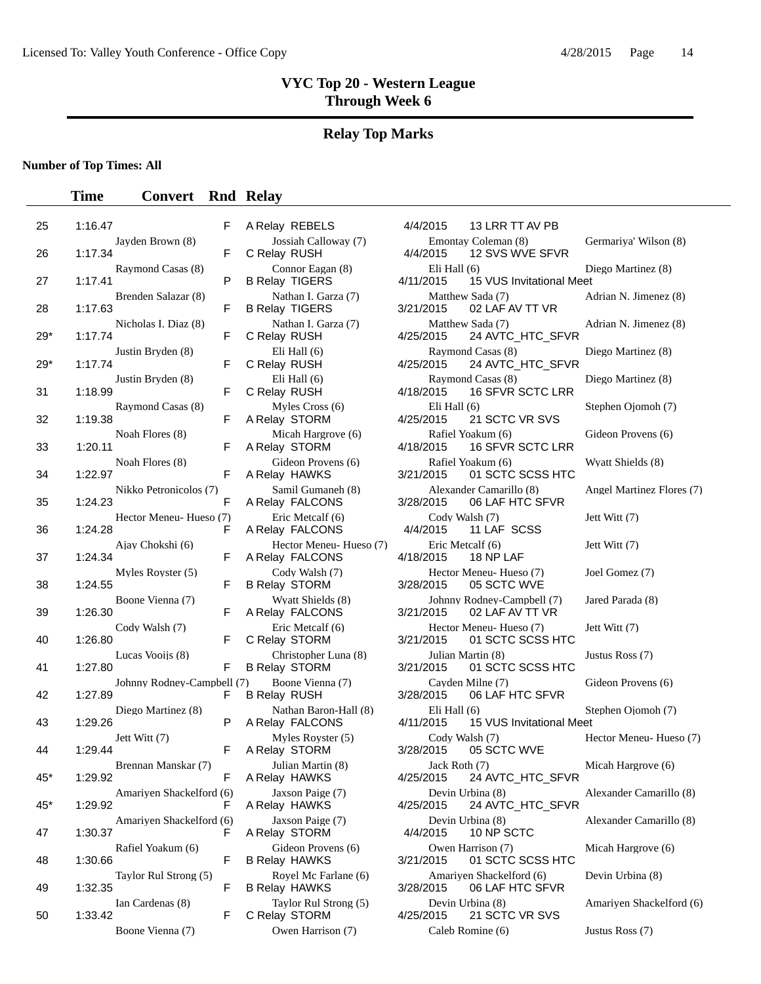# **Relay Top Marks**

### **Number of Top Times: All**

| 25    | 1:16.47                               | F  | A Relay REBELS                               | 4/4/2015                      | 13 LRR TT AV PB                               |                |
|-------|---------------------------------------|----|----------------------------------------------|-------------------------------|-----------------------------------------------|----------------|
| 26    | Jayden Brown (8)<br>1:17.34           | F  | Jossiah Calloway (7)<br>C Relay RUSH         | 4/4/2015                      | Emontay Coleman (8)<br>12 SVS WVE SFVR        | G              |
| 27    | Raymond Casas (8)<br>1:17.41          | P  | Connor Eagan (8)<br><b>B Relay TIGERS</b>    | Eli Hall $(6)$<br>4/11/2015   | 15 VUS Invitational Meet                      | D              |
| 28    | Brenden Salazar (8)<br>1:17.63        | F  | Nathan I. Garza (7)<br><b>B Relay TIGERS</b> | 3/21/2015                     | Matthew Sada (7)<br>02 LAF AV TT VR           | A              |
| $29*$ | Nicholas I. Diaz (8)<br>1:17.74       | F  | Nathan I. Garza (7)<br>C Relay RUSH          | 4/25/2015                     | Matthew Sada (7)<br>24 AVTC_HTC_SFVR          | A              |
| $29*$ | Justin Bryden (8)<br>1:17.74          | F  | Eli Hall $(6)$<br>C Relay RUSH               | 4/25/2015                     | Raymond Casas (8)<br>24 AVTC_HTC_SFVR         | D              |
| 31    | Justin Bryden (8)<br>1:18.99          | F  | Eli Hall $(6)$<br>C Relay RUSH               | 4/18/2015                     | Raymond Casas (8)<br>16 SFVR SCTC LRR         | D              |
| 32    | Raymond Casas (8)<br>1:19.38          | F  | Myles Cross (6)<br>A Relay STORM             | Eli Hall $(6)$<br>4/25/2015   | 21 SCTC VR SVS                                | S              |
| 33    | Noah Flores (8)<br>1:20.11            | F  | Micah Hargrove (6)<br>A Relay STORM          | 4/18/2015                     | Rafiel Yoakum (6)<br>16 SFVR SCTC LRR         | G              |
| 34    | Noah Flores (8)<br>1:22.97            | F  | Gideon Provens (6)<br>A Relay HAWKS          | 3/21/2015                     | Rafiel Yoakum (6)<br>01 SCTC SCSS HTC         | Ņ              |
| 35    | Nikko Petronicolos (7)<br>1:24.23     | F  | Samil Gumaneh (8)<br>A Relay FALCONS         | 3/28/2015                     | Alexander Camarillo (8)<br>06 LAF HTC SFVR    | $\overline{A}$ |
| 36    | Hector Meneu- Hueso (7)<br>1:24.28    | F  | Eric Metcalf (6)<br>A Relay FALCONS          | Cody Walsh (7)<br>4/4/2015    | 11 LAF SCSS                                   | J              |
| 37    | Ajay Chokshi (6)<br>1:24.34           | F  | Hector Meneu-Hueso (7)<br>A Relay FALCONS    | Eric Metcalf (6)<br>4/18/2015 | 18 NP LAF                                     | J <sub>6</sub> |
| 38    | Myles Royster (5)<br>1:24.55          | F  | Cody Walsh (7)<br><b>B Relay STORM</b>       | 3/28/2015                     | Hector Meneu-Hueso (7)<br>05 SCTC WVE         | J <sub>0</sub> |
| 39    | Boone Vienna (7)<br>1:26.30           | F  | Wyatt Shields (8)<br>A Relay FALCONS         | 3/21/2015                     | Johnny Rodney-Campbell (7)<br>02 LAF AV TT VR | J              |
| 40    | Cody Walsh (7)<br>1:26.80             | F  | Eric Metcalf (6)<br>C Relay STORM            | 3/21/2015                     | Hector Meneu-Hueso (7)<br>01 SCTC SCSS HTC    | J              |
| 41    | Lucas Vooijs (8)<br>1:27.80           | F  | Christopher Luna (8)<br><b>B Relay STORM</b> | 3/21/2015                     | Julian Martin (8)<br>01 SCTC SCSS HTC         | J <sub>l</sub> |
| 42    | Johnny Rodney-Campbell (7)<br>1:27.89 | F  | Boone Vienna (7)<br><b>B Relay RUSH</b>      | 3/28/2015                     | Cayden Milne (7)<br>06 LAF HTC SFVR           | G              |
| 43    | Diego Martinez (8)<br>1:29.26         | P  | Nathan Baron-Hall (8)<br>A Relay FALCONS     | Eli Hall $(6)$<br>4/11/2015   | 15 VUS Invitational Meet                      | S              |
| 44    | Jett Witt (7)<br>1:29.44              | F  | Myles Royster (5)<br>A Relay STORM           | Cody Walsh (7)<br>3/28/2015   | 05 SCTC WVE                                   | H              |
| 45*   | Brennan Manskar (7)<br>1:29.92        | F  | Julian Martin (8)<br>A Relay HAWKS           | Jack Roth (7)<br>4/25/2015    | 24 AVTC_HTC_SFVR                              | N              |
| $45*$ | Amariyen Shackelford (6)<br>1:29.92   | F  | Jaxson Paige (7)<br>A Relay HAWKS            | 4/25/2015                     | Devin Urbina (8)<br>24 AVTC_HTC_SFVR          | A              |
| 47    | Amariyen Shackelford (6)<br>1:30.37   | F. | Jaxson Paige (7)<br>A Relay STORM            | 4/4/2015                      | Devin Urbina (8)<br>10 NP SCTC                | A              |
| 48    | Rafiel Yoakum (6)<br>1:30.66          | F  | Gideon Provens (6)<br><b>B Relay HAWKS</b>   | 3/21/2015                     | Owen Harrison (7)<br>01 SCTC SCSS HTC         | N              |
| 49    | Taylor Rul Strong (5)<br>1:32.35      | F  | Royel Mc Farlane (6)<br><b>B Relay HAWKS</b> | 3/28/2015                     | Amariyen Shackelford (6)<br>06 LAF HTC SFVR   | D              |
| 50    | Ian Cardenas (8)<br>1:33.42           | F  | Taylor Rul Strong (5)<br>C Relay STORM       | 4/25/2015                     | Devin Urbina (8)<br>21 SCTC VR SVS            | Α              |
|       | $R_{\Omega}$ ne Vienna (7)            |    | Owen Harrison $(7)$                          |                               | C <sub>al</sub> eh Romine (6)                 | - Tı           |

| A Relay REBELS                                |
|-----------------------------------------------|
| Jossiah Calloway (7)<br>C Relay RUSH          |
| Connor Eagan (8)<br><b>B Relay TIGERS</b>     |
| Nathan I. Garza (7)<br><b>B Relay TIGERS</b>  |
| Nathan I. Garza (7)<br>C Relay RUSH           |
| Eli Hall (6)<br>C Relay RUSH                  |
| Eli Hall (6)<br>C Relay RUSH                  |
| Myles Cross (6)<br>A Relay STORM              |
| Micah Hargrove (6)<br>A Relay STORM           |
| Gideon Provens (6)<br>A Relay HAWKS           |
| Samil Gumaneh (8)<br>A Relay FALCONS          |
| Eric Metcalf (6)<br>A Relay FALCONS           |
| Hector Meneu- Hueso (<br>A Relay FALCONS      |
| Cody Walsh (7)<br><b>B Relay STORM</b>        |
| Wyatt Shields (8)<br>A Relay FALCONS          |
| Eric Metcalf (6)<br>C Relay STORM             |
| Christopher Luna (8)<br><b>B Relay STORM</b>  |
| Boone Vienna (7)<br>7)<br><b>B Relay RUSH</b> |
| Nathan Baron-Hall (8)<br>A Relay FALCONS      |
| Myles Royster (5)<br>A Relay STORM            |
| Julian Martin (8)<br>A Relay HAWKS            |
| Jaxson Paige (7)<br>A Relay HAWKS             |
| Jaxson Paige (7)<br>A Relay STORM             |
| Gideon Provens (6)<br><b>B Relay HAWKS</b>    |
| Royel Mc Farlane (6)<br><b>B Relay HAWKS</b>  |
| Taylor Rul Strong (5)<br>C Relay STORM        |
| Owen Harrison $(7)$                           |

|                            | F  | A Relay REBELS                               | 4/4/2015                      | 13 LRR TT AV PB                               |                           |
|----------------------------|----|----------------------------------------------|-------------------------------|-----------------------------------------------|---------------------------|
| Jayden Brown (8)           | F  | Jossiah Calloway (7)<br>C Relay RUSH         | 4/4/2015                      | Emontay Coleman (8)<br>12 SVS WVE SFVR        | Germariya' Wilson (8)     |
| Raymond Casas (8)          | P  | Connor Eagan (8)<br><b>B Relay TIGERS</b>    | Eli Hall $(6)$<br>4/11/2015   | 15 VUS Invitational Meet                      | Diego Martinez (8)        |
| Brenden Salazar (8)        | F  | Nathan I. Garza (7)<br><b>B Relay TIGERS</b> | 3/21/2015                     | Matthew Sada (7)<br>02 LAF AV TT VR           | Adrian N. Jimenez (8)     |
| Nicholas I. Diaz (8)       | F  | Nathan I. Garza (7)<br>C Relay RUSH          | 4/25/2015                     | Matthew Sada (7)<br>24 AVTC_HTC_SFVR          | Adrian N. Jimenez (8)     |
| Justin Bryden (8)          | F  | Eli Hall $(6)$<br>C Relay RUSH               | 4/25/2015                     | Raymond Casas (8)<br>24 AVTC_HTC_SFVR         | Diego Martinez (8)        |
| Justin Bryden (8)          | F  | Eli Hall $(6)$<br>C Relay RUSH               | 4/18/2015                     | Raymond Casas (8)<br>16 SFVR SCTC LRR         | Diego Martinez (8)        |
| Raymond Casas (8)          | F  | Myles Cross (6)<br>A Relay STORM             | Eli Hall $(6)$<br>4/25/2015   | 21 SCTC VR SVS                                | Stephen Ojomoh (7)        |
| Noah Flores (8)            | F  | Micah Hargrove (6)<br>A Relay STORM          | 4/18/2015                     | Rafiel Yoakum (6)<br>16 SFVR SCTC LRR         | Gideon Provens (6)        |
| Noah Flores (8)            | F  | Gideon Provens (6)<br>A Relay HAWKS          | 3/21/2015                     | Rafiel Yoakum (6)<br>01 SCTC SCSS HTC         | Wyatt Shields (8)         |
| Nikko Petronicolos (7)     | F  | Samil Gumaneh (8)<br>A Relay FALCONS         | 3/28/2015                     | Alexander Camarillo (8)<br>06 LAF HTC SFVR    | Angel Martinez Flores (7) |
| Hector Meneu-Hueso (7)     | F  | Eric Metcalf (6)<br>A Relay FALCONS          | Cody Walsh (7)<br>4/4/2015    | 11 LAF SCSS                                   | Jett Witt (7)             |
| Ajay Chokshi (6)           | F  | Hector Meneu-Hueso (7)<br>A Relay FALCONS    | Eric Metcalf (6)<br>4/18/2015 | 18 NP LAF                                     | Jett Witt (7)             |
| Myles Royster (5)          | F  | Cody Walsh (7)<br><b>B Relay STORM</b>       | 3/28/2015                     | Hector Meneu-Hueso (7)<br>05 SCTC WVE         | Joel Gomez (7)            |
| Boone Vienna (7)           | F  | Wyatt Shields (8)<br>A Relay FALCONS         | 3/21/2015                     | Johnny Rodney-Campbell (7)<br>02 LAF AV TT VR | Jared Parada (8)          |
| Cody Walsh (7)             | F  | Eric Metcalf (6)<br>C Relay STORM            | 3/21/2015                     | Hector Meneu-Hueso (7)<br>01 SCTC SCSS HTC    | Jett Witt (7)             |
| Lucas Vooijs (8)           | F  | Christopher Luna (8)<br><b>B Relay STORM</b> | 3/21/2015                     | Julian Martin (8)<br>01 SCTC SCSS HTC         | Justus Ross (7)           |
| Johnny Rodney-Campbell (7) | F  | Boone Vienna (7)<br><b>B Relay RUSH</b>      | 3/28/2015                     | Cayden Milne (7)<br>06 LAF HTC SFVR           | Gideon Provens (6)        |
| Diego Martinez (8)         | P  | Nathan Baron-Hall (8)<br>A Relay FALCONS     | Eli Hall $(6)$<br>4/11/2015   | 15 VUS Invitational Meet                      | Stephen Ojomoh (7)        |
| Jett Witt (7)              | F  | Myles Royster (5)<br>A Relay STORM           | Cody Walsh (7)<br>3/28/2015   | 05 SCTC WVE                                   | Hector Meneu-Hueso (7)    |
| Brennan Manskar (7)        | F  | Julian Martin (8)<br>A Relay HAWKS           | Jack Roth (7)<br>4/25/2015    | 24 AVTC_HTC_SFVR                              | Micah Hargrove (6)        |
| Amariyen Shackelford (6)   | F  | Jaxson Paige (7)<br>A Relay HAWKS            | 4/25/2015                     | Devin Urbina (8)<br>24 AVTC_HTC_SFVR          | Alexander Camarillo (8)   |
| Amariyen Shackelford (6)   | F. | Jaxson Paige (7)<br>A Relay STORM            | 4/4/2015                      | Devin Urbina (8)<br>10 NP SCTC                | Alexander Camarillo (8)   |
| Rafiel Yoakum (6)          | F  | Gideon Provens (6)<br><b>B Relay HAWKS</b>   | 3/21/2015                     | Owen Harrison (7)<br>01 SCTC SCSS HTC         | Micah Hargrove (6)        |
| Taylor Rul Strong (5)      | F  | Royel Mc Farlane (6)<br><b>B Relay HAWKS</b> | 3/28/2015                     | Amariyen Shackelford (6)<br>06 LAF HTC SFVR   | Devin Urbina (8)          |
| Ian Cardenas (8)           | F  | Taylor Rul Strong (5)<br>C Relay STORM       | 4/25/2015                     | Devin Urbina (8)<br>21 SCTC VR SVS            | Amariyen Shackelford (6)  |
| Boone Vienna (7)           |    | Owen Harrison (7)                            |                               | Caleb Romine (6)                              | Justus Ross (7)           |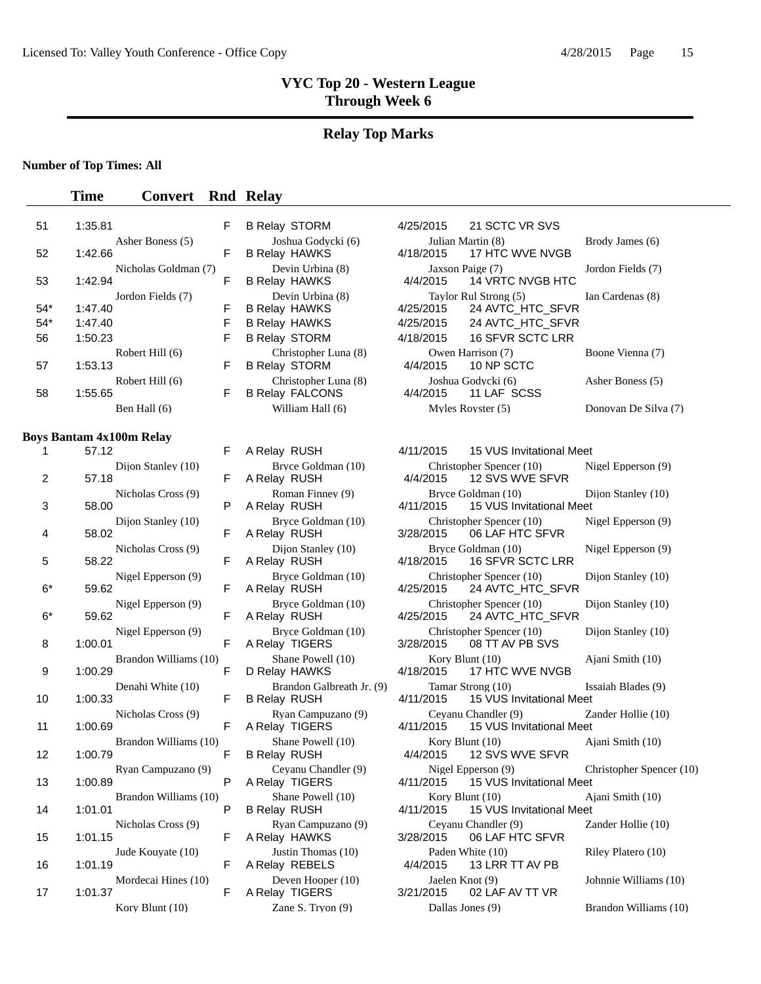### **Relay Top Marks**

#### **Number of Top Times: All**

### **Time Convert Rnd Relay**

| 51    | 1:35.81              | F | <b>B Relay STORM</b>   | 4/25/2015 | 21 SCTC VR SVS          |
|-------|----------------------|---|------------------------|-----------|-------------------------|
|       | Asher Boness (5)     |   | Joshua Godycki (6)     |           | Julian Martin (8)       |
| 52    | 1:42.66              | F | <b>B Relay HAWKS</b>   | 4/18/2015 | 17 HTC WVE NVGB         |
|       | Nicholas Goldman (7) |   | Devin Urbina (8)       |           | Jaxson Paige (7)        |
| 53    | 1:42.94              | F | <b>B Relay HAWKS</b>   | 4/4/2015  | 14 VRTC NVGB HTC        |
|       | Jordon Fields (7)    |   | Devin Urbina (8)       |           | Taylor Rul Strong (5)   |
| $54*$ | 1:47.40              | F | <b>B Relay HAWKS</b>   | 4/25/2015 | 24 AVTC HTC SFVI        |
| $54*$ | 1:47.40              | F | <b>B Relay HAWKS</b>   | 4/25/2015 | 24 AVTC HTC SFVI        |
| 56    | 1:50.23              | F | <b>B Relay STORM</b>   | 4/18/2015 | <b>16 SFVR SCTC LRR</b> |
|       | Robert Hill (6)      |   | Christopher Luna (8)   |           | Owen Harrison (7)       |
| 57    | 1:53.13              | F | <b>B Relay STORM</b>   | 4/4/2015  | 10 NP SCTC              |
|       | Robert Hill (6)      |   | Christopher Luna (8)   |           | Joshua Godycki (6)      |
| 58    | 1:55.65              | F | <b>B Relay FALCONS</b> | 4/4/2015  | 11 LAF SCSS             |
|       | Ben Hall (6)         |   | William Hall (6)       |           | Myles Royster (5)       |

#### **Boys Bantam 4x100m Relay**

| 1                 | 57.12                            | F | A Relay RUSH                                     | 4/11/2015                    | 15 VUS Invitational Me                                  |
|-------------------|----------------------------------|---|--------------------------------------------------|------------------------------|---------------------------------------------------------|
| $\overline{2}$    | Dijon Stanley (10)<br>57.18      | F | Bryce Goldman (10)<br>A Relay RUSH               | 4/4/2015                     | Christopher Spencer (10)<br>12 SVS WVE SFVR             |
| 3                 | Nicholas Cross (9)<br>58.00      | P | Roman Finney (9)<br>A Relay RUSH                 | 4/11/2015                    | Bryce Goldman (10)<br>15 VUS Invitational Me            |
| 4                 | Dijon Stanley (10)<br>58.02      | F | Bryce Goldman (10)<br>A Relay RUSH               |                              | Christopher Spencer (10)<br>3/28/2015   06 LAF HTC SFVR |
| 5                 | Nicholas Cross (9)<br>58.22      | F | Dijon Stanley (10)<br>A Relay RUSH               | 4/18/2015                    | Bryce Goldman (10)<br>16 SFVR SCTC LRR                  |
| $6*$              | Nigel Epperson (9)<br>59.62      | F | Bryce Goldman (10)<br>A Relay RUSH               | 4/25/2015                    | Christopher Spencer (10)<br>24 AVTC_HTC_SFVR            |
| $6*$              | Nigel Epperson (9)<br>59.62      | F | Bryce Goldman (10)<br>A Relay RUSH               | 4/25/2015                    | Christopher Spencer (10)<br>24 AVTC_HTC_SFVR            |
| 8                 | Nigel Epperson (9)<br>1:00.01    | F | Bryce Goldman (10)<br>A Relay TIGERS             |                              | Christopher Spencer (10)<br>3/28/2015 08 TT AV PB SVS   |
| 9                 | Brandon Williams (10)<br>1:00.29 | F | Shane Powell (10)<br>D Relay HAWKS               |                              | Kory Blunt $(10)$<br>4/18/2015 17 HTC WVE NVGB          |
| 10                | Denahi White (10)<br>1:00.33     | F | Brandon Galbreath Jr. (9)<br><b>B Relay RUSH</b> | 4/11/2015                    | Tamar Strong (10)<br>15 VUS Invitational Me             |
| 11                | Nicholas Cross (9)<br>1:00.69    | F | Ryan Campuzano (9)<br>A Relay TIGERS             | 4/11/2015                    | Ceyanu Chandler (9)<br>15 VUS Invitational Me           |
| $12 \overline{ }$ | Brandon Williams (10)<br>1:00.79 | F | Shane Powell (10)<br><b>B Relay RUSH</b>         | Kory Blunt $(10)$            | 4/4/2015 12 SVS WVE SFVR                                |
| 13                | Ryan Campuzano (9)<br>1:00.89    | P | Ceyanu Chandler (9)<br>A Relay TIGERS            |                              | Nigel Epperson (9)<br>4/11/2015 15 VUS Invitational Me  |
| 14                | Brandon Williams (10)<br>1:01.01 | P | Shane Powell (10)<br><b>B Relay RUSH</b>         | Kory Blunt (10)<br>4/11/2015 | 15 VUS Invitational Me                                  |
| 15                | Nicholas Cross (9)<br>1:01.15    | F | Ryan Campuzano (9)<br>A Relay HAWKS              | 3/28/2015                    | Ceyanu Chandler (9)<br>06 LAF HTC SFVR                  |
| 16                | Jude Kouyate (10)<br>1:01.19     | F | Justin Thomas (10)<br>A Relay REBELS             |                              | Paden White (10)<br>4/4/2015 13 LRR TT AV PB            |
| 17                | Mordecai Hines (10)<br>1:01.37   | F | Deven Hooper (10)<br>A Relay TIGERS              | Jaelen Knot (9)              | 3/21/2015 02 LAF AV TT VR                               |
|                   | $Korv$ Blunt $(10)$              |   | Zane S. Tryon (9)                                | Dallas Iones (9)             |                                                         |

| F | <b>B Relay STORM</b>                      | Z |
|---|-------------------------------------------|---|
|   | Joshua Godycki (6)                        |   |
| F | <b>B Relay HAWKS</b>                      | Z |
|   | Devin Urbina (8)                          |   |
| F | <b>B Relay HAWKS</b>                      |   |
|   | Devin Urbina (8)                          |   |
| F | <b>B Relay HAWKS</b>                      | Z |
| F | <b>B Relay HAWKS</b>                      | Ĺ |
| F | <b>B Relay STORM</b>                      | Ĺ |
|   | Christopher Luna (8)                      |   |
| F | <b>B Relay STORM</b>                      |   |
|   | Christopher Luna (8)                      |   |
| F | <b>B Relay FALCONS</b>                    |   |
|   | William Hall (6)                          |   |
|   |                                           |   |
|   |                                           |   |
| F | A Relay RUSH                              |   |
|   | Bryce Goldman (10)                        |   |
| F | A Relay RUSH                              |   |
|   | $D_{\alpha max}$ $E_{\alpha max}(\theta)$ |   |

| A Relay RUSH                             |
|------------------------------------------|
| Roman Finney (9)<br>A Relay RUSH         |
| Bryce Goldman (10)<br>A Relay RUSH       |
| Dijon Stanley (10)<br>A Relay RUSH       |
| Bryce Goldman (10)<br>A Relay RUSH       |
| Bryce Goldman (10)<br>A Relay RUSH       |
| Bryce Goldman (10)<br>A Relay TIGERS     |
| Shane Powell (10)<br>D Relay HAWKS       |
| Brandon Galbreath Jr.<br>B Relay RUSH    |
| Ryan Campuzano (9)<br>A Relay TIGERS     |
| Shane Powell (10)<br>B Relay RUSH        |
| Ceyanu Chandler (9)<br>A Relay TIGERS    |
| Shane Powell (10)<br><b>B Relay RUSH</b> |
| Ryan Campuzano (9)<br>A Relay HAWKS      |
| Justin Thomas (10)<br>A Relay REBELS     |
| Deven Hooper (10)<br>A Relay TIGERS      |
|                                          |

| 1:35.81              | F. | <b>B Relay STORM</b>   | 4/25/2015 | 21 SCTC VR SVS   |                                                                                                                                |
|----------------------|----|------------------------|-----------|------------------|--------------------------------------------------------------------------------------------------------------------------------|
| Asher Boness (5)     |    | Joshua Godycki (6)     |           |                  | Brody James (6)                                                                                                                |
| 1:42.66              | F  | <b>B Relay HAWKS</b>   | 4/18/2015 | 17 HTC WVE NVGB  |                                                                                                                                |
| Nicholas Goldman (7) |    | Devin Urbina (8)       |           |                  | Jordon Fields (7)                                                                                                              |
| 1:42.94              | F  | <b>B Relay HAWKS</b>   | 4/4/2015  | 14 VRTC NVGB HTC |                                                                                                                                |
| Jordon Fields (7)    |    | Devin Urbina (8)       |           |                  | Ian Cardenas (8)                                                                                                               |
| 1:47.40              | F  | <b>B Relay HAWKS</b>   | 4/25/2015 | 24 AVTC HTC SFVR |                                                                                                                                |
| 1:47.40              | F  | <b>B Relay HAWKS</b>   | 4/25/2015 | 24 AVTC HTC SFVR |                                                                                                                                |
| 1:50.23              | F  | <b>B Relay STORM</b>   | 4/18/2015 | 16 SFVR SCTC LRR |                                                                                                                                |
| Robert Hill (6)      |    | Christopher Luna (8)   |           |                  | Boone Vienna (7)                                                                                                               |
| 1:53.13              | F. | <b>B Relay STORM</b>   | 4/4/2015  | 10 NP SCTC       |                                                                                                                                |
| Robert Hill (6)      |    | Christopher Luna (8)   |           |                  | Asher Boness (5)                                                                                                               |
| 1:55.65              | F  | <b>B Relay FALCONS</b> | 4/4/2015  | 11 LAF SCSS      |                                                                                                                                |
| Ben Hall (6)         |    | William Hall (6)       |           |                  | Donovan De Silva (7)                                                                                                           |
|                      |    |                        |           |                  | Julian Martin (8)<br>Jaxson Paige (7)<br>Taylor Rul Strong (5)<br>Owen Harrison (7)<br>Joshua Godycki (6)<br>Myles Royster (5) |

|                | Daniam TATUUM IWAY               |    |                                                  |                  |                                                                |                          |
|----------------|----------------------------------|----|--------------------------------------------------|------------------|----------------------------------------------------------------|--------------------------|
| 1              | 57.12                            | F. | A Relay RUSH                                     | 4/11/2015        | 15 VUS Invitational Meet                                       |                          |
| $\overline{2}$ | Dijon Stanley (10)<br>57.18      | F. | Bryce Goldman (10)<br>A Relay RUSH               |                  | Christopher Spencer (10)<br>4/4/2015 12 SVS WVE SFVR           | Nigel Epperson (9)       |
| 3              | Nicholas Cross (9)<br>58.00      | P  | Roman Finney (9)<br>A Relay RUSH                 | 4/11/2015        | Bryce Goldman (10)<br>15 VUS Invitational Meet                 | Dijon Stanley (10)       |
| 4              | Dijon Stanley (10)<br>58.02      | F  | Bryce Goldman (10)<br>A Relay RUSH               | 3/28/2015        | Christopher Spencer (10) Nigel Epperson (9)<br>06 LAF HTC SFVR |                          |
| 5              | Nicholas Cross (9)<br>58.22      | F  | Dijon Stanley (10)<br>A Relay RUSH               | 4/18/2015        | Bryce Goldman (10)<br><b>16 SFVR SCTC LRR</b>                  | Nigel Epperson (9)       |
| $6*$           | Nigel Epperson (9)<br>59.62      | F  | Bryce Goldman (10)<br>A Relay RUSH               | 4/25/2015        | Christopher Spencer (10)<br>24 AVTC_HTC_SFVR                   | Dijon Stanley (10)       |
| $6*$           | Nigel Epperson (9)<br>59.62      | F. | Bryce Goldman (10)<br>A Relay RUSH               |                  | Christopher Spencer (10)<br>4/25/2015 24 AVTC_HTC_SFVR         | Dijon Stanley (10)       |
| 8              | Nigel Epperson (9)<br>1:00.01    | F  | Bryce Goldman (10)<br>A Relay TIGERS             |                  | Christopher Spencer (10)<br>3/28/2015  08 TT AV PB SVS         | Dijon Stanley (10)       |
| 9              | Brandon Williams (10)<br>1:00.29 | F  | Shane Powell (10)<br>D Relay HAWKS               |                  | Kory Blunt $(10)$<br>4/18/2015 17 HTC WVE NVGB                 | Ajani Smith (10)         |
| 10             | Denahi White (10)<br>1:00.33     | F. | Brandon Galbreath Jr. (9)<br><b>B Relay RUSH</b> | 4/11/2015        | Tamar Strong (10)<br>15 VUS Invitational Meet                  | Issaiah Blades (9)       |
| 11             | Nicholas Cross (9)<br>1:00.69    | F. | Ryan Campuzano (9)<br>A Relay TIGERS             | 4/11/2015        | Ceyanu Chandler (9)<br>15 VUS Invitational Meet                | Zander Hollie (10)       |
| 12             | Brandon Williams (10)<br>1:00.79 | F  | Shane Powell (10)<br><b>B Relay RUSH</b>         |                  | Kory Blunt $(10)$<br>4/4/2015 12 SVS WVE SFVR                  | Ajani Smith (10)         |
| 13             | Ryan Campuzano (9)<br>1:00.89    | P  | Ceyanu Chandler (9)<br>A Relay TIGERS            |                  | Nigel Epperson (9)<br>4/11/2015 15 VUS Invitational Meet       | Christopher Spencer (10) |
| 14             | Brandon Williams (10)<br>1:01.01 | P  | Shane Powell (10)<br><b>B Relay RUSH</b>         |                  | Kory Blunt $(10)$<br>4/11/2015 15 VUS Invitational Meet        | Ajani Smith (10)         |
| 15             | Nicholas Cross (9)<br>1:01.15    | F. | Ryan Campuzano (9)<br>A Relay HAWKS              | 3/28/2015        | Ceyanu Chandler (9)<br>06 LAF HTC SFVR                         | Zander Hollie (10)       |
| 16             | Jude Kouvate (10)<br>1:01.19     | F. | Justin Thomas (10)<br>A Relay REBELS             | 4/4/2015         | Paden White (10)<br>13 LRR TT AV PB                            | Riley Platero (10)       |
| 17             | Mordecai Hines (10)<br>1:01.37   | F  | Deven Hooper $(10)$<br>A Relay TIGERS            | Jaelen Knot (9)  | 3/21/2015 02 LAF AV TT VR                                      | Johnnie Williams (10)    |
|                | Kory Blunt $(10)$                |    | Zane S. Tryon $(9)$                              | Dallas Jones (9) |                                                                | Brandon Williams (10)    |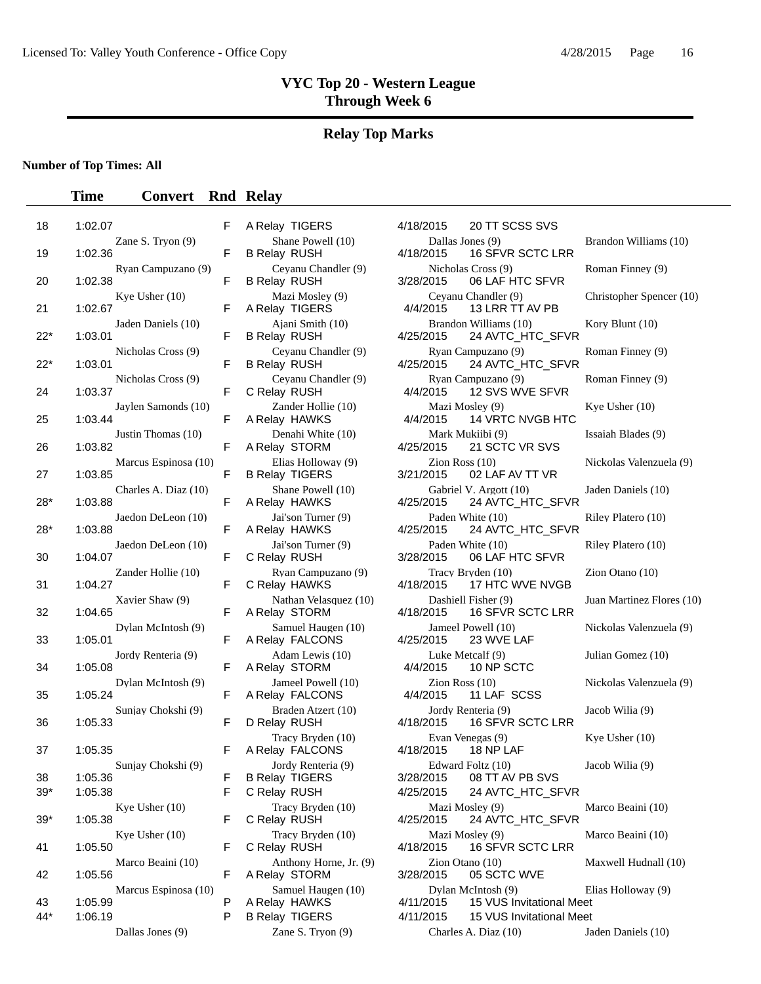#### **Relay Top Marks**

#### **Number of Top Times: All**

#### **Time Convert Rnd Relay**

| 18        | 1:02.07                              |
|-----------|--------------------------------------|
| 19        | Zane S. Tryon (9)<br>1:02.36         |
| 20        | Ryan Campuzano (9)<br>1:02.38        |
| 21        | Kye Usher (10)<br>1:02.67            |
| 22*       | Jaden Daniels (10)<br>1:03.01        |
| 22*       | Nicholas Cross (9)<br>1:03.01        |
|           | Nicholas Cross (9)<br>1:03.37        |
| 24        | Jaylen Samonds (10)                  |
| 25        | 1:03.44<br>Justin Thomas (10)        |
| 26        | 1:03.82<br>Marcus Espinosa (10)      |
| 27        | 1:03.85<br>Charles A. Diaz (10)      |
| 28*       | 1:03.88<br>Jaedon DeLeon (10)        |
| 28*       | 1:03.88<br>ı                         |
| 30        | Jaedon DeLeon (10)<br>1:04.07        |
| 31        | Zander Hollie (10)<br>1:04.27        |
| 32        | Xavier Shaw (9)<br>1:04.65           |
| 33        | Dylan McIntosh (9)<br>1:05.01        |
| 34        | Jordy Renteria (9)<br>1:05.08        |
| 35        | Dylan McIntosh (9)<br>1:05.24        |
|           | Sunjay Chokshi (9)                   |
| 36        | 1:05.33                              |
| 37        | 1:05.35<br>Sunjay Chokshi (9)        |
| 38<br>39* | 1:05.36<br>1:05.38<br>I              |
| 39*       | Kye Usher $(10)$<br>I<br>1:05.38     |
| 41        | Kye Usher $(10)$<br>1:05.50<br>ı     |
|           | Marco Beaini (10)                    |
| 42        | 1:05.56<br>ı<br>Marcus Espinosa (10) |
| 43        | 1:05.99                              |
| 44*       | 1:06.19<br>I                         |

Dallas Jones (9) Zane S. Tryon (9) Charles A. Diaz (10) Jaden Daniels (10)

F A Relay FALCONS 4/25/2015 23 WVE LAF A Relay STORM 4/4/2015 10 NP SCTC A Relay FALCONS 4/4/2015 11 LAF SCSS F A Relay FALCONS 4/18/2015 18 NP LAF A Relay STORM

F A Relay TIGERS 4/18/2015 20 TT SCSS SVS Shane Powell (10) Dallas Jones (9) Brandon Williams (10)<br>F B Relay RUSH 4/18/2015 16 SFVR SCTC LRR B Relay RUSH 4/18/2015 16 SFVR SCTC LRR Ceyanu Chandler (9)  $\overline{P}$  Nicholas Cross (9) Roman Finney (9) B Relay RUSH 3/28/2015 06 LAF HTC SFVR Mazi Mosley (9) Ceyanu Chandler (9) Christopher Spencer (10)<br>F  $\triangle$  Relay TIGERS  $\triangle$   $\triangle$  13 LRR TT  $\triangle$  V PR A Relay TIGERS 4/4/2015 13 LRR TT AV PB Ajani Smith (10) Brandon Williams (10) Kory Blunt (10)<br>F B Relay RUSH 4/25/2015 24 AVTC\_HTC\_SFVR 24 AVTC\_HTC\_SFVR Nicholas Cross (9) Ceyanu Chandler (9) Ryan Campuzano (9) Roman Finney (9) F B Relay RUSH 4/25/2015 24 AVTC\_HTC\_SFVR Ceyanu Chandler (9) Ryan Campuzano (9) Roman Finney (9)<br>F C Relay RUSH  $\frac{A}{A/2015}$  12 SVS WVE SEVR C Relay RUSH 4/4/2015 12 SVS WVE SFVR  $Z$ ander Hollie (10) Mazi Mosley (9) Kye Usher (10) A Relay HAWKS 4/4/2015 14 VRTC NVGB HTC Denahi White (10) Mark Mukiibi (9) Issaiah Blades (9)<br>F A Relay STORM 4/25/2015 21 SCTC VR SVS A Relay STORM 4/25/2015 21 SCTC VR SVS Elias Holloway (9)  $\frac{\text{Zion Ross} (10)}{2/21/2015}$   $\frac{\text{O1 AE AVTT VP}}{2}$  Nickolas Valenzuela (9) B Relay TIGERS 3/21/2015 02 LAF AV TT VR Shane Powell (10) Gabriel V. Argott (10) Jaden Daniels (10)<br>  $A \text{ Polov}_{\text{HOMKS}}$  A. Dolov, HAWKS A Relay HAWKS 4/25/2015 24 AVTC\_HTC\_SFVR Jai'son Turner (9)  $P$ aden White (10) Riley Platero (10)<br>F A Relay HAWKS  $A/25/2015$  24 AVTC HTC SEVR A Relay HAWKS  $\mu$  4/25/2015  $\mu$  24 AVTC\_HTC\_SFVR Jai'son Turner (9)  $P$ aden White (10) Riley Platero (10) C Relay RUSH 3/28/2015 06 LAF HTC SFVR Ryan Campuzano (9) Tracy Bryden (10) Zion Otano (10)<br>lav HAWKS 4/18/2015 17 HTC WVE NVGB F C Relay HAWKS 4/18/2015 17 HTC WVE NVGB Nathan Velasquez (10) Dashiell Fisher (9) Juan Martinez Flores (10)<br>F  $\triangle$  Relay STORM  $\triangle$  1418/2015 16 SEVR SCTC LRR A Relay STORM 4/18/2015 16 SFVR SCTC LRR Samuel Haugen (10) **Samuel Powell (10)** Nickolas Valenzuela (9) Adam Lewis (10) Luke Metcalf (9) Julian Gomez (10)<br>F A Relay STORM  $4/4/2015$  10 NP SCTC Jameel Powell (10)  $\frac{Z}{100}$  Ross (10) Nickolas Valenzuela (9) Braden Atzert (10) Jordy Renteria (9) Jacob Wilia (9) F D Relay RUSH 4/18/2015 16 SFVR SCTC LRR Tracy Bryden (10) Evan Venegas (9) Kye Usher (10)<br>
lav FALCONS 4/18/2015 18 NP LAF Jordy Renteria (9) Edward Foltz (10) Jacob Wilia (9) B Relay TIGERS 3/28/2015 08 TT AV PB SVS F C Relay RUSH 4/25/2015 24 AVTC\_HTC\_SFVR Tracy Bryden (10) Mazi Mosley (9) Marco Beaini (10)<br>F C Bolov BUSH  $\frac{1}{2}$  Mosley (9) Mazi Mosley (9) Marco Beaini (10) C Relay RUSH 4/25/2015 24 AVTC\_HTC\_SFVR Tracy Bryden (10) Mazi Mosley (9) Marco Beaini (10)<br>F C Belay BUSH  $\frac{A}{18}$  Mazi Mosley (9) Marco Beaini (10) C Relay RUSH 4/18/2015 16 SFVR SCTC LRR Anthony Horne, Jr. (9)  $\overline{2}$  Zion Otano (10) Maxwell Hudnall (10)<br>F A Relay STORM  $\overline{3}/28/2015$  05 SCTC WVE Samuel Haugen (10) Dylan McIntosh (9) Elias Holloway (9)<br>P A Relay HAWKS  $\frac{A}{15}$  15 VLIS Invitational Meet A Relay HAWKS 4/11/2015 15 VUS Invitational Meet B Relay TIGERS 4/11/2015 15 VUS Invitational Meet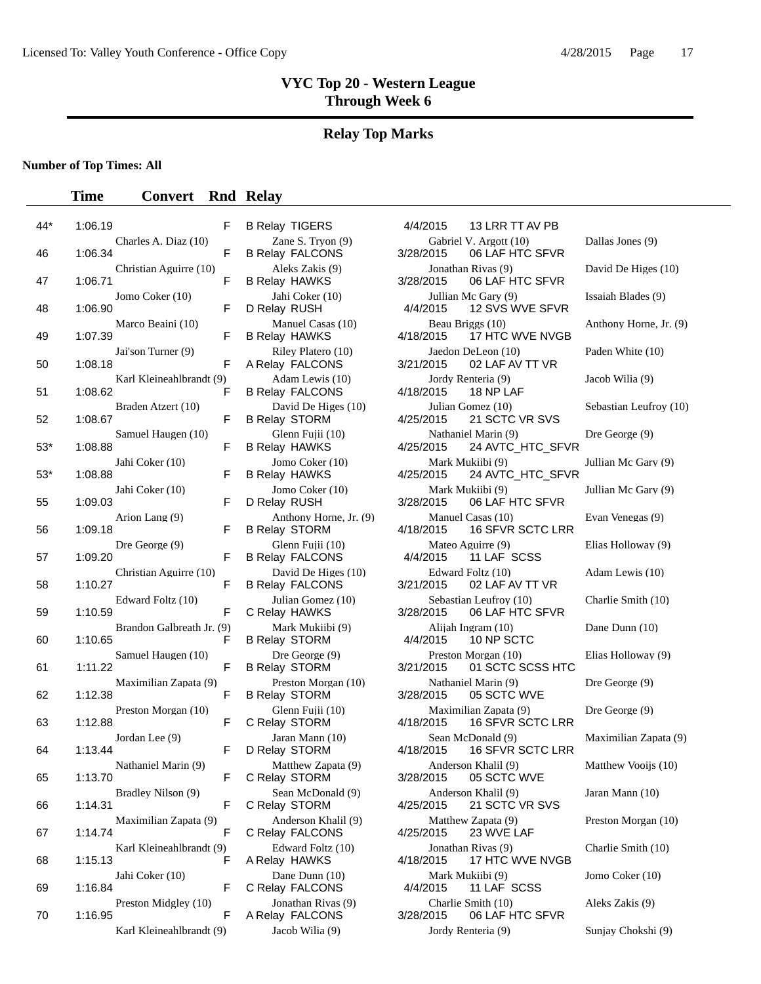#### **Relay Top Marks**

**Number of Top Times: All**

#### **Time Convert Rnd Relay**

| 44* | F<br>1:06.19                              |
|-----|-------------------------------------------|
| 46  | Charles A. Diaz (10)<br>F<br>1:06.34      |
| 47  | Christian Aguirre (10)<br>F<br>1:06.71    |
| 48  | Jomo Coker (10)<br>1:06.90<br>F           |
| 49  | Marco Beaini (10)<br>1:07.39<br>F         |
| 50  | Jai'son Turner (9)<br>F<br>1:08.18        |
| 51  | Karl Kleineahlbrandt (9)<br>1:08.62<br>F  |
|     | Braden Atzert (10)                        |
| 52  | F<br>1:08.67<br>Samuel Haugen (10)        |
| 53* | F<br>1:08.88<br>Jahi Coker (10)           |
| 53* | 1:08.88<br>F<br>Jahi Coker (10)           |
| 55  | 1:09.03<br>F<br>Arion Lang (9)            |
| 56  | 1:09.18<br>F                              |
| 57  | Dre George (9)<br>1:09.20<br>F            |
| 58  | Christian Aguirre (10)<br>F<br>1:10.27    |
| 59  | Edward Foltz (10)<br>F<br>1:10.59         |
| 60  | Brandon Galbreath Jr. (9)<br>F<br>1:10.65 |
| 61  | Samuel Haugen (10)<br>1:11.22<br>F        |
| 62  | Maximilian Zapata (9)<br>1:12.38<br>F     |
| 63  | Preston Morgan (10)<br>F<br>1:12.88       |
|     | Jordan Lee (9)                            |
| 64  | 1:13.44<br>F<br>Nathaniel Marin (9)       |
| 65  | 1:13.70<br>۲<br>Bradley Nilson (9)        |
| 66  | F<br>1:14.31<br>Maximilian Zapata (9)     |
| 67  | F<br>1:14.74<br>Karl Kleineahlbrandt (9)  |
| 68  | 1:15.13<br>F                              |
| 69  | Jahi Coker (10)<br>1:16.84<br>F           |
| 70  | Preston Midgley (10)<br>F<br>1:16.95      |
|     | $K$ arl $K$ lainaahlbrandt $(0)$          |

| B Relay TIGERS                                 |
|------------------------------------------------|
| Zane S. Tryon (9)<br><b>B Relay FALCONS</b>    |
| Aleks Zakis (9)<br><b>B Relay HAWKS</b>        |
| Jahi Coker (10)<br>D Relay RUSH                |
| Manuel Casas (10)<br><b>B Relay HAWKS</b>      |
| Riley Platero (10)<br>A Relay FALCONS          |
| Adam Lewis (10)<br><b>B Relay FALCONS</b>      |
| David De Higes (10)<br><b>B Relay STORM</b>    |
| Glenn Fujii (10)<br><b>B Relay HAWKS</b>       |
| Jomo Coker (10)<br><b>B Relay HAWKS</b>        |
| Jomo Coker (10)<br>D Relay RUSH                |
| Anthony Horne, Jr. (9)<br><b>B Relay STORM</b> |
| Glenn Fujii (10)<br><b>B Relay FALCONS</b>     |
| David De Higes (10)<br><b>B Relay FALCONS</b>  |
| Julian Gomez (10)<br>C Relay HAWKS             |
| Mark Mukiibi (9)<br><b>B Relay STORM</b>       |
| Dre George (9)<br><b>B Relay STORM</b>         |
| Preston Morgan (10)<br><b>B Relay STORM</b>    |
| Glenn Fujii (10)<br>C Relay STORM              |
| Jaran Mann (10)<br>D Relay STORM               |
| Matthew Zapata (9)<br>C Relay STORM            |
| Sean McDonald (9)<br>C Relay STORM             |
| Anderson Khalil (9)<br>C Relay FALCONS         |
| Edward Foltz (10)<br>A Relay HAWKS             |
| Dane Dunn (10)<br>C Relay FALCONS              |
| Jonathan Rivas (9)<br>A Relay FALCONS          |
|                                                |

TIGERS 4/4/2015 13 LRR TT AV PB Gabriel V. Argott (10) Dallas Jones (9) 3/28/2015 06 LAF HTC SFVR Jonathan Rivas (9) David De Higes (10) 3/28/2015 06 LAF HTC SFVR Jullian Mc Gary (9) Issaiah Blades (9) 4/4/2015 12 SVS WVE SFVR Beau Briggs (10) Anthony Horne, Jr. (9)<br>4/18/2015 17 HTC WVE NVGB 17 HTC WVE NVGB Jaedon DeLeon (10) Paden White (10) 3/21/2015 02 LAF AV TT VR Jordy Renteria (9) Jacob Wilia (9) 4/18/2015 18 NP LAF Julian Gomez (10) Sebastian Leufroy (10) 4/25/2015 21 SCTC VR SVS Nathaniel Marin (9) Dre George (9) 4/25/2015 24 AVTC\_HTC\_SFVR Mark Mukiibi (9) Jullian Mc Gary (9)<br>4/25/2015 24 AVTC\_HTC\_SFVR 24 AVTC\_HTC\_SFVR Mark Mukiibi (9) Jullian Mc Gary (9) 3/28/2015 06 LAF HTC SFVR Manuel Casas (10) Evan Venegas (9) 4/18/2015 16 SFVR SCTC LRR Mateo Aguirre (9) Elias Holloway (9) 4/4/2015 11 LAF SCSS Edward Foltz (10) Adam Lewis (10) 3/21/2015 02 LAF AV TT VR Sebastian Leufroy (10) Charlie Smith (10) 3/28/2015 06 LAF HTC SFVR Alijah Ingram (10) Dane Dunn (10) 4/4/2015 10 NP SCTC Preston Morgan (10) Elias Holloway (9) 3/21/2015 01 SCTC SCSS HTC Nathaniel Marin (9) Dre George (9) 3/28/2015 05 SCTC WVE Maximilian Zapata (9) Dre George (9) 4/18/2015 16 SFVR SCTC LRR Sean McDonald (9) Maximilian Zapata (9) A/18/2015 16 SFVR SCTC LRR 16 SFVR SCTC LRR Anderson Khalil (9) Matthew Vooijs (10) 3/28/2015 05 SCTC WVE Anderson Khalil (9) Jaran Mann (10) 4/25/2015 21 SCTC VR SVS Matthew Zapata (9) Preston Morgan (10) 4/25/2015 23 WVE LAF Jonathan Rivas (9) Charlie Smith (10) 4/18/2015 17 HTC WVE NVGB Mark Mukiibi (9) Jomo Coker (10) 4/4/2015 11 LAF SCSS Present Middley (10) Aleks Zakis (9) Aleks Zakis (9) 3/28/2015 06 LAF HTC SFVR Karl Kleineahlbrandt (9) Jacob Wilia (9) Jordy Renteria (9) Sunjay Chokshi (9)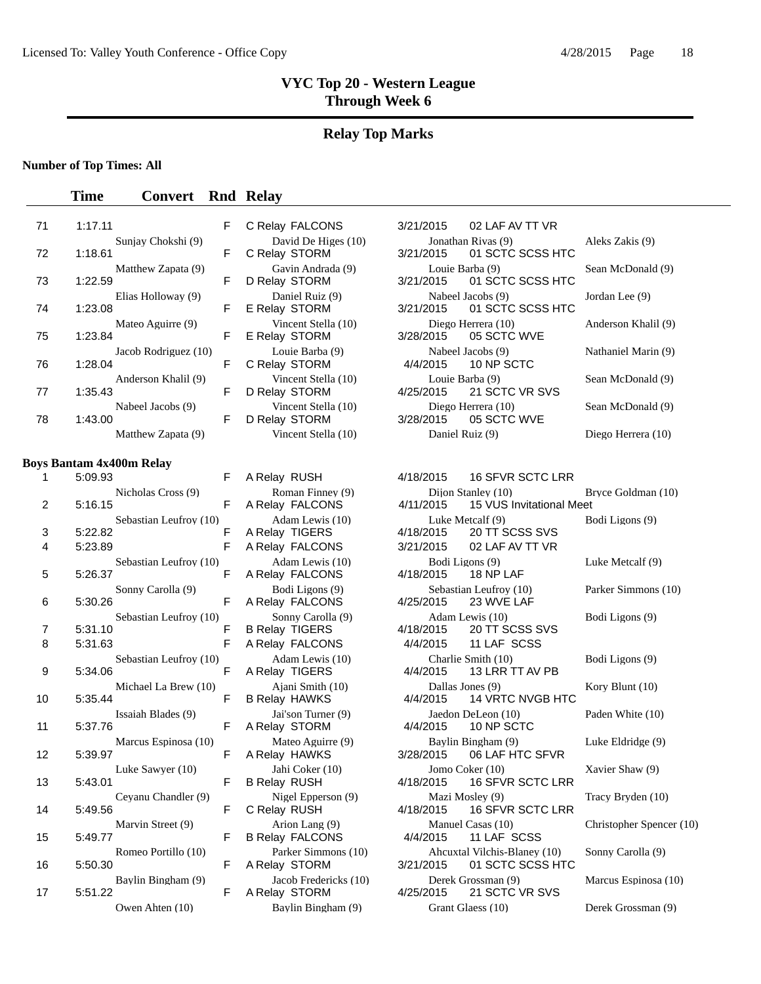#### **Relay Top Marks**

#### **Number of Top Times: All**

#### **Time Convert Rnd Relay**

| 71 | 1:17.11                         | F. | C Relay FALCONS                      | 3/21/2015 | 02 LAF AV TT VR                        |
|----|---------------------------------|----|--------------------------------------|-----------|----------------------------------------|
| 72 | Suniav Chokshi (9)<br>1:18.61   | F. | David De Higes (10)<br>C Relay STORM | 3/21/2015 | Jonathan Rivas (9)<br>01 SCTC SCSS HTC |
| 73 | Matthew Zapata (9)<br>1:22.59   | F  | Gavin Andrada (9)<br>D Relay STORM   | 3/21/2015 | Louie Barba (9)<br>01 SCTC SCSS HTC    |
| 74 | Elias Holloway (9)<br>1:23.08   | F. | Daniel Ruiz (9)<br>E Relay STORM     | 3/21/2015 | Nabeel Jacobs (9)<br>01 SCTC SCSS HTC  |
| 75 | Mateo Aguirre (9)<br>1:23.84    | F  | Vincent Stella (10)<br>E Relay STORM | 3/28/2015 | Diego Herrera (10)<br>05 SCTC WVE      |
| 76 | Jacob Rodriguez (10)<br>1:28.04 | F  | Louie Barba (9)<br>C Relay STORM     | 4/4/2015  | Nabeel Jacobs (9)<br>10 NP SCTC        |
| 77 | Anderson Khalil (9)<br>1:35.43  | F  | Vincent Stella (10)<br>D Relay STORM | 4/25/2015 | Louie Barba (9)<br>21 SCTC VR SVS      |
| 78 | Nabeel Jacobs (9)<br>1:43.00    | F  | Vincent Stella (10)<br>D Relay STORM | 3/28/2015 | Diego Herrera (10)<br>05 SCTC WVE      |
|    | Matthew Zapata (9)              |    | Vincent Stella (10)                  |           | Daniel Ruiz (9)                        |
|    |                                 |    |                                      |           |                                        |

#### **Boys Bantam 4x400m Relay**

| 1  | 5:09.93 |                        | F |
|----|---------|------------------------|---|
|    |         | Nicholas Cross (9)     |   |
| 2  | 5:16.15 |                        | F |
| 3  | 5:22.82 | Sebastian Leufroy (10) | F |
| 4  | 5:23.89 |                        | F |
|    |         | Sebastian Leufroy (10) |   |
| 5  | 5:26.37 |                        | F |
|    |         | Sonny Carolla (9)      | F |
| 6  | 5:30.26 |                        |   |
| 7  | 5:31.10 | Sebastian Leufroy (10) | F |
| 8  | 5:31.63 |                        | F |
|    |         | Sebastian Leufroy (10) |   |
| 9  | 5:34.06 |                        | F |
| 10 | 5:35.44 | Michael La Brew (10)   | F |
|    |         | Issaiah Blades (9)     |   |
| 11 | 5:37.76 |                        | F |
|    |         | Marcus Espinosa (10)   |   |
| 12 | 5:39.97 |                        | F |
| 13 | 5:43.01 | Luke Sawyer (10)       | F |
|    |         | Ceyanu Chandler (9)    |   |
| 14 | 5:49.56 |                        | F |
|    |         | Marvin Street (9)      |   |
| 15 | 5:49.77 |                        | F |
| 16 | 5:50.30 | Romeo Portillo (10)    | F |
|    |         | Baylin Bingham (9)     |   |
| 17 | 5:51.22 |                        | F |
|    |         | Owen Ahten (10)        |   |

| U REIAY FALUUNS                               |
|-----------------------------------------------|
| David De Higes (10)<br>C Relay STORM          |
| Gavin Andrada (9)<br>D Relay STORM            |
| Daniel Ruiz (9)<br>E Relay STORM              |
| Vincent Stella (10)<br>E Relay STORM          |
| Louie Barba (9)<br>C Relay STORM              |
| Vincent Stella (10)<br>D Relay STORM          |
| Vincent Stella (10)<br>D Relay STORM          |
| Vincent Stella (10)                           |
| A Relay RUSH                                  |
| Roman Finney (9)<br>$\Lambda$ Dolove EAI COMS |
|                                               |

A Relay STORM 4/4/2015 B Relay FALCONS 4/4/2015

|                      | F. | C Relay FALCONS                      | 3/21/2015 | 02 LAF AV TT VR                                  |                     |
|----------------------|----|--------------------------------------|-----------|--------------------------------------------------|---------------------|
| Sunjay Chokshi (9)   | F. | David De Higes (10)<br>C Relay STORM |           | Jonathan Rivas (9)<br>3/21/2015 01 SCTC SCSS HTC | Aleks Zakis (9)     |
| Matthew Zapata (9)   | F. | Gavin Andrada (9)<br>D Relay STORM   |           | Louie Barba (9)<br>3/21/2015 01 SCTC SCSS HTC    | Sean McDonald (9)   |
| Elias Holloway (9)   | F. | Daniel Ruiz (9)<br>E Relay STORM     |           | Nabeel Jacobs (9)<br>3/21/2015 01 SCTC SCSS HTC  | Jordan Lee (9)      |
| Mateo Aguirre (9)    | F. | Vincent Stella (10)<br>E Relay STORM |           | Diego Herrera (10)<br>3/28/2015 05 SCTC WVE      | Anderson Khalil (9) |
| Jacob Rodriguez (10) | F. | Louie Barba (9)<br>C Relay STORM     |           | Nabeel Jacobs (9)<br>4/4/2015 10 NP SCTC         | Nathaniel Marin (9) |
| Anderson Khalil (9)  | F. | Vincent Stella (10)<br>D Relay STORM |           | Louie Barba (9)<br>4/25/2015 21 SCTC VR SVS      | Sean McDonald (9)   |
| Nabeel Jacobs (9)    | F. | Vincent Stella (10)<br>D Relay STORM |           | Diego Herrera (10)<br>3/28/2015 05 SCTC WVE      | Sean McDonald (9)   |
| Matthew Zapata (9)   |    | Vincent Stella (10)                  |           | Daniel Ruiz (9)                                  | Diego Herrera (10)  |

```
4/18/2015   16 SFVR SCTC LRR
```
Dijon Stanley (10) Bryce Goldman (10) A Relay FALCONS 4/11/2015 15 VUS Invitational Meet Adam Lewis (10) Luke Metcalf (9) Bodi Ligons (9) A Relay TIGERS 4/18/2015 20 TT SCSS SVS A Relay FALCONS 3/21/2015 02 LAF AV TT VR Adam Lewis (10) Bodi Ligons (9) Luke Metcalf (9) A Relay FALCONS 4/18/2015 18 NP LAF Bodi Ligons (9) Sebastian Leufroy (10) Parker Simmons (10)<br>lay FALCONS 4/25/2015 23 WVE LAF A Relay FALCONS 4/25/2015 23 WVE LAF Sonny Carolla (9) Adam Lewis (10) Bodi Ligons (9) B Relay TIGERS 4/18/2015 20 TT SCSS SVS A Relay FALCONS 4/4/2015 11 LAF SCSS Adam Lewis (10) Charlie Smith (10) Bodi Ligons (9) A Relay TIGERS 4/4/2015 13 LRR TT AV PB Ajani Smith (10) **Dallas Jones (9)** Kory Blunt (10)<br>
Alay HAWKS 4/4/2015 14 VRTC NVGB HTC B Relay HAWKS 4/4/2015 14 VRTC NVGB HTC Jai'son Turner (9) Jaedon DeLeon (10) Paden White (10)<br>
lay STORM 4/4/2015 10 NP SCTC Mateo Aguirre (9) Baylin Bingham (9) Luke Eldridge (9) A Relay HAWKS 3/28/2015 06 LAF HTC SFVR Jahi Coker (10) Jomo Coker (10)  $\qquad \qquad$  Jomo Coker (10)  $\qquad \qquad$  Xavier Shaw (9) B Relay RUSH  $\qquad \qquad$  4/18/2015 16 SFVR SCTC LRR 16 SFVR SCTC LRR Nigel Epperson (9) Mazi Mosley (9) Tracy Bryden (10) C Relay RUSH 4/18/2015 16 SFVR SCTC LRR Arion Lang (9) Manuel Casas (10) Christopher Spencer (10)<br>
lay FALCONS 4/4/2015 11 LAF SCSS Parker Simmons (10) Ahcuxtal Vilchis-Blaney (10) Sonny Carolla (9) A Relay STORM 3/21/2015 01 SCTC SCSS HTC Jacob Fredericks (10) Derek Grossman (9) Marcus Espinosa (10) A Relay STORM 4/25/2015 21 SCTC VR SVS Baylin Bingham (9) Grant Glaess (10) Derek Grossman (9)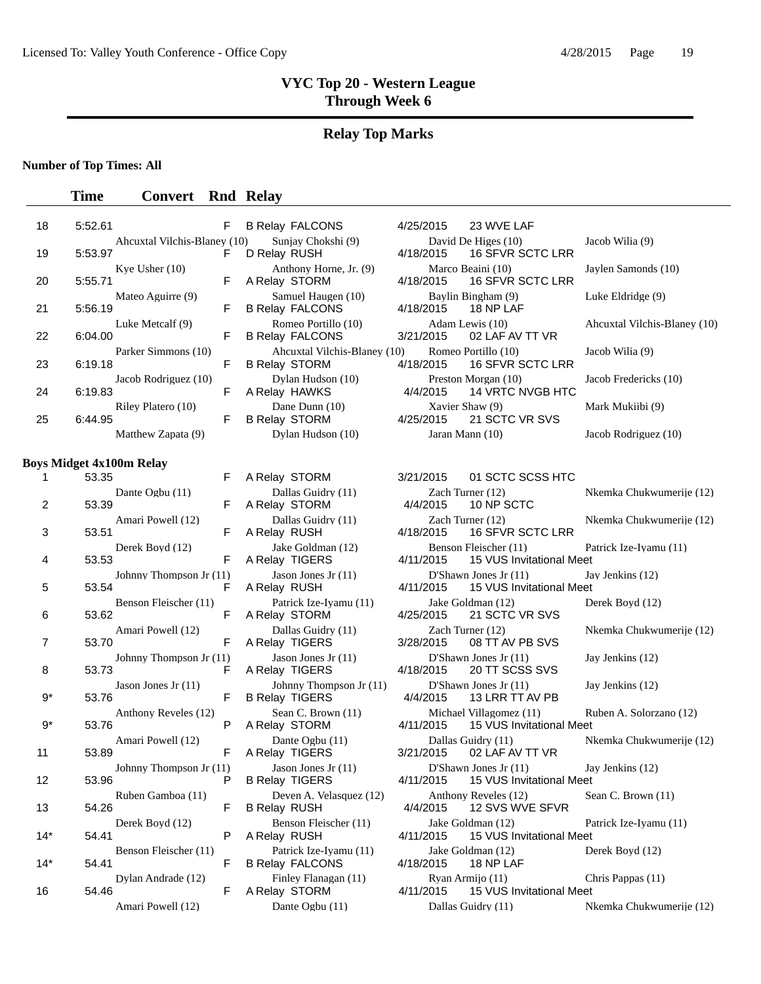# **Relay Top Marks**

### **Number of Top Times: All**

| 18    | 5:52.61                                  | F            | <b>B Relay FALCONS</b>                               | 4/25/2015<br>23 WVE LAF                                          |                              |
|-------|------------------------------------------|--------------|------------------------------------------------------|------------------------------------------------------------------|------------------------------|
| 19    | Ahcuxtal Vilchis-Blaney (10)<br>5:53.97  | F            | Sunjay Chokshi (9)<br>D Relay RUSH                   | David De Higes (10)<br>4/18/2015<br>16 SFVR SCTC LRR             | Jacob Wilia (9)              |
| 20    | Kye Usher $(10)$<br>5:55.71              | F            | Anthony Horne, Jr. (9)<br>A Relay STORM              | Marco Beaini (10)<br>4/18/2015<br>16 SFVR SCTC LRR               | Jaylen Samonds (10)          |
| 21    | Mateo Aguirre (9)<br>5:56.19             | F            | Samuel Haugen (10)<br><b>B Relay FALCONS</b>         | Baylin Bingham (9)<br>4/18/2015<br>18 NP LAF                     | Luke Eldridge (9)            |
| 22    | Luke Metcalf (9)<br>6:04.00              | F            | Romeo Portillo (10)<br><b>B Relay FALCONS</b>        | Adam Lewis (10)<br>3/21/2015<br>02 LAF AV TT VR                  | Aheuxtal Vilchis-Blaney (10) |
| 23    | Parker Simmons (10)<br>6:19.18           | F            | Aheuxtal Vilchis-Blaney (10)<br><b>B Relay STORM</b> | Romeo Portillo (10)<br>4/18/2015<br><b>16 SFVR SCTC LRR</b>      | Jacob Wilia (9)              |
| 24    | Jacob Rodriguez (10)<br>6:19.83          | F            | Dylan Hudson (10)<br>A Relay HAWKS                   | Preston Morgan (10)<br>4/4/2015<br>14 VRTC NVGB HTC              | Jacob Fredericks (10)        |
| 25    | Riley Platero (10)<br>6:44.95            | F            | Dane Dunn (10)<br><b>B Relay STORM</b>               | Xavier Shaw (9)<br>21 SCTC VR SVS<br>4/25/2015                   | Mark Mukiibi (9)             |
|       | Matthew Zapata (9)                       |              | Dylan Hudson (10)                                    | Jaran Mann (10)                                                  | Jacob Rodriguez (10)         |
|       |                                          |              |                                                      |                                                                  |                              |
| 1     | <b>Boys Midget 4x100m Relay</b><br>53.35 | F            | A Relay STORM                                        | 01 SCTC SCSS HTC<br>3/21/2015                                    |                              |
| 2     | Dante Ogbu (11)<br>53.39                 | F            | Dallas Guidry (11)<br>A Relay STORM                  | Zach Turner (12)<br>4/4/2015<br>10 NP SCTC                       | Nkemka Chukwumerije (12)     |
| 3     | Amari Powell (12)<br>53.51               | F            | Dallas Guidry (11)<br>A Relay RUSH                   | Zach Turner (12)<br>4/18/2015<br>16 SFVR SCTC LRR                | Nkemka Chukwumerije (12)     |
| 4     | Derek Boyd (12)<br>53.53                 | F            | Jake Goldman (12)<br>A Relay TIGERS                  | Benson Fleischer (11)<br>15 VUS Invitational Meet<br>4/11/2015   | Patrick Ize-Iyamu (11)       |
| 5     | Johnny Thompson Jr (11)<br>53.54         | F            | Jason Jones Jr $(11)$<br>A Relay RUSH                | D'Shawn Jones Jr $(11)$<br>15 VUS Invitational Meet<br>4/11/2015 | Jay Jenkins (12)             |
| 6     | Benson Fleischer (11)<br>53.62           | F            | Patrick Ize-Iyamu (11)<br>A Relay STORM              | Jake Goldman (12)<br>4/25/2015<br>21 SCTC VR SVS                 | Derek Boyd (12)              |
| 7     | Amari Powell (12)<br>53.70               | F            | Dallas Guidry (11)<br>A Relay TIGERS                 | Zach Turner (12)<br>3/28/2015<br>08 TT AV PB SVS                 | Nkemka Chukwumerije (12)     |
| 8     | Johnny Thompson Jr (11)<br>53.73         | F            | Jason Jones Jr $(11)$<br>A Relay TIGERS              | D'Shawn Jones Jr (11)<br>4/18/2015<br>20 TT SCSS SVS             | Jay Jenkins (12)             |
| $9^*$ | Jason Jones Jr $(11)$<br>53.76           | F            | Johnny Thompson Jr (11)<br><b>B Relay TIGERS</b>     | D'Shawn Jones Jr (11)<br>4/4/2015<br>13 LRR TT AV PB             | Jay Jenkins (12)             |
| $9^*$ | Anthony Reveles (12)<br>53.76            | P            | Sean C. Brown (11)<br>A Relay STORM                  | Michael Villagomez (11)<br>4/11/2015<br>15 VUS Invitational Meet | Ruben A. Solorzano (12)      |
| 11    | Amari Powell (12)<br>53.89               | F            | Dante Ogbu (11)<br>A Relay TIGERS                    | Dallas Guidry (11)<br>3/21/2015<br>02 LAF AV TT VR               | Nkemka Chukwumerije (12)     |
| 12    | Johnny Thompson Jr $(11)$<br>53.96       | $\mathsf{P}$ | Jason Jones Jr $(11)$<br><b>B Relay TIGERS</b>       | D'Shawn Jones Jr $(11)$<br>4/11/2015 15 VUS Invitational Meet    | Jay Jenkins (12)             |
| 13    | Ruben Gamboa (11)<br>54.26               | F            | Deven A. Velasquez (12)<br><b>B Relay RUSH</b>       | Anthony Reveles (12)<br>4/4/2015<br>12 SVS WVE SFVR              | Sean C. Brown (11)           |
| $14*$ | Derek Boyd (12)<br>54.41                 | P            | Benson Fleischer (11)<br>A Relay RUSH                | Jake Goldman (12)<br>4/11/2015<br>15 VUS Invitational Meet       | Patrick Ize-Iyamu (11)       |
| $14*$ | Benson Fleischer (11)<br>54.41           | F            | Patrick Ize-Ivamu (11)<br><b>B Relay FALCONS</b>     | Jake Goldman (12)<br>4/18/2015<br>18 NP LAF                      | Derek Boyd (12)              |
| 16    | Dylan Andrade (12)<br>54.46              | F            | Finley Flanagan (11)<br>A Relay STORM                | Ryan Armijo (11)<br>4/11/2015<br>15 VUS Invitational Meet        | Chris Pappas (11)            |
|       | Amari Powell (12)                        |              | Dante Ogbu (11)                                      | Dallas Guidry (11)                                               | Nkemka Chukwumerije (12)     |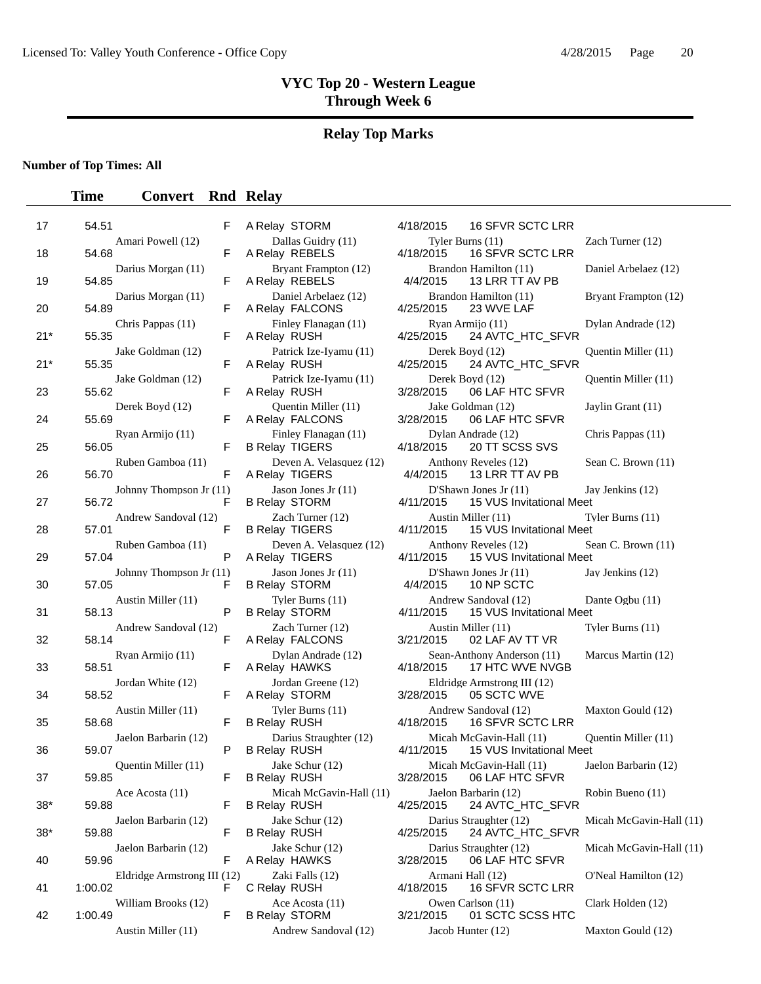# **Relay Top Marks**

### **Number of Top Times: All**

| 17    | 54.51                                  | F  | A Relay STORM                                  | 4/18/2015                     | 16 SFVR SCTC LRR                                       |                |
|-------|----------------------------------------|----|------------------------------------------------|-------------------------------|--------------------------------------------------------|----------------|
| 18    | Amari Powell (12)<br>54.68             | F  | Dallas Guidry (11)<br>A Relay REBELS           | Tyler Burns (11)<br>4/18/2015 | 16 SFVR SCTC LRR                                       | Z              |
| 19    | Darius Morgan (11)<br>54.85            | F  | Bryant Frampton (12)<br>A Relay REBELS         | 4/4/2015                      | Brandon Hamilton (11)<br>13 LRR TT AV PB               | D              |
| 20    | Darius Morgan (11)<br>54.89            | F  | Daniel Arbelaez (12)<br>A Relay FALCONS        | 4/25/2015                     | Brandon Hamilton (11)<br>23 WVE LAF                    | $\bf{B}$       |
| $21*$ | Chris Pappas (11)<br>55.35             | F  | Finley Flanagan (11)<br>A Relay RUSH           | 4/25/2015                     | Ryan Armijo (11)<br>24 AVTC_HTC_SFVR                   | D              |
| $21*$ | Jake Goldman (12)<br>55.35             | F  | Patrick Ize-Iyamu (11)<br>A Relay RUSH         | Derek Boyd (12)<br>4/25/2015  | 24 AVTC_HTC_SFVR                                       | Q              |
| 23    | Jake Goldman (12)<br>55.62             | F  | Patrick Ize-Iyamu (11)<br>A Relay RUSH         | Derek Boyd (12)<br>3/28/2015  | 06 LAF HTC SFVR                                        | Q              |
| 24    | Derek Boyd (12)<br>55.69               | F  | <b>Ouentin Miller</b> (11)<br>A Relay FALCONS  | 3/28/2015                     | Jake Goldman (12)<br>06 LAF HTC SFVR                   | J <sub>i</sub> |
| 25    | Ryan Armijo (11)<br>56.05              | F  | Finley Flanagan (11)<br><b>B Relay TIGERS</b>  | 4/18/2015                     | Dylan Andrade (12)<br>20 TT SCSS SVS                   | $\mathsf{C}$   |
| 26    | Ruben Gamboa (11)<br>56.70             | F  | Deven A. Velasquez (12)<br>A Relay TIGERS      | 4/4/2015                      | Anthony Reveles (12)<br>13 LRR TT AV PB                | S              |
| 27    | Johnny Thompson Jr (11)<br>56.72       | F  | Jason Jones Jr (11)<br><b>B Relay STORM</b>    | 4/11/2015                     | D'Shawn Jones Jr $(11)$<br>15 VUS Invitational Meet    | J              |
| 28    | Andrew Sandoval (12)<br>57.01          | F  | Zach Turner (12)<br><b>B Relay TIGERS</b>      | 4/11/2015                     | Austin Miller (11)<br>15 VUS Invitational Meet         | Т              |
| 29    | Ruben Gamboa (11)<br>57.04             | P  | Deven A. Velasquez (12)<br>A Relay TIGERS      | 4/11/2015                     | Anthony Reveles (12)<br>15 VUS Invitational Meet       | S              |
| 30    | Johnny Thompson Jr (11)<br>57.05       | F  | Jason Jones Jr (11)<br><b>B Relay STORM</b>    | 4/4/2015                      | D'Shawn Jones Jr (11)<br>10 NP SCTC                    | J <sub>i</sub> |
| 31    | Austin Miller (11)<br>58.13            | P  | Tyler Burns (11)<br><b>B Relay STORM</b>       | 4/11/2015                     | Andrew Sandoval (12)<br>15 VUS Invitational Meet       | D              |
| 32    | Andrew Sandoval (12)<br>58.14          | F  | Zach Turner (12)<br>A Relay FALCONS            | 3/21/2015                     | Austin Miller (11)<br>02 LAF AV TT VR                  | T              |
| 33    | Ryan Armijo (11)<br>58.51              | F  | Dylan Andrade (12)<br>A Relay HAWKS            | 4/18/2015                     | Sean-Anthony Anderson (11)<br>17 HTC WVE NVGB          | N              |
| 34    | Jordan White (12)<br>58.52             | F  | Jordan Greene (12)<br>A Relay STORM            | 3/28/2015                     | Eldridge Armstrong III (12)<br>05 SCTC WVE             |                |
| 35    | Austin Miller (11)<br>58.68            | F  | Tyler Burns (11)<br><b>B Relay RUSH</b>        | 4/18/2015                     | Andrew Sandoval (12)<br>16 SFVR SCTC LRR               | N              |
| 36    | Jaelon Barbarin (12)<br>59.07          | P  | Darius Straughter (12)<br><b>B Relay RUSH</b>  | 4/11/2015                     | Micah McGavin-Hall (11)<br>15 VUS Invitational Meet    | 0              |
| 37    | Quentin Miller (11)<br>59.85           | F  | Jake Schur (12)<br><b>B Relay RUSH</b>         |                               | Micah McGavin-Hall (11)<br>3/28/2015   06 LAF HTC SFVR | J              |
| $38*$ | Ace Acosta (11)<br>59.88               | F  | Micah McGavin-Hall (11)<br><b>B Relay RUSH</b> | 4/25/2015                     | Jaelon Barbarin (12)<br>24 AVTC_HTC_SFVR               | R              |
| $38*$ | Jaelon Barbarin (12)<br>59.88          | F  | Jake Schur (12)<br><b>B Relay RUSH</b>         | 4/25/2015                     | Darius Straughter (12)<br>24 AVTC_HTC_SFVR             | N              |
| 40    | Jaelon Barbarin (12)<br>59.96          | F  | Jake Schur (12)<br>A Relay HAWKS               | 3/28/2015                     | Darius Straughter (12)<br>06 LAF HTC SFVR              | N              |
| 41    | Eldridge Armstrong III (12)<br>1:00.02 | F. | Zaki Falls (12)<br>C Relay RUSH                | 4/18/2015                     | Armani Hall (12)<br>16 SFVR SCTC LRR                   | O              |
| 42    | William Brooks (12)<br>1:00.49         | F  | Ace Acosta (11)<br><b>B Relay STORM</b>        | 3/21/2015                     | Owen Carlson (11)<br>01 SCTC SCSS HTC                  | $\mathsf{C}$   |
|       | Austin Miller (11)                     |    | Andrew Sandoval (12)                           |                               | Jacob Hunter (12)                                      | N              |

|                             | F      | A Relay STORM                                 |
|-----------------------------|--------|-----------------------------------------------|
| ell (12)                    | F      | Dallas Guidry (11)<br>A Relay REBELS          |
| gan (11)                    | F      | Bryant Frampton (12)<br>A Relay REBELS        |
| gan (11)                    | F      | Daniel Arbelaez (12)<br>A Relay FALCONS       |
| as (11)                     | F      | Finley Flanagan (11)<br>A Relay RUSH          |
| an (12)                     | F      | Patrick Ize-Iyamu (11)<br>A Relay RUSH        |
| 1an (12)                    | F      | Patrick Ize-Iyamu (11)<br>A Relay RUSH        |
| d (12)                      | F      | Quentin Miller (11)<br>A Relay FALCONS        |
| $\frac{1}{10}$              | F      | Finley Flanagan (11)<br><b>B Relay TIGERS</b> |
| 1boa (11)                   | F      | Deven A. Velasquez (12)<br>A Relay TIGERS     |
| $\epsilon$ ompson Jr $(11)$ | F      | Jason Jones Jr (11)<br><b>B Relay STORM</b>   |
| ndoval (12)                 | F      | Zach Turner (12)<br><b>B Relay TIGERS</b>     |
| aboa (11)                   | Р      | Deven A. Velasquez (12)<br>A Relay TIGERS     |
| $oppson$ Jr $(11)$          | F      | Jason Jones Jr (11)<br><b>B Relay STORM</b>   |
| er(11)                      | Ρ      | Tyler Burns (11)<br><b>B Relay STORM</b>      |
| ndoval (12)                 | F      | Zach Turner (12)<br>A Relay FALCONS           |
| jo (11)                     | F      | Dylan Andrade (12)<br>A Relay HAWKS           |
| te $(12)$                   | F      | Jordan Greene (12)<br>A Relay STORM           |
| ler (11)                    | F      | Tyler Burns (11)<br><b>B Relay RUSH</b>       |
| parin (12)                  | Ρ      | Darius Straughter (12)                        |
| iller $(11)$                |        | <b>B Relay RUSH</b><br>Jake Schur (12)        |
| (11)                        | F<br>F | B Relay RUSH<br>Micah McGavin-Hall (11        |
| parin (12)                  | F      | <b>B Relay RUSH</b><br>Jake Schur (12)        |
| parin (12)                  |        | <b>B Relay RUSH</b><br>Jake Schur (12)        |
| $rmstrong III$ (12)         | F      | A Relay HAWKS<br>Zaki Falls (12)              |
| ooks (12)                   | F      | C Relay RUSH<br>Ace Acosta (11)               |
| er(11)                      | F      | <b>B Relay STORM</b><br>Andrew Sandoval (12)  |
|                             |        |                                               |

|                             | F  | A Relay STORM                                  | 4/18/2015                     | 16 SFVR SCTC LRR                                    |                            |
|-----------------------------|----|------------------------------------------------|-------------------------------|-----------------------------------------------------|----------------------------|
| Amari Powell (12)           | F  | Dallas Guidry (11)<br>A Relay REBELS           | Tyler Burns (11)<br>4/18/2015 | 16 SFVR SCTC LRR                                    | Zach Turner (12)           |
| Darius Morgan (11)          | F  | Bryant Frampton (12)<br>A Relay REBELS         | 4/4/2015                      | Brandon Hamilton (11)<br>13 LRR TT AV PB            | Daniel Arbelaez (12)       |
| Darius Morgan (11)          | F  | Daniel Arbelaez (12)<br>A Relay FALCONS        | 4/25/2015                     | Brandon Hamilton (11)<br>23 WVE LAF                 | Bryant Frampton (12)       |
| Chris Pappas (11)           | F  | Finley Flanagan (11)<br>A Relay RUSH           | 4/25/2015                     | Ryan Armijo (11)<br>24 AVTC_HTC_SFVR                | Dylan Andrade (12)         |
| Jake Goldman (12)           | F  | Patrick Ize-Iyamu (11)<br>A Relay RUSH         | 4/25/2015                     | Derek Boyd (12)<br>24 AVTC_HTC_SFVR                 | Quentin Miller (11)        |
| Jake Goldman (12)           | F  | Patrick Ize-Iyamu (11)<br>A Relay RUSH         | 3/28/2015                     | Derek Boyd (12)<br>06 LAF HTC SFVR                  | <b>Ouentin Miller</b> (11) |
| Derek Boyd (12)             | F  | Quentin Miller (11)<br>A Relay FALCONS         | 3/28/2015                     | Jake Goldman (12)<br>06 LAF HTC SFVR                | Jaylin Grant (11)          |
| Ryan Armijo (11)            | F  | Finley Flanagan (11)<br><b>B Relay TIGERS</b>  | 4/18/2015                     | Dylan Andrade (12)<br>20 TT SCSS SVS                | Chris Pappas (11)          |
| Ruben Gamboa (11)           | F  | Deven A. Velasquez (12)<br>A Relay TIGERS      | 4/4/2015                      | Anthony Reveles (12)<br>13 LRR TT AV PB             | Sean C. Brown (11)         |
| Johnny Thompson Jr (11)     | F  | Jason Jones Jr (11)<br><b>B Relay STORM</b>    | 4/11/2015                     | D'Shawn Jones Jr $(11)$<br>15 VUS Invitational Meet | Jay Jenkins (12)           |
| Andrew Sandoval (12)        | F  | Zach Turner (12)<br><b>B Relay TIGERS</b>      | 4/11/2015                     | Austin Miller (11)<br>15 VUS Invitational Meet      | Tyler Burns (11)           |
| Ruben Gamboa (11)           | P  | Deven A. Velasquez (12)<br>A Relay TIGERS      | 4/11/2015                     | Anthony Reveles (12)<br>15 VUS Invitational Meet    | Sean C. Brown (11)         |
| Johnny Thompson Jr (11)     | F  | Jason Jones Jr (11)<br><b>B Relay STORM</b>    | 4/4/2015                      | D'Shawn Jones Jr $(11)$<br>10 NP SCTC               | Jay Jenkins (12)           |
| Austin Miller (11)          | P  | Tyler Burns (11)<br><b>B Relay STORM</b>       | 4/11/2015                     | Andrew Sandoval (12)<br>15 VUS Invitational Meet    | Dante Ogbu (11)            |
| Andrew Sandoval (12)        | F  | Zach Turner (12)<br>A Relay FALCONS            | 3/21/2015                     | Austin Miller (11)<br>02 LAF AV TT VR               | Tyler Burns (11)           |
| Ryan Armijo (11)            | F  | Dylan Andrade (12)<br>A Relay HAWKS            | 4/18/2015                     | Sean-Anthony Anderson (11)<br>17 HTC WVE NVGB       | Marcus Martin (12)         |
| Jordan White (12)           | F  | Jordan Greene (12)<br>A Relay STORM            | 3/28/2015                     | Eldridge Armstrong III (12)<br>05 SCTC WVE          |                            |
| Austin Miller (11)          | F  | Tyler Burns (11)<br><b>B Relay RUSH</b>        | 4/18/2015                     | Andrew Sandoval (12)<br>16 SFVR SCTC LRR            | Maxton Gould (12)          |
| Jaelon Barbarin (12)        | P  | Darius Straughter (12)<br><b>B Relay RUSH</b>  | 4/11/2015                     | Micah McGavin-Hall (11)<br>15 VUS Invitational Meet | Quentin Miller (11)        |
| Quentin Miller (11)         | F  | Jake Schur (12)<br><b>B Relay RUSH</b>         | 3/28/2015                     | Micah McGavin-Hall (11)<br>06 LAF HTC SFVR          | Jaelon Barbarin (12)       |
| Ace Acosta (11)             | F  | Micah McGavin-Hall (11)<br><b>B Relay RUSH</b> | 4/25/2015                     | Jaelon Barbarin (12)<br>24 AVTC_HTC_SFVR            | Robin Bueno (11)           |
| Jaelon Barbarin (12)        | F  | Jake Schur (12)<br><b>B Relay RUSH</b>         | 4/25/2015                     | Darius Straughter (12)<br>24 AVTC_HTC_SFVR          | Micah McGavin-Hall (11)    |
| Jaelon Barbarin (12)        | F  | Jake Schur (12)<br>A Relay HAWKS               | 3/28/2015                     | Darius Straughter (12)<br>06 LAF HTC SFVR           | Micah McGavin-Hall (11)    |
| Eldridge Armstrong III (12) | F. | Zaki Falls (12)<br>C Relay RUSH                | 4/18/2015                     | Armani Hall (12)<br>16 SFVR SCTC LRR                | O'Neal Hamilton (12)       |
| William Brooks (12)         | F  | Ace Acosta (11)<br><b>B Relay STORM</b>        | 3/21/2015                     | Owen Carlson (11)<br>01 SCTC SCSS HTC               | Clark Holden (12)          |
| Austin Miller (11)          |    | Andrew Sandoval (12)                           |                               | Jacob Hunter (12)                                   | Maxton Gould (12)          |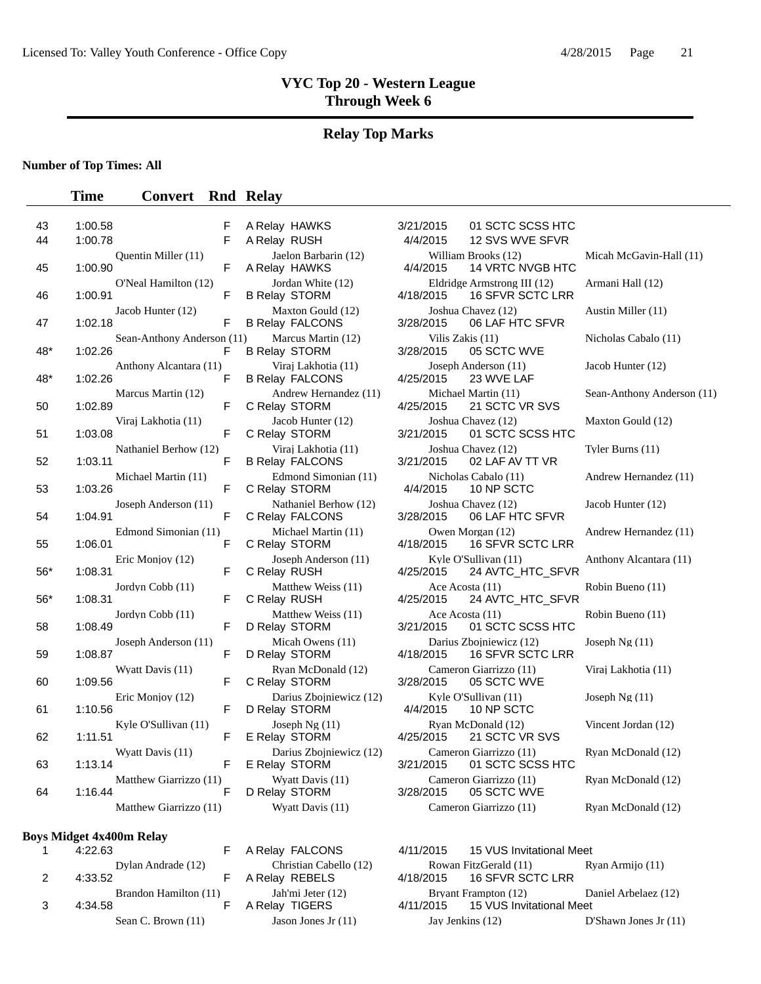#### **Relay Top Marks**

#### **Number of Top Times: All**

#### **Time Convert Rnd Relay**

| 43<br>44 | 1:00.58<br>1:00.78                         | F<br>F | A Relay HAWKS<br>A Relay RUSH                              | 3/21/2015<br>4/4/2015 | 01 SCTC SCSS HTC<br>12 SVS WVE SFVR                                        |                            |
|----------|--------------------------------------------|--------|------------------------------------------------------------|-----------------------|----------------------------------------------------------------------------|----------------------------|
|          | Quentin Miller (11)                        | F      | Jaelon Barbarin (12)                                       |                       | William Brooks (12)                                                        | Micah McGavin-Hall (11)    |
| 45<br>46 | 1:00.90<br>O'Neal Hamilton (12)<br>1:00.91 | F      | A Relay HAWKS<br>Jordan White (12)<br><b>B Relay STORM</b> | 4/4/2015<br>4/18/2015 | <b>14 VRTC NVGB HTC</b><br>Eldridge Armstrong III (12)<br>16 SFVR SCTC LRR | Armani Hall (12)           |
| 47       | Jacob Hunter (12)<br>1:02.18               | F      | Maxton Gould (12)<br><b>B Relay FALCONS</b>                | 3/28/2015             | Joshua Chavez (12)<br>06 LAF HTC SFVR                                      | Austin Miller (11)         |
| 48*      | Sean-Anthony Anderson (11)<br>1:02.26      | F      | Marcus Martin (12)<br><b>B Relay STORM</b>                 | 3/28/2015             | Vilis Zakis (11)<br>05 SCTC WVE                                            | Nicholas Cabalo (11)       |
| 48*      | Anthony Alcantara (11)<br>1:02.26          | F      | Viraj Lakhotia (11)<br><b>B Relay FALCONS</b>              | 4/25/2015             | Joseph Anderson (11)<br>23 WVE LAF                                         | Jacob Hunter (12)          |
| 50       | Marcus Martin (12)<br>1:02.89              | F      | Andrew Hernandez (11)<br>C Relay STORM                     | 4/25/2015             | Michael Martin (11)<br>21 SCTC VR SVS                                      | Sean-Anthony Anderson (11) |
| 51       | Viraj Lakhotia (11)<br>1:03.08             | F      | Jacob Hunter (12)<br>C Relay STORM                         | 3/21/2015             | Joshua Chavez (12)<br>01 SCTC SCSS HTC                                     | Maxton Gould (12)          |
| 52       | Nathaniel Berhow (12)<br>1:03.11           | F      | Viraj Lakhotia (11)<br><b>B Relay FALCONS</b>              | 3/21/2015             | Joshua Chavez (12)<br>02 LAF AV TT VR                                      | Tyler Burns (11)           |
| 53       | Michael Martin (11)<br>1:03.26             | F      | Edmond Simonian (11)<br>C Relay STORM                      | 4/4/2015              | Nicholas Cabalo (11)<br>10 NP SCTC                                         | Andrew Hernandez (11)      |
| 54       | Joseph Anderson (11)<br>1:04.91            | F      | Nathaniel Berhow (12)<br>C Relay FALCONS                   | 3/28/2015             | Joshua Chavez (12)<br>06 LAF HTC SFVR                                      | Jacob Hunter (12)          |
| 55       | Edmond Simonian (11)<br>1:06.01            | F      | Michael Martin (11)<br>C Relay STORM                       | 4/18/2015             | Owen Morgan (12)<br><b>16 SFVR SCTC LRR</b>                                | Andrew Hernandez (11)      |
| $56*$    | Eric Monjoy (12)<br>1:08.31                | F      | Joseph Anderson (11)<br>C Relay RUSH                       | 4/25/2015             | Kyle O'Sullivan (11)<br>24 AVTC_HTC_SFVR                                   | Anthony Alcantara (11)     |
| 56*      | Jordyn Cobb (11)<br>1:08.31                | F      | Matthew Weiss (11)<br>C Relay RUSH                         | 4/25/2015             | Ace Acosta (11)<br>24 AVTC_HTC_SFVR                                        | Robin Bueno (11)           |
| 58       | Jordyn Cobb (11)<br>1:08.49                | F      | Matthew Weiss (11)<br>D Relay STORM                        | 3/21/2015             | Ace Acosta (11)<br>01 SCTC SCSS HTC                                        | Robin Bueno (11)           |
| 59       | Joseph Anderson (11)<br>1:08.87            | F      | Micah Owens (11)<br>D Relay STORM                          | 4/18/2015             | Darius Zbojniewicz (12)<br>16 SFVR SCTC LRR                                | Joseph Ng (11)             |
| 60       | Wyatt Davis (11)<br>1:09.56                | F      | Ryan McDonald (12)<br>C Relay STORM                        | 3/28/2015             | Cameron Giarrizzo (11)<br>05 SCTC WVE                                      | Viraj Lakhotia (11)        |
| 61       | Eric Monjoy (12)<br>1:10.56                | F      | Darius Zbojniewicz (12)<br>D Relay STORM                   | 4/4/2015              | Kyle O'Sullivan (11)<br>10 NP SCTC                                         | Joseph $Ng(11)$            |
| 62       | Kyle O'Sullivan (11)<br>1:11.51            | F      | Joseph Ng $(11)$<br>E Relay STORM                          | 4/25/2015             | Ryan McDonald (12)<br>21 SCTC VR SVS                                       | Vincent Jordan (12)        |
| 63       | Wyatt Davis (11)<br>1:13.14                | F      | Darius Zboiniewicz (12)<br>E Relay STORM                   | 3/21/2015             | Cameron Giarrizzo (11)<br>01 SCTC SCSS HTC                                 | Ryan McDonald (12)         |
| 64       | Matthew Giarrizzo (11)<br>1:16.44          | F      | Wyatt Davis (11)<br>D Relay STORM                          | 3/28/2015             | Cameron Giarrizzo (11)<br>05 SCTC WVE                                      | Ryan McDonald (12)         |
|          | Matthew Giarrizzo (11)                     |        | Wyatt Davis (11)                                           |                       | Cameron Giarrizzo (11)                                                     | Ryan McDonald (12)         |
|          |                                            |        |                                                            |                       |                                                                            |                            |

#### **Boys Midget 4x400m Relay**

|               | 4:22.63 |                       |  |
|---------------|---------|-----------------------|--|
| $\mathcal{P}$ | 4:33.52 | Dylan Andrade (12)    |  |
| 3             | 4:34.58 | Brandon Hamilton (11) |  |
|               |         | Sean C. Brown (11)    |  |

A Relay FALCONS 4/11/2015 15 VUS Invitational Meet Christian Cabello (12) Rowan FitzGerald (11) Ryan Armijo (11)<br>A Relay REBELS 4/18/2015 16 SFVR SCTC LRR 16 SFVR SCTC LRR Jah'mi Jeter (12) Bryant Frampton (12) Daniel Arbelaez (12) A Relay TIGERS 4/11/2015 15 VUS Invitational Meet Jason Jones Jr (11) Jay Jenkins (12) D'Shawn Jones Jr (11)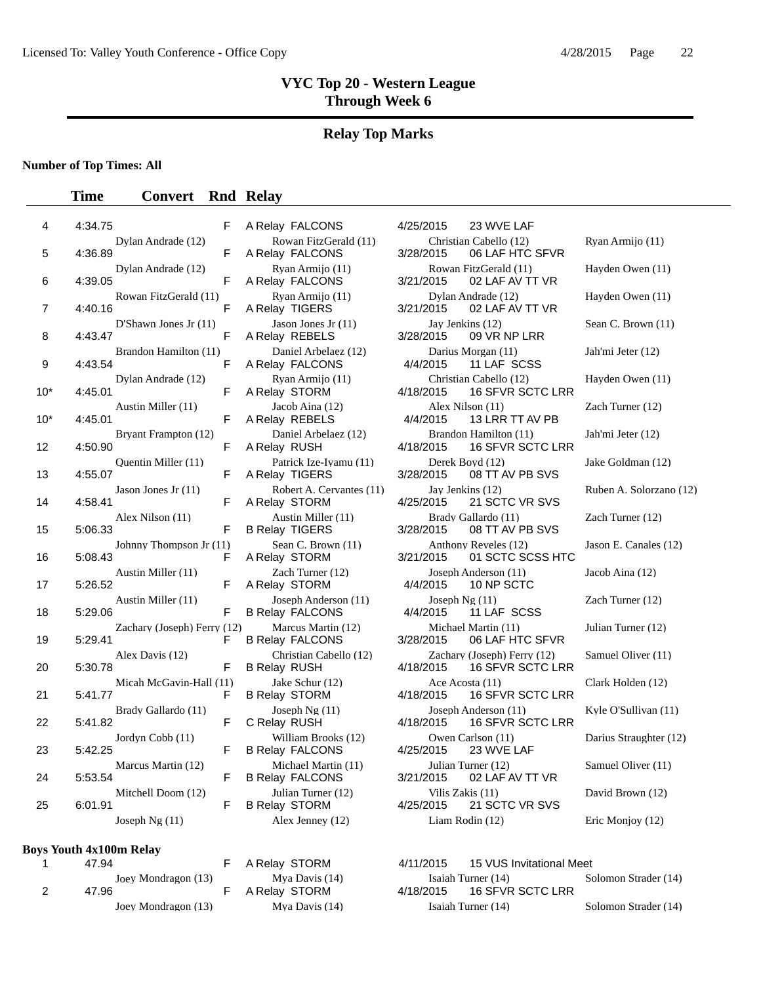#### **Relay Top Marks**

**Number of Top Times: All**

#### **Time Convert Rnd Relay**

| 4   | 4:34.75<br>F                               |   |
|-----|--------------------------------------------|---|
| 5   | Dylan Andrade (12)<br>4:36.89<br>F         |   |
| 6   | Dylan Andrade (12)<br>4:39.05<br>F         |   |
| 7   | Rowan FitzGerald (11)<br>F<br>4:40.16      |   |
| 8   | D'Shawn Jones Jr $(11)$<br>4:43.47<br>F    |   |
| 9   | Brandon Hamilton (11)<br>4:43.54<br>F      |   |
| 10* | Dylan Andrade (12)<br>4:45.01<br>F         |   |
| 10* | Austin Miller (11)<br>4:45.01<br>F         |   |
| 12  | Bryant Frampton (12)<br>4:50.90<br>F       |   |
| 13  | Quentin Miller (11)<br>4:55.07<br>F        |   |
| 14  | Jason Jones Jr $(11)$<br>F<br>4:58.41      |   |
| 15  | Alex Nilson (11)<br>5:06.33<br>F           |   |
| 16  | Johnny Thompson Jr (11)<br>5:08.43<br>F    |   |
| 17  | Austin Miller (11)<br>F<br>5:26.52         |   |
| 18  | Austin Miller (11)<br>5:29.06              | F |
| 19  | Zachary (Joseph) Ferry (12<br>5:29.41<br>F |   |
| 20  | Alex Davis (12)<br>F<br>5:30.78            |   |
| 21  | Micah McGavin-Hall (11)<br>5:41.77<br>F    |   |
| 22  | Brady Gallardo (11)<br>5:41.82<br>F        |   |
| 23  | Jordyn Cobb (11)<br>5:42.25<br>F           |   |
| 24  | Marcus Martin (12)<br>5:53.54<br>F         |   |
| 25  | Mitchell Doom (12)<br>6:01.91<br>F         |   |
|     | Joseph $Ng(11)$                            |   |

#### **Boys Youth 4x100m Relay**

|   | 47.94               |
|---|---------------------|
|   | Joev Mondragon (13) |
| 2 | 47.96               |
|   | Joey Mondragon (13) |

| A REIGY FALCOINS                         |
|------------------------------------------|
| Rowan FitzGerald (11)<br>A Relay FALCONS |
| Ryan Armijo (11)                         |
| A Relay FALCONS                          |
| Ryan Armijo (11)                         |
| A Relay TIGERS                           |
| Jason Jones Jr (11)                      |
| A Relay REBELS                           |
| Daniel Arbelaez (12)                     |
| A Relay FALCONS                          |
| Ryan Armijo (11)                         |
| A Relay STORM                            |
| Jacob Aina (12)                          |
| A Relay REBELS                           |
| Daniel Arbelaez (12)                     |
| A Relay RUSH                             |
| Patrick Ize-Iyamu (11)                   |
| A Relay TIGERS                           |
| Robert A. Cervantes (11                  |
| A Relay STORM                            |
| Austin Miller (11)                       |
| <b>B Relay TIGERS</b>                    |
| Sean C. Brown (11)                       |
| A Relay STORM                            |
| Zach Turner (12)                         |
| A Relay STORM                            |
| Joseph Anderson (11)                     |
| <b>B Relay FALCONS</b>                   |
| Marcus Martin (12)                       |
| <b>B Relay FALCONS</b>                   |
| Christian Cabello (12)                   |
| <b>B Relay RUSH</b>                      |
| Jake Schur (12)                          |
| <b>B Relay STORM</b>                     |
| Joseph Ng (11)                           |
| C Relay RUSH                             |
| William Brooks (12)                      |
| <b>B Relay FALCONS</b>                   |
| Michael Martin (11)                      |
| <b>B Relay FALCONS</b>                   |
| Julian Turner (12)                       |
| <b>B Relay STORM</b>                     |
| Alex Jenney (12)                         |
|                                          |

Relay FALCONS 4/25/2015 23 WVE LAF Christian Cabello (12) Ryan Armijo (11) 3/28/2015 06 LAF HTC SFVR Rowan FitzGerald (11) Hayden Owen (11) 3/21/2015 02 LAF AV TT VR Dylan Andrade (12) Hayden Owen (11) 3/21/2015 02 LAF AV TT VR Jay Jenkins (12) Sean C. Brown (11) 3/28/2015 09 VR NP LRR 09 VR NP LRR Darius Morgan (11) Jah'mi Jeter (12) 4/4/2015 11 LAF SCSS Christian Cabello (12) Hayden Owen (11) 4/18/2015 16 SFVR SCTC LRR Alex Nilson (11) Zach Turner (12) 4/4/2015 13 LRR TT AV PB Brandon Hamilton (11) Jah'mi Jeter (12) 4/18/2015 16 SFVR SCTC LRR Derek Boyd (12) Jake Goldman (12) 3/28/2015 08 TT AV PB SVS 08 TT AV PB SVS Jay Jenkins (12) Ruben A. Solorzano (12) 4/25/2015 21 SCTC VR SVS Brady Gallardo (11) **Zach Turner (12)** Zach Turner (12) 3/28/2015 08 TT AV PB SVS Anthony Reveles (12) Jason E. Canales (12) 3/21/2015 01 SCTC SCSS HTC Joseph Anderson (11) Jacob Aina (12)  $\frac{4}{4/2015}$  10 NP SCTC 10 NP SCTC  $Joseph Ng (11)$  Zach Turner (12) 4/4/2015 11 LAF SCSS 2) Marcus Martin (12) Michael Martin (11) Julian Turner (12) 3/28/2015 06 LAF HTC SFVR Zachary (Joseph) Ferry (12) Samuel Oliver (11) 4/18/2015 16 SFVR SCTC LRR Ace Acosta (11) Clark Holden (12) 4/18/2015 16 SFVR SCTC LRR Joseph Anderson (11) Kyle O'Sullivan (11) 4/18/2015 16 SFVR SCTC LRR Owen Carlson (11) Darius Straughter (12) 4/25/2015 23 WVE LAF 23 WVE LAF Julian Turner (12) Samuel Oliver (11) 3/21/2015 02 LAF AV TT VR Vilis Zakis (11) David Brown (12) 4/25/2015 21 SCTC VR SVS Liam Rodin (12) Eric Monjoy (12)

F A Relay STORM 4/11/2015 15 VUS Invitational Meet Mya Davis (14) Isaiah Turner (14) Solomon Strader (14)<br>F A Relay STORM 4/18/2015 16 SFVR SCTC LRR A Relay STORM 4/18/2015 16 SFVR SCTC LRR Joey Mondragon (13) Mya Davis (14) Isaiah Turner (14) Solomon Strader (14)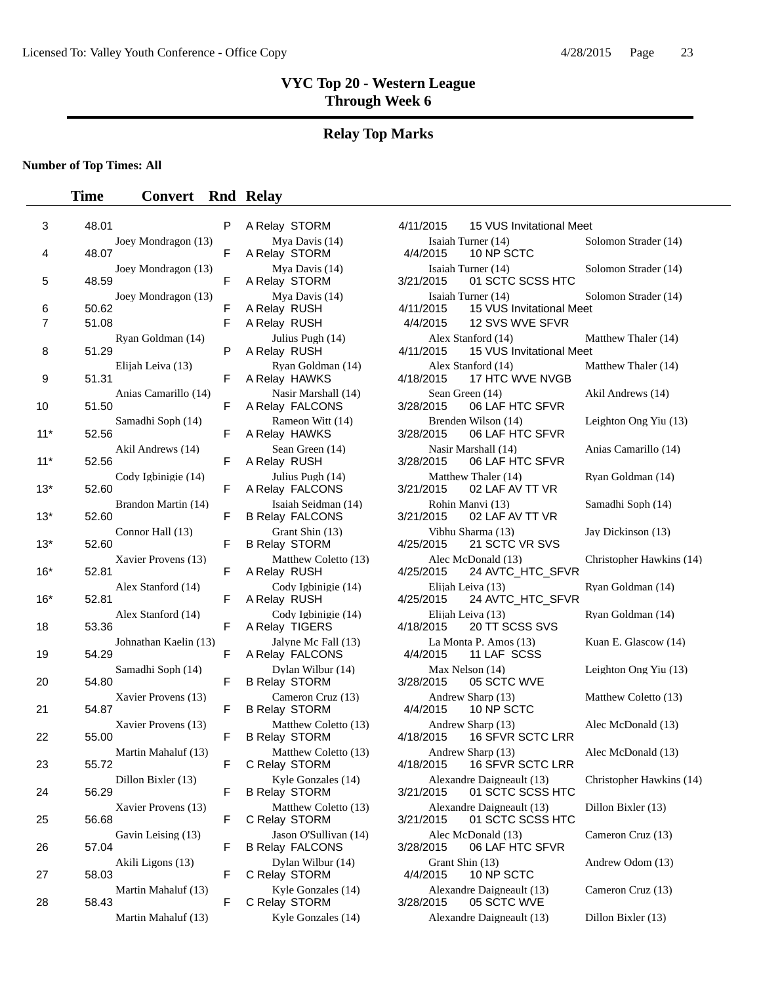## **Relay Top Marks**

### **Number of Top Times: All**

| 3                   | 48.01                                 | P      | A Relay STORM                                   | 4/11/2015                   | 15 VUS Invitational Meet                                          |              |
|---------------------|---------------------------------------|--------|-------------------------------------------------|-----------------------------|-------------------------------------------------------------------|--------------|
| 4                   | Joey Mondragon (13)<br>48.07          | F      | Mya Davis (14)<br>A Relay STORM                 | 4/4/2015                    | Isaiah Turner (14)<br>10 NP SCTC                                  | S            |
| 5                   | Joey Mondragon (13)<br>48.59          | F      | Mya Davis (14)<br>A Relay STORM                 | 3/21/2015                   | Isaiah Turner (14)<br>01 SCTC SCSS HTC                            | S            |
| 6<br>$\overline{7}$ | Joey Mondragon (13)<br>50.62<br>51.08 | F<br>F | Mya Davis (14)<br>A Relay RUSH<br>A Relay RUSH  | 4/11/2015<br>4/4/2015       | Isaiah Turner (14)<br>15 VUS Invitational Meet<br>12 SVS WVE SFVR | S            |
| 8                   | Ryan Goldman (14)<br>51.29            | P      | Julius Pugh (14)<br>A Relay RUSH                | 4/11/2015                   | Alex Stanford (14)<br>15 VUS Invitational Meet                    | N            |
| 9                   | Elijah Leiva (13)<br>51.31            | F      | Ryan Goldman (14)<br>A Relay HAWKS              | 4/18/2015                   | Alex Stanford (14)<br>17 HTC WVE NVGB                             | N            |
| 10                  | Anias Camarillo (14)<br>51.50         | F      | Nasir Marshall (14)<br>A Relay FALCONS          | 3/28/2015                   | Sean Green (14)<br>06 LAF HTC SFVR                                | A            |
| $11*$               | Samadhi Soph (14)<br>52.56            | F      | Rameon Witt (14)<br>A Relay HAWKS               | 3/28/2015                   | Brenden Wilson (14)<br>06 LAF HTC SFVR                            | L            |
| $11*$               | Akil Andrews (14)<br>52.56            | F      | Sean Green (14)<br>A Relay RUSH                 | 3/28/2015                   | Nasir Marshall (14)<br>06 LAF HTC SFVR                            | Α            |
| $13*$               | Cody Igbinigie (14)<br>52.60          | F      | Julius Pugh (14)<br>A Relay FALCONS             | 3/21/2015                   | Matthew Thaler (14)<br>02 LAF AV TT VR                            | $\mathbb R$  |
| $13*$               | Brandon Martin (14)<br>52.60          | F      | Isaiah Seidman (14)<br><b>B Relay FALCONS</b>   | 3/21/2015                   | Rohin Manvi (13)<br>02 LAF AV TT VR                               | S            |
| $13*$               | Connor Hall (13)<br>52.60             | F      | Grant Shin (13)<br><b>B Relay STORM</b>         | 4/25/2015                   | Vibhu Sharma (13)<br>21 SCTC VR SVS                               | J            |
| $16*$               | Xavier Provens (13)<br>52.81          | F      | Matthew Coletto (13)<br>A Relay RUSH            | 4/25/2015                   | Alec McDonald (13)<br>24 AVTC_HTC_SFVR                            | $\mathsf{C}$ |
| $16*$               | Alex Stanford (14)<br>52.81           | F      | Cody Igbinigie (14)<br>A Relay RUSH             | 4/25/2015                   | Elijah Leiva (13)<br>24 AVTC_HTC_SFVR                             | $\mathbb R$  |
| 18                  | Alex Stanford (14)<br>53.36           | F      | Cody Igbinigie (14)<br>A Relay TIGERS           | 4/18/2015                   | Elijah Leiva (13)<br>20 TT SCSS SVS                               | $\mathbb R$  |
| 19                  | Johnathan Kaelin (13)<br>54.29        | F      | Jalyne Mc Fall (13)<br>A Relay FALCONS          | 4/4/2015                    | La Monta P. Amos (13)<br>11 LAF SCSS                              | K            |
| 20                  | Samadhi Soph (14)<br>54.80            | F      | Dylan Wilbur (14)<br><b>B Relay STORM</b>       | 3/28/2015                   | Max Nelson (14)<br>05 SCTC WVE                                    | L            |
| 21                  | Xavier Provens (13)<br>54.87          | F      | Cameron Cruz (13)<br><b>B Relay STORM</b>       | 4/4/2015                    | Andrew Sharp (13)<br>10 NP SCTC                                   | N            |
| 22                  | Xavier Provens (13)<br>55.00          | F      | Matthew Coletto (13)<br><b>B Relay STORM</b>    | 4/18/2015                   | Andrew Sharp (13)<br>16 SFVR SCTC LRR                             | A            |
| 23                  | Martin Mahaluf (13)<br>55.72          | F      | Matthew Coletto (13)<br>C Relay STORM           | 4/18/2015                   | Andrew Sharp (13)<br>16 SFVR SCTC LRR                             | Α            |
| 24                  | Dillon Bixler (13)<br>56.29           | F.     | Kyle Gonzales (14)<br><b>B Relay STORM</b>      | 3/21/2015                   | Alexandre Daigneault (13)<br>01 SCTC SCSS HTC                     | C            |
| 25                  | Xavier Provens (13)<br>56.68          | F      | Matthew Coletto (13)<br>C Relay STORM           | 3/21/2015                   | Alexandre Daigneault (13)<br>01 SCTC SCSS HTC                     | D            |
| 26                  | Gavin Leising (13)<br>57.04           | F      | Jason O'Sullivan (14)<br><b>B Relay FALCONS</b> | 3/28/2015                   | Alec McDonald (13)<br>06 LAF HTC SFVR                             | $\mathsf{C}$ |
| 27                  | Akili Ligons (13)<br>58.03            | F      | Dylan Wilbur (14)<br>C Relay STORM              | Grant Shin (13)<br>4/4/2015 | 10 NP SCTC                                                        | A            |
| 28                  | Martin Mahaluf (13)<br>58.43          | F      | Kyle Gonzales (14)<br>C Relay STORM             | 3/28/2015                   | Alexandre Daigneault (13)<br>05 SCTC WVE                          | C            |
|                     | Mortin Moboluf $(12)$                 |        | $V$ vla Congolas $(14)$                         |                             | $\Lambda$ lavandra Daigneault (12)                                | D            |

|                       | P      | A Relay STORM                                   | 4/11/2015                      | 15 VUS Invitational Meet                                          |                    |
|-----------------------|--------|-------------------------------------------------|--------------------------------|-------------------------------------------------------------------|--------------------|
| Joey Mondragon (13)   | F      | Mya Davis (14)<br>A Relay STORM                 | 4/4/2015                       | Isaiah Turner (14)<br>10 NP SCTC                                  | Solomon Strader (  |
| Joey Mondragon (13)   | F      | Mya Davis (14)<br>A Relay STORM                 | 3/21/2015                      | Isaiah Turner (14)<br>01 SCTC SCSS HTC                            | Solomon Strader (  |
| Joey Mondragon (13)   | F<br>F | Mya Davis (14)<br>A Relay RUSH<br>A Relay RUSH  | 4/11/2015<br>4/4/2015          | Isaiah Turner (14)<br>15 VUS Invitational Meet<br>12 SVS WVE SFVR | Solomon Strader (  |
| Ryan Goldman (14)     | P      | Julius Pugh (14)<br>A Relay RUSH                | 4/11/2015                      | Alex Stanford (14)<br>15 VUS Invitational Meet                    | Matthew Thaler (1  |
| Elijah Leiva (13)     | F      | Ryan Goldman (14)<br>A Relay HAWKS              | 4/18/2015                      | Alex Stanford (14)<br>17 HTC WVE NVGB                             | Matthew Thaler (1  |
| Anias Camarillo (14)  | F      | Nasir Marshall (14)<br>A Relay FALCONS          | Sean Green (14)<br>3/28/2015   | 06 LAF HTC SFVR                                                   | Akil Andrews (14)  |
| Samadhi Soph (14)     | F      | Rameon Witt (14)<br>A Relay HAWKS               | 3/28/2015                      | Brenden Wilson (14)<br>06 LAF HTC SFVR                            | Leighton Ong Yiu   |
| Akil Andrews (14)     | F      | Sean Green (14)<br>A Relay RUSH                 | 3/28/2015                      | Nasir Marshall (14)<br>06 LAF HTC SFVR                            | Anias Camarillo (1 |
| Cody Igbinigie (14)   | F      | Julius Pugh (14)<br>A Relay FALCONS             | 3/21/2015                      | Matthew Thaler (14)<br>02 LAF AV TT VR                            | Ryan Goldman (14   |
| Brandon Martin (14)   | F      | Isaiah Seidman (14)<br><b>B Relay FALCONS</b>   | 3/21/2015                      | Rohin Manvi (13)<br>02 LAF AV TT VR                               | Samadhi Soph (14   |
| Connor Hall (13)      | F      | Grant Shin (13)<br><b>B Relay STORM</b>         | 4/25/2015                      | Vibhu Sharma (13)<br>21 SCTC VR SVS                               | Jay Dickinson (13) |
| Xavier Provens (13)   | F      | Matthew Coletto (13)<br>A Relay RUSH            | 4/25/2015                      | Alec McDonald (13)<br>24 AVTC_HTC_SFVR                            | Christopher Hawk   |
| Alex Stanford (14)    | F      | Cody Igbinigie (14)<br>A Relay RUSH             | Elijah Leiva (13)<br>4/25/2015 | 24 AVTC_HTC_SFVR                                                  | Ryan Goldman (14   |
| Alex Stanford (14)    | F      | Cody Igbinigie (14)<br>A Relay TIGERS           | 4/18/2015                      | Elijah Leiva (13)<br>20 TT SCSS SVS                               | Ryan Goldman (14   |
| Johnathan Kaelin (13) | F      | Jalyne Mc Fall (13)<br>A Relay FALCONS          | 4/4/2015                       | La Monta P. Amos (13)<br>11 LAF SCSS                              | Kuan E. Glascow    |
| Samadhi Soph (14)     | F      | Dylan Wilbur (14)<br><b>B Relay STORM</b>       | Max Nelson (14)<br>3/28/2015   | 05 SCTC WVE                                                       | Leighton Ong Yiu   |
| Xavier Provens (13)   | F      | Cameron Cruz (13)<br><b>B Relay STORM</b>       | 4/4/2015                       | Andrew Sharp (13)<br>10 NP SCTC                                   | Matthew Coletto (  |
| Xavier Provens (13)   | F      | Matthew Coletto (13)<br><b>B Relay STORM</b>    | 4/18/2015                      | Andrew Sharp (13)<br>16 SFVR SCTC LRR                             | Alec McDonald (1   |
| Martin Mahaluf (13)   | F      | Matthew Coletto (13)<br>C Relay STORM           | 4/18/2015                      | Andrew Sharp (13)<br>16 SFVR SCTC LRR                             | Alec McDonald (1   |
| Dillon Bixler (13)    | F      | Kyle Gonzales (14)<br><b>B Relay STORM</b>      | 3/21/2015                      | Alexandre Daigneault (13)<br>01 SCTC SCSS HTC                     | Christopher Hawk   |
| Xavier Provens (13)   | F      | Matthew Coletto (13)<br>C Relay STORM           | 3/21/2015                      | Alexandre Daigneault (13)<br>01 SCTC SCSS HTC                     | Dillon Bixler (13) |
| Gavin Leising (13)    | F      | Jason O'Sullivan (14)<br><b>B Relay FALCONS</b> | 3/28/2015                      | Alec McDonald (13)<br>06 LAF HTC SFVR                             | Cameron Cruz (13   |
| Akili Ligons (13)     | F      | Dylan Wilbur (14)<br>C Relay STORM              | Grant Shin (13)<br>4/4/2015    | 10 NP SCTC                                                        | Andrew Odom (13    |
| Martin Mahaluf (13)   | F      | Kyle Gonzales (14)<br>C Relay STORM             | 3/28/2015                      | Alexandre Daigneault (13)<br>05 SCTC WVE                          | Cameron Cruz (13   |
| Martin Mahaluf (13)   |        | Kyle Gonzales (14)                              |                                | Alexandre Daigneault (13)                                         | Dillon Bixler (13) |

|                       | P           | A Relay STORM                                   | 4/11/2015                   | 15 VUS Invitational Meet                                          |                          |
|-----------------------|-------------|-------------------------------------------------|-----------------------------|-------------------------------------------------------------------|--------------------------|
| Joey Mondragon (13)   | F           | Mya Davis (14)<br>A Relay STORM                 | 4/4/2015                    | Isaiah Turner (14)<br>10 NP SCTC                                  | Solomon Strader (14)     |
| Joey Mondragon (13)   | $\mathsf F$ | Mya Davis (14)<br>A Relay STORM                 | 3/21/2015                   | Isaiah Turner (14)<br>01 SCTC SCSS HTC                            | Solomon Strader (14)     |
| Joey Mondragon (13)   | F<br>F      | Mya Davis (14)<br>A Relay RUSH<br>A Relay RUSH  | 4/11/2015<br>4/4/2015       | Isaiah Turner (14)<br>15 VUS Invitational Meet<br>12 SVS WVE SFVR | Solomon Strader (14)     |
| Ryan Goldman (14)     | P           | Julius Pugh (14)<br>A Relay RUSH                | 4/11/2015                   | Alex Stanford (14)<br>15 VUS Invitational Meet                    | Matthew Thaler (14)      |
| Elijah Leiva (13)     | F           | Ryan Goldman (14)<br>A Relay HAWKS              | 4/18/2015                   | Alex Stanford (14)<br>17 HTC WVE NVGB                             | Matthew Thaler (14)      |
| Anias Camarillo (14)  | F           | Nasir Marshall (14)<br>A Relay FALCONS          | 3/28/2015                   | Sean Green (14)<br>06 LAF HTC SFVR                                | Akil Andrews (14)        |
| Samadhi Soph (14)     | F           | Rameon Witt (14)<br>A Relay HAWKS               | 3/28/2015                   | Brenden Wilson (14)<br>06 LAF HTC SFVR                            | Leighton Ong Yiu (13)    |
| Akil Andrews (14)     | F           | Sean Green (14)<br>A Relay RUSH                 | 3/28/2015                   | Nasir Marshall (14)<br>06 LAF HTC SFVR                            | Anias Camarillo (14)     |
| Cody Igbinigie (14)   | F           | Julius Pugh (14)<br>A Relay FALCONS             | 3/21/2015                   | Matthew Thaler (14)<br>02 LAF AV TT VR                            | Rvan Goldman (14)        |
| Brandon Martin (14)   | F           | Isaiah Seidman (14)<br><b>B Relay FALCONS</b>   | 3/21/2015                   | Rohin Manvi (13)<br>02 LAF AV TT VR                               | Samadhi Soph (14)        |
| Connor Hall (13)      | F           | Grant Shin (13)<br><b>B Relay STORM</b>         | 4/25/2015                   | Vibhu Sharma (13)<br>21 SCTC VR SVS                               | Jay Dickinson (13)       |
| Xavier Provens (13)   | F           | Matthew Coletto (13)<br>A Relay RUSH            | 4/25/2015                   | Alec McDonald (13)<br>24 AVTC_HTC_SFVR                            | Christopher Hawkins (14) |
| Alex Stanford (14)    | F           | Cody Igbinigie (14)<br>A Relay RUSH             | 4/25/2015                   | Elijah Leiva (13)<br>24 AVTC_HTC_SFVR                             | Ryan Goldman (14)        |
| Alex Stanford (14)    | F           | Cody Igbinigie (14)<br>A Relay TIGERS           | 4/18/2015                   | Elijah Leiva (13)<br>20 TT SCSS SVS                               | Ryan Goldman (14)        |
| Johnathan Kaelin (13) | F           | Jalyne Mc Fall (13)<br>A Relay FALCONS          | 4/4/2015                    | La Monta P. Amos (13)<br>11 LAF SCSS                              | Kuan E. Glascow (14)     |
| Samadhi Soph (14)     | F           | Dylan Wilbur (14)<br><b>B Relay STORM</b>       | 3/28/2015                   | Max Nelson (14)<br>05 SCTC WVE                                    | Leighton Ong Yiu (13)    |
| Xavier Provens (13)   | F           | Cameron Cruz (13)<br><b>B Relay STORM</b>       | 4/4/2015                    | Andrew Sharp (13)<br>10 NP SCTC                                   | Matthew Coletto (13)     |
| Xavier Provens (13)   | F           | Matthew Coletto (13)<br><b>B Relay STORM</b>    | 4/18/2015                   | Andrew Sharp (13)<br><b>16 SFVR SCTC LRR</b>                      | Alec McDonald (13)       |
| Martin Mahaluf (13)   | F           | Matthew Coletto (13)<br>C Relay STORM           | 4/18/2015                   | Andrew Sharp (13)<br>16 SFVR SCTC LRR                             | Alec McDonald (13)       |
| Dillon Bixler (13)    | F           | Kyle Gonzales (14)<br><b>B Relay STORM</b>      | 3/21/2015                   | Alexandre Daigneault (13)<br>01 SCTC SCSS HTC                     | Christopher Hawkins (14) |
| Xavier Provens (13)   | F           | Matthew Coletto (13)<br>C Relay STORM           | 3/21/2015                   | Alexandre Daigneault (13)<br>01 SCTC SCSS HTC                     | Dillon Bixler (13)       |
| Gavin Leising (13)    | F           | Jason O'Sullivan (14)<br><b>B Relay FALCONS</b> | 3/28/2015                   | Alec McDonald (13)<br>06 LAF HTC SFVR                             | Cameron Cruz (13)        |
| Akili Ligons (13)     | F           | Dylan Wilbur (14)<br>C Relay STORM              | Grant Shin (13)<br>4/4/2015 | 10 NP SCTC                                                        | Andrew Odom (13)         |
| Martin Mahaluf (13)   | F           | Kyle Gonzales (14)<br>C Relay STORM             | 3/28/2015                   | Alexandre Daigneault (13)<br>05 SCTC WVE                          | Cameron Cruz (13)        |